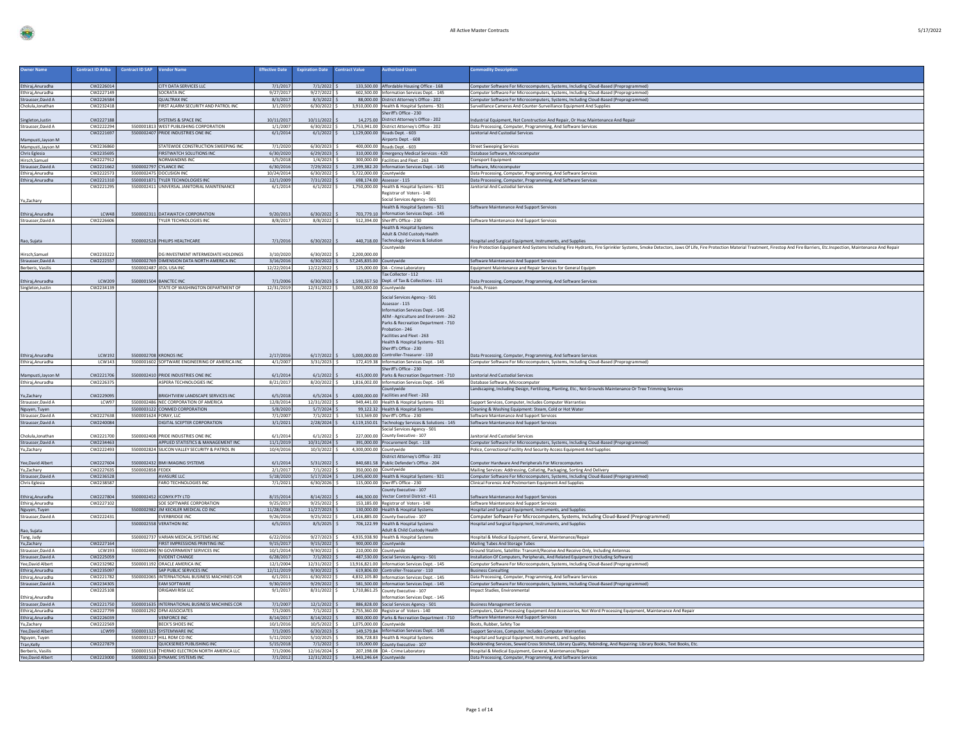|  | $\cdot$ | . . |  |
|--|---------|-----|--|
|  |         |     |  |

| <b>Owner Name</b>                       | <b>Contract ID Ariba</b> | <b>Contract ID SAP</b><br><b>Vendor Name</b>                                   | <b>Effective Date</b>   | <b>Expiration Date</b>           | <b>Contract Value</b>    | <b>Authorized Users</b>                                                                 | <b>Commodity Description</b>                                                                                                                                                                                                                                                               |
|-----------------------------------------|--------------------------|--------------------------------------------------------------------------------|-------------------------|----------------------------------|--------------------------|-----------------------------------------------------------------------------------------|--------------------------------------------------------------------------------------------------------------------------------------------------------------------------------------------------------------------------------------------------------------------------------------------|
|                                         |                          |                                                                                |                         |                                  |                          |                                                                                         |                                                                                                                                                                                                                                                                                            |
| Ethiraj, Anuradha                       | CW2226014                | CITY DATA SERVICES LLC                                                         | 7/1/2017                | $7/1/2022$ \$                    |                          | 133,500.00 Affordable Housing Office - 168                                              | Computer Software For Microcomputers, Systems, Including Cloud-Based (Preprogrammed)                                                                                                                                                                                                       |
| Ethiraj, Anuradha                       | CW222714                 | SOCRATA INC                                                                    | 9/27/201                | 9/27/2022                        |                          | 602,500.00 Information Services Dept. - 145                                             | Computer Software For Microcomputers, Systems, Including Cloud-Based (Preprogrammed                                                                                                                                                                                                        |
| Strausser, David A                      | CW2226584<br>CW2232418   | <b>QUALTRAX INC</b><br>FIRST ALARM SECURITY AND PATROL INC                     | 8/3/2017<br>3/1/2019    | $8/3/2022$ \$<br>$6/30/2022$ S   |                          | 88,000.00 District Attorney's Office - 202                                              | Computer Software For Microcomputers, Systems, Including Cloud-Based (Preprogrammed)<br>Surveillance Cameras And Counter-Surveillance Equipment And Supplies                                                                                                                               |
| Cholula, Jonathan                       |                          |                                                                                |                         |                                  |                          | 3,910,000.00 Health & Hospital Systems - 921<br>heriff's Office - 230                   |                                                                                                                                                                                                                                                                                            |
| Singleton, Justin                       | CW2227188                | SYSTEMS & SPACE INC                                                            | 10/11/2017              | 10/11/2022                       |                          | 14.275.00 District Attorney's Office - 202                                              | ndustrial Equipment, Not Construction And Repair, Or Hvac Maintenance And Repair                                                                                                                                                                                                           |
| Strausser, David A                      | CW2222294                | 5500001813 WEST PUBLISHING CORPORATION                                         | 1/1/2007                | 6/30/2022 \$                     |                          | 1,753,941.00 District Attorney's Office - 202                                           | Data Processing, Computer, Programming, And Software Services                                                                                                                                                                                                                              |
|                                         | CW222169                 | 5500002407 PRIDE INDUSTRIES ONE INC                                            | 6/1/2014                | 6/1/2022                         |                          | 1,129,000.00 Roads Dept. - 603                                                          | nitorial And Custodial Services                                                                                                                                                                                                                                                            |
| Mampusti, Jayson M                      |                          |                                                                                |                         |                                  |                          | Airports Dept. - 608                                                                    |                                                                                                                                                                                                                                                                                            |
| Mampusti, Jayson M                      | CW223686<br>CW223569     | STATEWIDE CONSTRUCTION SWEEPING INC.<br>FIRSTWATCH SOLUTIONS INC               | 7/1/2020<br>6/30/2020   | 6/30/2023<br>6/29/2023           |                          | 400,000.00 Roads Dept. - 603                                                            | <b>Street Sweeping Services</b>                                                                                                                                                                                                                                                            |
| Chris Eglesia<br>Hirsch, Samuel         | CW222791                 | NORMANDINS INC                                                                 | 1/5/2018                | 1/4/2023                         |                          | 310,000.00 Emergency Medical Services - 420<br>300,000.00 Facilities and Fleet - 263    | Database Software, Microcomputer<br><b>Transport Equipment</b>                                                                                                                                                                                                                             |
| Strausser, David A                      | CW2221662                | 5500002797 CYLANCE INC                                                         | 6/30/2016               | 7/29/2022                        |                          | 2,399,382.20 Information Services Dept. - 145                                           | Software, Microcomputer                                                                                                                                                                                                                                                                    |
| Ethiraj, Anuradha                       | CW2222573                | 5500002475 DOCUSIGN INC                                                        | 10/24/2014              | $6/30/2022$ S                    | 5,722,000.00 Countywide  |                                                                                         | Data Processing, Computer, Programming, And Software Services                                                                                                                                                                                                                              |
| Ethiraj, Anuradha                       | CW222131                 | 5500001871 TYLER TECHNOLOGIES IN                                               | 12/1/2009               | $7/31/2022$ \$                   |                          | 698,174.00 Assessor - 115                                                               | Data Processing, Computer, Programming, And Software Services                                                                                                                                                                                                                              |
|                                         | CW222129                 | 5500002411 UNIVERSAL JANITORIAL MAINTENANCE                                    | 6/1/2014                | $6/1/2022$ S                     |                          | 1.750.000.00 Health & Hospital Systems - 921<br>Registrar of Voters - 140               | Janitorial And Custodial Services                                                                                                                                                                                                                                                          |
| Yu,Zachary                              |                          |                                                                                |                         |                                  |                          | Social Services Agency - 501                                                            |                                                                                                                                                                                                                                                                                            |
|                                         |                          |                                                                                |                         |                                  |                          | Health & Hospital Systems - 921                                                         | Software Maintenance And Support Services                                                                                                                                                                                                                                                  |
| Ethiraj, Anuradha                       | LCW4                     | 5500002311 DATAWATCH CORPORATION                                               | 9/20/2013               | 6/30/2022                        | 703,779.10               | Information Services Dept. - 145                                                        |                                                                                                                                                                                                                                                                                            |
| Strausser, David A                      | CW2226606                | TYLER TECHNOLOGIES INC                                                         | 8/8/2017                | $8/8/2022$ \$                    |                          | 512,394.00 Sheriff's Office - 230                                                       | Software Maintenance And Support Services                                                                                                                                                                                                                                                  |
|                                         |                          |                                                                                |                         |                                  |                          | <b>Health &amp; Hospital Systems</b>                                                    |                                                                                                                                                                                                                                                                                            |
| Rao, Sujata                             |                          | 5500002528 PHILIPS HEALTHCARE                                                  | 7/1/2016                | 6/30/2022                        |                          | Adult & Child Custody Health<br>440,718.00 Technology Services & Solution               |                                                                                                                                                                                                                                                                                            |
|                                         |                          |                                                                                |                         |                                  |                          | Countywide                                                                              | lospital and Surgical Equipment, Instruments, and Supplies<br>Fire Protection Equipment And Systems Including Fire Hydrants, Fire Sprinkler Systems, Smoke Detectors, Jaws Of Life, Fire Protection Material Treatment, Firestop And Fire Barriers, Etc.Inspection, Maintenance And Repair |
| Hirsch, Samuel                          | CW223322                 | OG INVESTMENT INTERMEDIATE HOLDINGS                                            | 3/10/2020               | 6/30/2022                        | 2,200,000.00             |                                                                                         |                                                                                                                                                                                                                                                                                            |
| Strausser, David A                      | CW222255                 | 5500002769 DIMENSION DATA NORTH AMERICA INC                                    | 3/16/2016               | $6/30/2022$ \$                   | 57,245,835.00 Countywide |                                                                                         | Software Maintenance And Support Services                                                                                                                                                                                                                                                  |
| Berberis, Vasilis                       |                          | 5500002487 JEOL USA INC                                                        | 12/22/2014              | 12/22/2022                       |                          | 125,000.00 DA - Crime Laboratory                                                        | Equipment Maintenance and Repair Services for General Equipm                                                                                                                                                                                                                               |
|                                         | <b>LCW209</b>            |                                                                                |                         | 6/30/2023                        |                          | Tax Collector - 112<br>1.590.557.50 Dept. of Tax & Collections - 111                    |                                                                                                                                                                                                                                                                                            |
| Ethiraj, Anuradha                       | CW223413                 | 5500001504 BANCTEC INC<br>STATE OF WASHINGTON DEPARTMENT OF                    | 7/1/2006<br>12/31/2019  | 12/31/2022                       | 5,000,000.00 Countywide  |                                                                                         | Data Processing, Computer, Programming, And Software Services<br>Foods, Frozen                                                                                                                                                                                                             |
| Singleton, Justin                       |                          |                                                                                |                         |                                  |                          |                                                                                         |                                                                                                                                                                                                                                                                                            |
|                                         |                          |                                                                                |                         |                                  |                          | Social Services Agency - 501                                                            |                                                                                                                                                                                                                                                                                            |
|                                         |                          |                                                                                |                         |                                  |                          | Assessor - 115<br>Information Services Dept. - 145                                      |                                                                                                                                                                                                                                                                                            |
|                                         |                          |                                                                                |                         |                                  |                          | AEM - Agriculture and Environm - 262                                                    |                                                                                                                                                                                                                                                                                            |
|                                         |                          |                                                                                |                         |                                  |                          | Parks & Recreation Department - 710                                                     |                                                                                                                                                                                                                                                                                            |
|                                         |                          |                                                                                |                         |                                  |                          | Probation - 246                                                                         |                                                                                                                                                                                                                                                                                            |
|                                         |                          |                                                                                |                         |                                  |                          | Facilities and Fleet - 263<br>Health & Hospital Systems - 921                           |                                                                                                                                                                                                                                                                                            |
|                                         |                          |                                                                                |                         |                                  |                          | Sheriff's Office - 230                                                                  |                                                                                                                                                                                                                                                                                            |
| Ethiraj, Anuradha                       | <b>LCW192</b>            | 5500002708 KRONOS INC                                                          | 2/17/2016               | 6/17/2022                        |                          | 5.000.000.00 Controller-Treasurer - 110                                                 | Data Processing, Computer, Programming, And Software Services                                                                                                                                                                                                                              |
| Ethiraj, Anuradha                       | LCW143                   | 5500001602 SOFTWARE ENGINEERING OF AMERICA INC                                 | 4/1/2007                | 3/31/2023                        |                          | 172,419.38 Information Services Dept. - 145                                             | Computer Software For Microcomputers, Systems, Including Cloud-Based (Preprogrammed)                                                                                                                                                                                                       |
|                                         |                          |                                                                                |                         |                                  |                          | Sheriff's Office - 230                                                                  |                                                                                                                                                                                                                                                                                            |
| Mampusti, Jayson M                      | CW222170<br>CW222637     | 5500002410 PRIDE INDUSTRIES ONE INC<br>ASPERA TECHNOLOGIES INC                 | 6/1/2014                | 6/1/2022                         | 415,000.00               | Parks & Recreation Department - 710                                                     | nitorial And Custodial Services<br>Database Software, Microcomputer                                                                                                                                                                                                                        |
| Ethiraj, Anuradha                       |                          |                                                                                | 8/21/2017               | 8/20/2022 \$                     |                          | 1,816,002.00 Information Services Dept. - 145<br>Countywide                             | Landscaping, Including Design, Fertilizing, Planting, Etc., Not Grounds Maintenance Or Tree Trimming Services                                                                                                                                                                              |
| Yu,Zachary                              | CW222909!                | BRIGHTVIEW LANDSCAPE SERVICES INC                                              | 6/5/2018                | 6/5/2024                         |                          | 4,000,000.00 Facilities and Fleet - 263                                                 |                                                                                                                                                                                                                                                                                            |
| Strausser, David A                      | LCW93                    | 5500002486 NEC CORPORATION OF AMERICA                                          | 12/8/2014               | 12/31/2022                       |                          | 949,441.00 Health & Hospital Systems - 921                                              | Support Services, Computer, Includes Computer Warranties                                                                                                                                                                                                                                   |
| Nguyen, Tuyen                           |                          | 5500003122 CONMED CORPORATION                                                  | 5/8/2020                | $5/7/2024$ \$                    |                          | 99,122.32 Health & Hospital Systems                                                     | Cleaning & Washing Equipment: Steam, Cold or Hot Water                                                                                                                                                                                                                                     |
| Strausser.David A                       | CW2227638                | 5500001624 FORAY LLC                                                           | 7/1/2007                | $7/1/2022$ \$                    |                          | 513.569.00 Sheriff's Office - 230                                                       | Software Maintenance And Support Services                                                                                                                                                                                                                                                  |
| Strausser, David A                      | CW2240084                | DIGITAL SCEPTER CORPORATION                                                    | 3/1/2021                | $2/28/2024$ :                    |                          | 4,119,150.01 Technology Services & Solutions - 145<br>Social Services Agency - 501      | Software Maintenance And Support Services                                                                                                                                                                                                                                                  |
| Cholula, Jonathan                       | CW222170                 | <b>SS00002408 PRIDE INDUSTRIES ONE INC.</b>                                    | 6/1/2014                | 6/1/2022                         |                          | 227,000.00 County Executive - 107                                                       | nitorial And Custodial Services                                                                                                                                                                                                                                                            |
| Strausser, David A                      | CW2234463                | APPLIED STATISTICS & MANAGEMENT INC                                            | 11/1/2019               | 10/31/2024                       |                          | 391,000.00 Procurement Dept. - 118                                                      | Computer Software For Microcomputers, Systems, Including Cloud-Based (Preprogrammed)                                                                                                                                                                                                       |
| Yu,Zachary                              | CW2222493                | 5500002824 SILICON VALLEY SECURITY & PATROL IN                                 | 10/4/2016               | 10/3/2022                        | 4,300,000.00 Countywide  |                                                                                         | Police, Correctional Facility And Security Access Equipment And Supplies                                                                                                                                                                                                                   |
|                                         |                          |                                                                                |                         |                                  |                          | District Attorney's Office - 202                                                        |                                                                                                                                                                                                                                                                                            |
| Yee, David Albert                       | CW222760                 | 5500002432 BMI IMAGING SYSTEMS                                                 | 6/1/2014                | 5/31/2022                        |                          | 840,681.58 Public Defender's Office - 204                                               | Computer Hardware And Peripherals For Microcomputers                                                                                                                                                                                                                                       |
| Yu,Zachary<br>Strausser, David A        | CW2227635<br>CW2236528   | 5500002858 FEDEX<br>AVASURE LLC                                                | 2/1/2017<br>5/18/2020   | $7/1/2022$ \$<br>$5/17/2024$ :   |                          | 350,000.00 Countywide<br>1,045,600.00 Health & Hospital Systems - 921                   | Mailing Services: Addressing, Collating, Packaging, Sorting And Delivery<br>Computer Software For Microcomputers, Systems, Including Cloud-Based (Preprogrammed)                                                                                                                           |
| Chris Eglesia                           | CW2238587                | FARO TECHNOLOGIES INC                                                          | 7/1/2021                | 6/30/2026                        |                          | 115,000.00 Sheriff's Office - 230                                                       | Clinical Forensic And Postmortem Equipment And Supplies                                                                                                                                                                                                                                    |
|                                         |                          |                                                                                |                         |                                  |                          | County Executive - 107                                                                  |                                                                                                                                                                                                                                                                                            |
| Ethiraj, Anuradha                       | CW2227804                | 5500002452 ICONYX PTY LTD                                                      | 8/15/2014               | 8/14/2022                        |                          | 446 500.00 Vector Control District - 411                                                | Software Maintenance And Support Services                                                                                                                                                                                                                                                  |
| Ethiraj, Anuradha<br>Nguyen, Tuyen      | CW222710                 | SOE SOFTWARE CORPORATION                                                       | 9/25/2017               | $9/25/2022$ \$                   |                          | 153,185.00 Registrar of Voters - 140                                                    | Software Maintenance And Support Services                                                                                                                                                                                                                                                  |
|                                         | CW2222431                | 5500002982 JM KECKLER MEDICAL CO INC<br><b>EVERBRIDGE INC</b>                  | 11/28/2018<br>9/26/2016 | $11/27/2023$ \$<br>$9/25/2022$ S |                          | 130,000.00 Health & Hospital Systems<br>1.416.885.00 County Executive - 107             | lospital and Surgical Equipment, Instruments, and Supplies                                                                                                                                                                                                                                 |
| Strausser, David A                      |                          | 5500002558 VERATHON INC                                                        | 6/5/2015                | $8/5/2025$ \$                    |                          | 706,122.99 Health & Hospital Systems                                                    | Computer Software For Microcomputers, Systems, Including Cloud-Based (Preprogrammed)<br>Hospital and Surgical Equipment, Instruments, and Supplies                                                                                                                                         |
| Rao, Sujata                             |                          |                                                                                |                         |                                  |                          | Adult & Child Custody Health                                                            |                                                                                                                                                                                                                                                                                            |
| Tang, Judy                              |                          | 5500002737 VARIAN MEDICAL SYSTEMS INC                                          | 6/22/2016               | $9/27/2023$ \$                   |                          | 4.935.938.90 Health & Hospital Systems                                                  | Hospital & Medical Equipment, General, Maintenance/Repair                                                                                                                                                                                                                                  |
| Yu,Zachary                              | CW222716                 | FIRST IMPRESSIONS PRINTING INC                                                 | 9/15/2017               | 9/15/2022                        | 900,000.00 Countywide    |                                                                                         | Mailing Tubes And Storage Tubes                                                                                                                                                                                                                                                            |
| Strausser, David A                      | LCW19                    | 5500002490 NI GOVERNMENT SERVICES INC                                          | 10/1/2014               | 9/30/2022                        |                          | 210,000.00 Countywide                                                                   | Ground Stations, Satellite: Transmit/Receive And Receive Only, Including Antennas                                                                                                                                                                                                          |
| Strausser, David A                      | CW2225059<br>CW2232982   | EVIDENT CHANGE<br>5500001192 ORACLE AMERICA INC                                | 6/28/2017               | $7/1/2022$ 9                     |                          | 487,530.00 Social Services Agency - 501                                                 | Installation Of Computers, Peripherals, And Related Equipment (Including Software)                                                                                                                                                                                                         |
| Yee, David Albert<br>Ethiraj, Anuradha  | CW2235097                | SAP PUBLIC SERVICES INC                                                        | 12/1/2004<br>12/11/2019 | 12/31/2022 \$<br>9/30/2022       |                          | 13,916,821.00 Information Services Dept. - 145<br>619,806.00 Controller-Treasurer - 110 | Computer Software For Microcomputers, Systems, Including Cloud-Based (Preprogrammed)<br><b>Business Consulting</b>                                                                                                                                                                         |
| Ethiraj, Anuradha                       | CW2221782                | 5500002065 INTERNATIONAL BUSINESS MACHINES COR                                 | 6/1/2011                | $6/30/2022$ \$                   |                          | 4,832,105.80   Information Services Dept. - 145                                         | Data Processing, Computer, Programming, And Software Services                                                                                                                                                                                                                              |
| Strausser, David A                      | CW2234305                | <b>EAM SOFTWARE</b>                                                            | 9/30/2019               | $9/29/2022$ \$                   |                          | 581,500.00 Information Services Dept. - 145                                             | Computer Software For Microcomputers, Systems, Including Cloud-Based (Preprogrammed)                                                                                                                                                                                                       |
|                                         | CW222510                 | <b>DRIGAMI RISK LLC</b>                                                        | 9/1/201                 | 8/31/2022                        |                          | 1,710,861.25 County Executive - 107                                                     | npact Studies, Environmenta                                                                                                                                                                                                                                                                |
| Ethiraj, Anuradha                       |                          |                                                                                |                         |                                  |                          | Information Services Dept. - 145                                                        |                                                                                                                                                                                                                                                                                            |
| Strausser, David A<br>Ethiraj, Anuradha | CW2221750<br>CW222779    | 5500001635 INTERNATIONAL BUSINESS MACHINES COR<br>5500001292 DFM ASSOCIATES    | 7/1/2007<br>7/1/2005    | 12/1/2022<br>7/1/2022            |                          | 886,828.00 Social Services Agency - 501<br>2,755,360.00 Registrar of Voters - 140       | <b>Business Management Services</b><br>Computers, Data Processing Equipment And Accessories, Not Word Processing Equipment, Maintenance And Repair                                                                                                                                         |
| Ethiraj, Anuradha                       | CW2226039                | <b>VENFORCE INC</b>                                                            | 8/14/2017               | $8/14/2022$ \$                   |                          | 800,000.00 Parks & Recreation Department - 710                                          | Software Maintenance And Support Services                                                                                                                                                                                                                                                  |
| Yu,Zachary                              | CW2222569                | <b>RECK'S SHOES INC.</b>                                                       | 10/1/2016               | $10/5/2022$ \$                   | 1,075,000.00 Countywide  |                                                                                         | Boots, Rubber, Safety Toe                                                                                                                                                                                                                                                                  |
| Yee, David Alber                        | LCW9!                    | 5500001325 SYSTEMWARE INC                                                      | 7/1/2005                | 6/30/2023                        |                          | 149,579.84 Information Services Dept. - 145                                             | Support Services, Computer, Includes Computer Warranties                                                                                                                                                                                                                                   |
| Nguyen, Tuyen                           |                          | 5500003117 HILL ROM CO INC                                                     | 5/11/2020               | 5/10/2025                        |                          | 306,728.83 Health & Hospital Systems                                                    | Hospital and Surgical Equipment, Instruments, and Supplies                                                                                                                                                                                                                                 |
| Tran, Kelly                             | CW222787                 | QUICKSERIES PUBLISHING INC                                                     | 5/15/2018<br>7/1/2006   | 7/1/2022                         |                          | 135,000.00 County Executive - 107                                                       | Bookbinding Services, Sewed Cross Stitched, Library Quality, Rebinding, And Repairing: Library Books, Text Books, Etc.<br>Hospital & Medical Equipment, General, Maintenance/Repair                                                                                                        |
| Berberis, Vasilis<br>Yee, David Albert  | CW2223000                | 5500001518 THERMO ELECTRON NORTH AMERICA LLC<br>5500002163 DYNAMIC SYSTEMS INC | 7/1/2012                | 12/16/2024<br>12/31/2022 \$      | 3,443,246.64 Countywide  | 207,198.08 DA - Crime Laboratory                                                        | Data Processing, Computer, Programming, And Software Services                                                                                                                                                                                                                              |
|                                         |                          |                                                                                |                         |                                  |                          |                                                                                         |                                                                                                                                                                                                                                                                                            |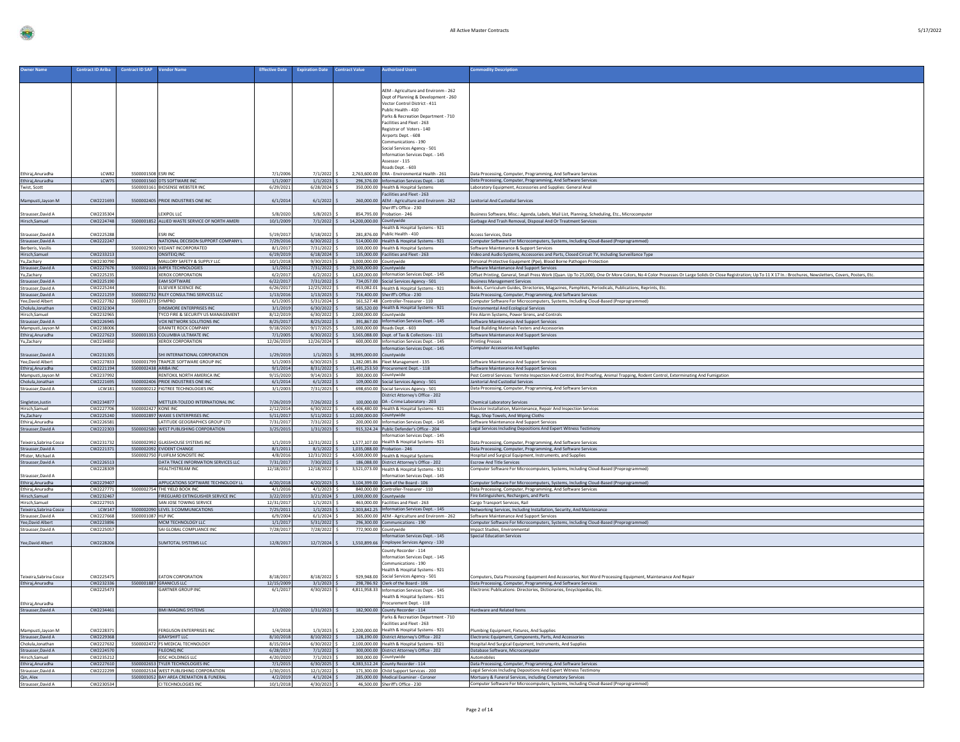| <b>Owner Name</b>                             | <b>Contract ID Ariba</b> | Contract ID SAP      | <b>Vendor Name</b>                                                      | <b>Effective Date</b>  | <b>Expiration Date</b>         | <b>Contract Value</b>    | <b>Luthorized Users</b>                                                                      | <b>Commodity Description</b>                                                                                                                                                                                                                                   |
|-----------------------------------------------|--------------------------|----------------------|-------------------------------------------------------------------------|------------------------|--------------------------------|--------------------------|----------------------------------------------------------------------------------------------|----------------------------------------------------------------------------------------------------------------------------------------------------------------------------------------------------------------------------------------------------------------|
|                                               |                          |                      |                                                                         |                        |                                |                          |                                                                                              |                                                                                                                                                                                                                                                                |
|                                               |                          |                      |                                                                         |                        |                                |                          | AEM - Agriculture and Environm - 262                                                         |                                                                                                                                                                                                                                                                |
|                                               |                          |                      |                                                                         |                        |                                |                          | Dept of Planning & Development - 260<br>Vector Control District - 411                        |                                                                                                                                                                                                                                                                |
|                                               |                          |                      |                                                                         |                        |                                |                          | Public Health - 410                                                                          |                                                                                                                                                                                                                                                                |
|                                               |                          |                      |                                                                         |                        |                                |                          | Parks & Recreation Department - 710<br>Facilities and Fleet - 263                            |                                                                                                                                                                                                                                                                |
|                                               |                          |                      |                                                                         |                        |                                |                          | Registrar of Voters - 140                                                                    |                                                                                                                                                                                                                                                                |
|                                               |                          |                      |                                                                         |                        |                                |                          | Airports Dept. - 608<br>Communications - 190                                                 |                                                                                                                                                                                                                                                                |
|                                               |                          |                      |                                                                         |                        |                                |                          | Social Services Agency - 501                                                                 |                                                                                                                                                                                                                                                                |
|                                               |                          |                      |                                                                         |                        |                                |                          | Information Services Dept. - 145<br>Assessor - 115                                           |                                                                                                                                                                                                                                                                |
|                                               |                          |                      |                                                                         |                        |                                |                          | Roads Dept. - 603                                                                            |                                                                                                                                                                                                                                                                |
| Ethiraj, Anuradha<br>Ethiraj, Anuradha        | LCW82<br>LCW75           | 5500001508 ESRI INC  | 5500001560 DTS SOFTWARE INC                                             | 7/1/2006<br>1/1/2007   | 7/1/2022<br>$1/1/2023$ \$      |                          | 2.763.600.00 ERA - Environmental Health - 261<br>296,376.00 Information Services Dept. - 145 | Data Processing, Computer, Programming, And Software Services                                                                                                                                                                                                  |
| Twist, Scott                                  |                          |                      | 5500003161 BIOSENSE WEBSTER INC                                         | 6/29/2021              | $6/28/2024$ \$                 |                          | 350,000.00 Health & Hospital Systems                                                         | Data Processing, Computer, Programming, And Software Services<br>Laboratory Equipment, Accessories and Supplies: General Anal                                                                                                                                  |
|                                               |                          |                      |                                                                         |                        |                                |                          | Facilities and Fleet - 263                                                                   |                                                                                                                                                                                                                                                                |
| Mampusti, Jayson M                            | CW2221693                |                      | 5500002405 PRIDE INDUSTRIES ONE INC                                     | 6/1/2014               | 6/1/2022                       |                          | 260,000.00 AEM - Agriculture and Environm - 262<br>Sheriff's Office - 230                    | anitorial And Custodial Services                                                                                                                                                                                                                               |
| Strausser.David A                             | CW2235304                |                      | <b>EXIPOLITC</b>                                                        | 5/8/2020               | 5/8/2023                       |                          | 854,795.00 Probation - 246                                                                   | usiness Software, Misc.: Agenda, Labels, Mail List, Planning, Scheduling, Etc., Microcomputer                                                                                                                                                                  |
| Hirsch, Samuel                                | CW2224748                |                      | 5500001852 ALLIED WASTE SERVICE OF NORTH AMERI                          | 10/1/2009              | $7/1/2022$ \$                  | 14.200.000.00 Countywide | Health & Hospital Systems - 921                                                              | Garbage And Trash Removal, Disposal And Or Treatment Services                                                                                                                                                                                                  |
| Strausser, David A                            | CW2225288                |                      | <b>ESRI INC</b>                                                         | 5/19/201               | 5/18/2022                      |                          | 281.876.00 Public Health - 410                                                               | ccess Services, Data                                                                                                                                                                                                                                           |
| Strausser, David A<br>Berberis, Vasilis       | CW2222247                |                      | NATIONAL DECISION SUPPORT COMPANY L<br>5500002903 VEDANT INCORPORATED   | 7/29/2016<br>8/1/201   | 6/30/2022<br>7/31/2022         |                          | 514,000.00 Health & Hospital Systems - 921<br>100,000.00 Health & Hospital Systems           | Computer Software For Microcomputers, Systems, Including Cloud-Based (Preprogrammed)<br>Software Maintenance & Support Services                                                                                                                                |
| Hirsch.Samuel                                 | CW2233213                |                      | <b>ONSITEIO INC</b>                                                     | 6/19/2019              | $6/18/2024$ :                  |                          | 135,000.00 Facilities and Fleet - 263                                                        | Video and Audio Systems, Accessories and Parts, Closed Circuit TV, Including Surveillance Type                                                                                                                                                                 |
| Yu,Zachary                                    | CW2230790<br>CW2227676   |                      | MALLORY SAFETY & SUPPLY LLC<br>5500002116 IMPEX TECHNOLOGIES            | 10/1/2018              | 9/30/2023                      | 3,000,000.00 Countywide  |                                                                                              | Personal Protective Equipment (Ppe), Blood Borne Pathogen Protection                                                                                                                                                                                           |
| Strausser, David A<br>Yu,Zachary              | CW2225235                |                      | <b>XEROX CORPORATION</b>                                                | 1/1/201<br>6/2/201     | $7/31/2022$ \$<br>6/2/2022     | 29,300,000.00 Countywide | 1,620,000.00 Information Services Dept. - 145                                                | Software Maintenance And Support Services<br>Offset Printing, General, Small Press Work (Quan. Up To 25,000), One Or More Colors, No 4 Color Processes Or Large Solids Or Close Registration; Up To 11 X 17 In.: Brochures, Newsletters, Covers, Posters, Etc. |
| Strausser, David A                            | CW2225190                |                      | <b>EAM SOFTWARE</b>                                                     | 6/22/201               | $7/31/2022$ \$                 |                          | 734,057.00 Social Services Agency - 501                                                      | <b>Business Management Services</b>                                                                                                                                                                                                                            |
| Strausser.David A<br>Strausser, David A       | CW2225244<br>CW2221259   |                      | ELSEVIER SCIENCE INC.<br>5500002732 RILEY CONSULTING SERVICES LLC       | 6/26/201<br>1/13/2016  | 12/25/2022<br>1/13/2023        |                          | 453,082.01 Health & Hospital Systems - 921<br>716,400.00 Sheriff's Office - 230              | Books, Curriculum Guides, Directories, Magazines, Pamphlets, Periodicals, Publications, Reprints, Etc.<br>Data Processing, Computer, Programming, And Software Services                                                                                        |
| Yee, David Albert                             | CW2227782                | 5500001273 SYMPRO    |                                                                         | 6/1/200                | $5/31/2024$ \$                 |                          | 161,527.48 Controller-Treasurer - 110                                                        | Computer Software For Microcomputers, Systems, Including Cloud-Based (Preprogrammed)                                                                                                                                                                           |
| Cholula, Jonathan<br>Hirsch,Samuel            | CW2232304<br>CW2232965   |                      | DINSMORE ENTERPRISES INC<br>TYCO FIRE & SECURITY US MANAGEMENT          | 3/1/2019<br>8/12/201   | 6/30/2022<br>$6/30/2022$ \$    | 2,000,000.00 Countywide  | 585,520.00 Health & Hospital Systems - 921                                                   | <b>Environmental And Ecological Services</b><br>Fire Alarm Systems, Power Sirens, and Controls                                                                                                                                                                 |
| Strausser, David A                            | CW2226945                |                      | VOX NETWORK SOLUTIONS INC                                               | 8/25/2011              | $8/25/2022$ \$                 |                          | 391,867.00 Information Services Dept. - 145                                                  | Software Maintenance And Support Services                                                                                                                                                                                                                      |
| Mampusti Jayson M                             | CW2238006<br>CW2227623   |                      | <b>GRANITE ROCK COMPANY</b>                                             | 9/18/2020              | $9/17/2025$ \$                 |                          | 5.000.000.00 Roads Dent. - 603                                                               | Road Building Materials Testers and Accessories                                                                                                                                                                                                                |
| Ethiraj, Anuradha<br>Yu,Zachary               | CW2234850                |                      | 5500001353 COLUMBIA ULTIMATE INC<br><b>XEROX CORPORATION</b>            | 7/1/2005<br>12/26/201  | $6/30/2022$ \$<br>12/26/2024   |                          | 3,565,088.00 Dept. of Tax & Collections - 111<br>600,000.00 Information Services Dept. - 145 | Software Maintenance And Support Services<br><b>Printing Presses</b>                                                                                                                                                                                           |
|                                               |                          |                      |                                                                         |                        |                                |                          | Information Services Dept. - 145                                                             | <b>Computer Accessories And Supplies</b>                                                                                                                                                                                                                       |
| Strausser, David A<br>Yee, David Albert       | CW2231305<br>CW2227833   |                      | SHI INTERNATIONAL CORPORATION<br>5500001799 TRAPEZE SOFTWARE GROUP INC. | 1/29/2019<br>5/1/200   | $1/1/2023$ \$<br>$6/30/2023$ S | 38,995,000.00 Countywide | 1,382,085.86 Fleet Management - 135                                                          | Software Maintenance And Support Services                                                                                                                                                                                                                      |
| Ethiraj, Anuradha                             | CW2221194                | 5500002438 ARIBA INC |                                                                         | 9/1/2014               | $8/31/2022$ \$                 |                          | 15,491,253.50 Procurement Dept. - 118                                                        | Software Maintenance And Support Services                                                                                                                                                                                                                      |
| Mampusti, Jayson M<br>Cholula, Jonathan       | CW2237992<br>CW2221695   |                      | RENTOKIL NORTH AMERICA INC<br>5500002406 PRIDE INDUSTRIES ONE INC.      | 9/15/202<br>6/1/2014   | 9/14/2023<br>$6/1/2022$ \$     |                          | 300,000.00 Countywide<br>109,000.00 Social Services Agency - 501                             | Pest Control Services: Termite Inspection And Control, Bird Proofing, Animal Trapping, Rodent Control, Exterminating And Fumigation<br>Janitorial And Custodial Services                                                                                       |
| Strausser, David A                            | LCW181                   |                      | 5500000212 FIGTREE TECHNOLOGIES INC                                     | 3/1/2003               | $7/31/2023$ \$                 |                          | 698,650.00 Social Services Agency - 501                                                      | Data Processing, Computer, Programming, And Software Services                                                                                                                                                                                                  |
| Singleton, Justin                             | CW2234877                |                      | METTLER-TOLEDO INTERNATIONAL INC                                        | 7/26/2019              | 7/26/2022                      |                          | District Attorney's Office - 202<br>100,000.00 DA - Crime Laboratory - 203                   | Chemical Laboratory Services                                                                                                                                                                                                                                   |
| Hirsch, Samuel                                | CW2227706                | 5500002427 KONE INC  |                                                                         | 2/12/201               | $6/30/2022$ \$                 |                          | 4,406,480.00 Health & Hospital Systems - 921                                                 | Elevator Installation, Maintenance, Repair And Inspection Services                                                                                                                                                                                             |
| Yu,Zachary<br>Ethirai.Anuradha                | CW2225240<br>CW2226581   |                      | 5500002897 WAXIE S ENTERPRISES INC<br>LATITUDE GEOGRAPHICS GROUP LTD    | 5/11/201<br>7/31/201   | $5/11/2022$ \$<br>7/31/2022    | 12,000,000.00 Countywide | 200.000.00 Information Services Dept. - 145                                                  | Rags, Shop Towels, And Wiping Cloths                                                                                                                                                                                                                           |
| Strausser, David A                            | CW2222303                |                      | 5500002580 WEST PUBLISHING CORPORATION                                  | 3/25/201               | 1/31/2023                      |                          | 915,324.24 Public Defender's Office - 204                                                    | Software Maintenance And Support Services<br>Legal Services Including Depositions And Expert Witness Testimony                                                                                                                                                 |
|                                               |                          | 5500002992           |                                                                         |                        |                                |                          | Information Services Dept. - 145                                                             |                                                                                                                                                                                                                                                                |
| Teixeira, Sabrina Cosce<br>Strausser, David A | CW2231732<br>CW2221371   |                      | <b>GLASSHOUSE SYSTEMS INC</b><br>5500002092 EVIDENT CHANGE              | 1/1/2019<br>8/1/2011   | 12/31/2022<br>$8/1/2022$ \$    |                          | 1,577,107.00 Health & Hospital Systems - 921<br>1.035.088.00 Probation - 246                 | Data Processing, Computer, Programming, And Software Services<br>Data Processing, Computer, Programming, And Software Services                                                                                                                                 |
| Pfister, Michael A                            |                          |                      | 5500002750 FUJIFILM SONOSITE INC                                        | 4/8/201                | 12/31/2022                     |                          | 4.500.000.00 Health & Hospital Systems                                                       | Hospital and Surgical Equipment, Instruments, and Supplies                                                                                                                                                                                                     |
| Strausser.David A                             | CW2226513<br>CW2228309   |                      | DATA TRACE INFORMATION SERVICES LLC<br>HEALTHSTREAM INC.                | 7/31/201<br>12/18/201  | 7/30/2022 S<br>12/18/2022      |                          | 186,088.00 District Attorney's Office - 202<br>3,521,073.00 Health & Hospital Systems - 921  | <b>Escrow And Title Services</b><br>Computer Software For Microcomputers, Systems, Including Cloud-Based (Preprogrammed)                                                                                                                                       |
| Strausser, David A                            |                          |                      |                                                                         |                        |                                |                          | Information Services Dept. - 145                                                             |                                                                                                                                                                                                                                                                |
| Ethiraj, Anuradha<br>Ethirai.Anuradha         | CW2229407<br>CW2227771   |                      | APPLICATIONS SOFTWARE TECHNOLOGY LL<br>5500002754 THE YIELD BOOK INC    | 4/20/2018<br>4/1/201   | $4/20/2023$ S<br>4/1/2023      |                          | 3,104,399.00 Clerk of the Board - 106<br>840.000.00 Controller-Treasurer - 110               | Computer Software For Microcomputers, Systems, Including Cloud-Based (Preprogrammed)<br>Data Processing, Computer, Programming, And Software Services                                                                                                          |
| Hirsch, Samuel                                | CW2232467                |                      | FIREGUARD EXTINGUISHER SERVICE INC.                                     | 3/22/2019              | 3/21/2024                      | 1,000,000.00 Countywide  |                                                                                              | Fire Extinguishers, Rechargers, and Parts                                                                                                                                                                                                                      |
| Hirsch.Samuel<br>Teixeira, Sabrina Cosce      | CW2227915<br>LCW147      |                      | SAN IOSE TOWING SERVICE<br>5500002090 LEVEL 3 COMMUNICATIONS            | 12/31/2017<br>7/25/201 | $1/1/2023$ \$<br>1/1/2023      |                          | 463,000,00 Facilities and Elect - 263<br>2,303,842.25 Information Services Dept. - 145       | Cargo Transport Services, Rail                                                                                                                                                                                                                                 |
| Strausser, David A                            | CW2227668                | 5500001087 HLP INC   |                                                                         | 6/9/2004               | 6/1/2024                       |                          | 365,000.00 AEM - Agriculture and Environm - 262                                              | Networking Services, Including Installation, Security, And Maintenance<br>Software Maintenance And Support Services                                                                                                                                            |
| Yee, David Albert<br>Strausser.David A        | CW2223896<br>CW2225057   |                      | MCM TECHNOLOGY LLC<br>SAI GLOBAL COMPLIANCE INC                         | 1/1/2017<br>7/28/2017  | 5/31/2022<br>7/28/2022 S       |                          | 296.300.00 Communications - 190<br>772,900.00 Countywide                                     | Computer Software For Microcomputers, Systems, Including Cloud-Based (Preprogrammed)<br>Impact Studies, Environmental                                                                                                                                          |
|                                               |                          |                      |                                                                         |                        |                                |                          | Information Services Dept. - 145                                                             | <b>Special Education Services</b>                                                                                                                                                                                                                              |
| Yee, David Albert                             | CW2228206                |                      | SUMTOTAL SYSTEMS LLC                                                    | 12/8/2011              | 12/7/2024                      |                          | 1,550,899.66 Employee Services Agency - 130                                                  |                                                                                                                                                                                                                                                                |
|                                               |                          |                      |                                                                         |                        |                                |                          | County Recorder - 114<br>Information Services Dept. - 145                                    |                                                                                                                                                                                                                                                                |
|                                               |                          |                      |                                                                         |                        |                                |                          | Communications - 190                                                                         |                                                                                                                                                                                                                                                                |
| Teixeira, Sabrina Cosce                       | CW222547                 |                      | <b>EATON CORPORATION</b>                                                | 8/18/201               | 8/18/2022                      |                          | Health & Hospital Systems - 921<br>929,948.00 Social Services Agency - 501                   | nputers, Data Processing Equipment And Accessories, Not Word Processing Equipment, Maintenance And Repair                                                                                                                                                      |
| Ethiraj, Anuradha                             | CW2232336                |                      | 5500001887 GRANICUS LLC                                                 | 12/15/2009             | $3/1/2023$ \$                  |                          | 298,786.92 Clerk of the Board - 106                                                          | Data Processing, Computer, Programming, And Software Services                                                                                                                                                                                                  |
|                                               | CW2225473                |                      | <b>SARTNER GROUP INC</b>                                                | 6/1/201                | 4/30/2023                      |                          | 4,811,958.33 Information Services Dept. - 145<br>Health & Hospital Systems - 921             | lectronic Publications: Directories, Dictionaries, Encyclopedias, Etc.                                                                                                                                                                                         |
| Ethiraj, Anuradha                             |                          |                      |                                                                         |                        |                                |                          | Procurement Dept. - 118                                                                      |                                                                                                                                                                                                                                                                |
| Strausser, David A                            | CW2234461                |                      | BMI IMAGING SYSTEMS                                                     | 2/1/2020               | $1/31/2023$ \$                 |                          | 182,900.00 County Recorder - 114                                                             | Hardware and Related Items                                                                                                                                                                                                                                     |
|                                               |                          |                      |                                                                         |                        |                                |                          | Parks & Recreation Department - 710<br>Facilities and Fleet - 263                            |                                                                                                                                                                                                                                                                |
| Mampusti, Jayson M                            | CW2228371                |                      | <b>FERGUSON ENTERPRISES INC.</b>                                        | 1/4/2011               | 1/3/2023                       |                          | 2.200.000.00 Health & Hospital Systems - 921                                                 | umbing Equipment, Fixtures, And Supplies                                                                                                                                                                                                                       |
| Strausser, David A<br>Cholula, Jonathan       | CW2229368<br>CW2227632   |                      | <b>GRAYSHIFT II C</b><br>5500002472 FS MEDICAL TECHNOLOGY               | 8/10/2018<br>8/15/201  | $8/10/2022$ \$<br>6/30/2022    |                          | 128,190.00 District Attorney's Office - 202<br>2,100,000.00 Health & Hospital Systems - 921  | Electronic Equipment, Components, Parts, And Accessories<br>Hospital And Surgical Equipment, Instruments, And Supplies                                                                                                                                         |
| Strausser, David A                            | CW2224570                |                      | FILEONQ INC                                                             | 6/28/2017              | $7/1/2022$ :                   |                          | 300,000.00 District Attorney's Office - 202                                                  | Database Software, Microcomputer                                                                                                                                                                                                                               |
| Hirsch.Samuel<br>Ethiraj, Anuradha            | CW2235212<br>CW2227610   |                      | <b>IDSC HOLDINGS LLC</b><br>5500002653 TYLER TECHNOLOGIES INC           | 4/20/202<br>7/1/2015   | 7/1/2023<br>$6/30/2025$ S      |                          | 300,000.00 Countywide<br>4,383,512.24 County Recorder - 114                                  | Automobiles                                                                                                                                                                                                                                                    |
| Strausser.David A                             | CW2222299                |                      | 5500002534 WEST PUBLISHING CORPORATION                                  | 1/30/2019              | $12/1/2022$ \$                 |                          | 171,300.00 Child Support Services - 200                                                      | Data Processing, Computer, Programming, And Software Services<br>Legal Services Including Depositions And Expert Witness Testimony                                                                                                                             |
| Qin, Alex                                     |                          |                      | 5500003052 BAY AREA CREMATION & FUNERAL                                 | 4/2/201                | $4/1/2024$ \$                  |                          | 285,000.00 Medical Examiner - Coroner                                                        | Mortuary & Funeral Services, including Crematory Services                                                                                                                                                                                                      |
| Strausser, David A                            | CW2230534                |                      | CI TECHNOLOGIES INC                                                     | 10/1/2011              | $4/30/2023$ \$                 |                          | 46,500.00 Sheriff's Office - 230                                                             | Computer Software For Microcomputers, Systems, Including Cloud-Based (Preprogrammed)                                                                                                                                                                           |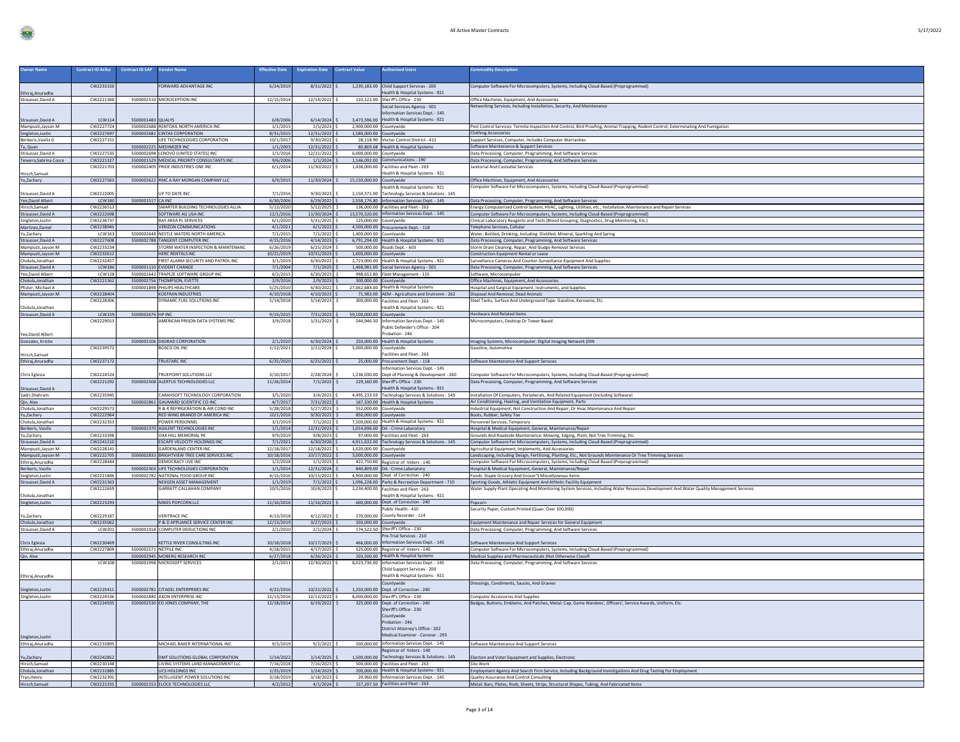| <b>Owner Name</b>                        | <b>Contract ID Ariba</b> | <b>Contract ID SAP</b> |                                                                                     | <b>Effective Date</b>    | <b>Expiration Date</b>          | <b>Contract Value</b>    | <b>Authorized Users</b>                                                                     | <b>Commodity Description</b>                                                                                                                                                        |
|------------------------------------------|--------------------------|------------------------|-------------------------------------------------------------------------------------|--------------------------|---------------------------------|--------------------------|---------------------------------------------------------------------------------------------|-------------------------------------------------------------------------------------------------------------------------------------------------------------------------------------|
|                                          |                          |                        | <b>Vendor Name</b>                                                                  |                          |                                 |                          |                                                                                             |                                                                                                                                                                                     |
|                                          | CW2233150                |                        | ORWARD ADVANTAGE INC                                                                | 6/24/2019                | $8/31/2022$ \$                  |                          | 1,230,183.00 Child Support Services - 200                                                   | Computer Software For Microcomputers, Systems, Including Cloud-Based (Preprogrammed)                                                                                                |
| Ethiraj, Anuradha                        |                          |                        |                                                                                     |                          |                                 |                          | Health & Hospital Systems - 921                                                             |                                                                                                                                                                                     |
| Strausser.David A                        | CW2221360                |                        | 5500002510 MICROCEPTION INC.                                                        | 12/15/2014               | 12/14/2022                      |                          | 133.122.00 Sheriff's Office - 230                                                           | Office Machines, Equipment, And Accessories                                                                                                                                         |
|                                          |                          |                        |                                                                                     |                          |                                 |                          | Social Services Agency - 501<br><b>Information Services Dept. - 145</b>                     | Networking Services, Including Installation, Security, And Maintenance                                                                                                              |
| Strausser, David A                       | <b>LCW114</b>            | 5500001483 QUALYS      |                                                                                     | 6/8/2006                 | 6/14/2024                       |                          | 3,473,596.00 Health & Hospital Systems - 921                                                |                                                                                                                                                                                     |
| Mampusti, Jayson M                       | CW2227724                |                        | 5500002688 RENTOKIL NORTH AMERICA INC                                               | 1/1/2015                 | $1/1/2023$ S                    |                          | 2,900,000.00 Countywide                                                                     | Pest Control Services: Termite Inspection And Control, Bird Proofing, Animal Trapping, Rodent Control, Exterminating And Fumigation                                                 |
| Singleton, Justin<br>Berberis, Vasilis G | CW2227697<br>CW2227151   |                        | 5500002681 CINTAS CORPORATION<br>LIFE TECHNOLOGIES CORPORATION                      | 8/31/2015<br>10/1/2017   | $12/31/2022$ \$<br>9/30/2022    |                          | 1,580,000.00 Countywide<br>28,118.90 Vector Control District - 411                          | <b>Clothing Accessories</b><br>Support Services, Computer, Includes Computer Warranties                                                                                             |
| Tu, Quan                                 |                          |                        | 5500002225 MEDIMIZER INC                                                            | 1/1/2003                 | 12/31/2022                      |                          | 80,869.68 Health & Hospital System:                                                         | Software Maintenance & Support Services                                                                                                                                             |
| Strausser, David A                       | CW2227535                |                        | 5500002698 LENOVO (UNITED STATES) INC                                               | 1/1/2016                 | 12/31/2022 \$                   |                          | 6,000,000.00 Countywide                                                                     | Data Processing, Computer, Programming, And Software Services                                                                                                                       |
| Teixeira, Sabrina Cosce                  | CW2221327<br>CW2221703   |                        | 5500001529 MEDICAL PRIORITY CONSULTANTS INC<br>5500002409 PRIDE INDUSTRIES ONE INC. | 9/6/2006<br>6/1/2014     | $1/1/2024$ \$<br>11/30/2022     |                          | 1,146,092.00 Communications - 190<br>1.438.000.00 Facilities and Fleet - 263                | Data Processing, Computer, Programming, And Software Services<br>anitorial And Custodial Services                                                                                   |
| Hirsch, Samue                            |                          |                        |                                                                                     |                          |                                 |                          | Health & Hospital Systems - 921                                                             |                                                                                                                                                                                     |
| Yu,Zachary                               | CW2227563                |                        | 5500002622 RMC A RAY MORGAN COMPANY LLC                                             | 6/9/2015                 | 11/30/2024                      | 15,150,000.00 Countywide |                                                                                             | Office Machines, Equipment, And Accessories                                                                                                                                         |
| Strausser, David A                       | CW222200                 |                        | JP TO DATE INC                                                                      | 7/1/2016                 | 9/30/2023                       |                          | Health & Hospital Systems - 921<br>2.150.371.00 Technology Services & Solutions - 145       | Computer Software For Microcomputers, Systems, Including Cloud-Based (Preprogrammed)                                                                                                |
| Yee, David Albert                        | ICW180                   | 5500001517 CA INC      |                                                                                     | 6/30/2006                | $6/29/2022$ S                   |                          | 2.558.176.80 Information Services Dept. - 145                                               | Data Processing, Computer, Programming, And Software Services                                                                                                                       |
| Hirsch, Samuel                           | CW2236513                |                        | SMARTER BUILDING TECHNOLOGIES ALLIA                                                 | 5/13/2020                | 5/12/2025                       |                          | 136,000.00 Facilities and Fleet - 263                                                       | Energy Computerized Control System, HVAC, Lighting, Utilities, etc., Installation, Maintenance and Repair Services                                                                  |
| Strausser, David A<br>Singleton, Justin  | CW2222698<br>CW2236737   |                        | SOFTWARE AG USA INC<br><b>BAY AREA PL SERVICES</b>                                  | 12/1/2016<br>6/1/2020    | 11/30/2024<br>5/31/2025         |                          | 13.570.520.00 Information Services Dept. - 145<br>125,000.00 Countywide                     | Computer Software For Microcomputers, Systems, Including Cloud-Based (Preprogrammed)<br>Clinical Laboratory Reagents and Tests (Blood Grouping, Diagnostics, Drug Monitoring, Etc.) |
| Martinez, Daniel                         | CW2238945                |                        | <b>VERIZON COMMUNICATIONS</b>                                                       | 4/1/2021                 | 6/1/2022                        |                          | 4.500.000.00 Procurement Dept. - 118                                                        | Telephone Services, Cellular                                                                                                                                                        |
| Yu,Zachary                               | <b>ICW163</b>            |                        | 5500002648 NESTLE WATERS NORTH AMERICA                                              | 7/1/2015                 | 7/1/2022                        |                          | 1,400,000.00 Countywide                                                                     | Water, Bottled, Drinking, Including Distilled, Mineral, Sparkling And Spring                                                                                                        |
| Strausser, David A<br>Mampusti, Jayson M | CW2227608<br>CW2233234   |                        | 5500002788 TANGENT COMPUTER INC<br>STORM WATER INSPECTION & MAINTENANC              | 4/15/2016<br>6/26/2019   | 4/14/2023<br>6/25/2024          |                          | 6,791,294.00 Health & Hospital Systems - 921<br>500,000.00 Roads Dept. - 603                | Data Processing, Computer, Programming, And Software Services<br>Storm Drain Cleaning, Repair, And Sludge Removal Services                                                          |
| Mampusti, Jayson M                       | CW2232612                |                        | HERC RENTALS INC                                                                    | 10/21/2019               | $10/31/2023$ :                  |                          | 1,600,000.00 Countywide                                                                     | Construction Equipment Rental or Lease                                                                                                                                              |
| Cholula, Jonathan                        | CW2232457                |                        | FIRST ALARM SECURITY AND PATROL INC                                                 | 3/1/2019                 | 6/30/2022                       |                          | 2,723,000.00 Health & Hospital Systems - 921                                                | Surveillance Cameras And Counter-Surveillance Equipment And Supplies                                                                                                                |
| Strausser, David A<br>Yee, David Albert  | LCW186<br><b>LCW128</b>  |                        | 5500001110 EVIDENT CHANGE<br>5500002642 TRAPEZE SOFTWARE GROUP INC                  | 7/1/2004<br>6/2/2015     | $7/1/2025$ :<br>$6/30/2023$ \$  |                          | 1,468,981.00 Social Services Agency - 501<br>998,652.80 Fleet Management - 135              | Data Processing, Computer, Programming, And Software Services<br>Software, Microcomputer                                                                                            |
| Cholula, Jonathan                        | CW2221362                |                        | 5500002756 THOMPSON, EVETTE                                                         | 2/9/2016                 | 2/9/2023                        |                          | 300,000.00 Countywide                                                                       | Office Machines, Equipment, And Accessories                                                                                                                                         |
| Pfister, Michael A                       | CW2228404                |                        | 5500001898 PHILIPS HEALTHCARE<br><b>KOEFRAN INDUSTRIES</b>                          | 5/25/2010<br>4/10/2018   | 6/30/2022                       |                          | 27,062,683.00 Health & Hospital Systems<br>71,983.00 AEM - Agriculture and Environm - 262   | Hospital and Surgical Equipment, Instruments, and Supplies                                                                                                                          |
| Mampusti, Jayson M                       | CW2228306                |                        | <b><i>OYNAMIC FUEL SOLUTIONS INC</i></b>                                            | 5/14/2018                | 4/10/2023<br>5/14/2023          |                          | 300,000,00 Facilities and Fleet - 263                                                       | Disposal And Removal, Dead Animals<br>Steel Tanks, Surface And Underground Type: Gasoline, Kerosene, Etc.                                                                           |
| Cholula, Jonathan                        |                          |                        |                                                                                     |                          |                                 |                          | Health & Hospital Systems - 921                                                             |                                                                                                                                                                                     |
| Strausser, David A                       | <b>LCW159</b>            | 5500002676 HP INC      | AMERICAN PRISON DATA SYSTEMS PBC                                                    | 9/15/2015                | 7/31/2023                       | 59,100,000.00 Countywide |                                                                                             | Hardware And Related Items                                                                                                                                                          |
|                                          | CW222901                 |                        |                                                                                     | 3/9/2018                 | 1/31/2023                       |                          | 544,946.50 Information Services Dept. - 145<br>Public Defender's Office - 204               | Microcomputers, Desktop Or Tower Based                                                                                                                                              |
| Yee, David Albert                        |                          |                        |                                                                                     |                          |                                 |                          | Probation - 246                                                                             |                                                                                                                                                                                     |
| Gonzales, Kristie                        | CW223957                 |                        | 5500003106 DIGIRAD CORPORATION<br><b>BOSCO OIL INC</b>                              | 2/1/2020<br>1/12/202     | 6/30/2024<br>1/11/2024          |                          | 250,000.00 Health & Hospital Systems                                                        | Imaging Systems, Microcomputer: Digital Imaging Network (DIN                                                                                                                        |
| Hirsch, Samuel                           |                          |                        |                                                                                     |                          |                                 | 5,000,000.00 Countywide  | Facilities and Fleet - 263                                                                  | Gasoline, Automotive                                                                                                                                                                |
| Ethiraj, Anuradha                        | CW2237172                |                        | <b>TRUSTARC INC</b>                                                                 | 6/25/2020                | $6/25/2022$ \$                  |                          | 25,000.00 Procurement Dept. - 118                                                           | Software Maintenance And Support Services                                                                                                                                           |
|                                          | CW2224524                |                        | <b><i>IRUEPOINT SOLUTIONS LLC</i></b>                                               | 3/10/2017                | 2/28/2024                       |                          | Information Services Dept. - 145                                                            |                                                                                                                                                                                     |
| Chris Eglesia                            | CW2221292                |                        | 5500002508 ALERTUS TECHNOLOGIES LLC                                                 | 11/26/2014               | 7/1/2022                        |                          | 1,236,030.00 Dept of Planning & Development - 260<br>229,160.00 Sheriff's Office - 230      | omputer Software For Microcomputers, Systems, Including Cloud-Based (Preprogrammed)<br>Data Processing, Computer, Programming, And Software Services                                |
| Strausser, David A                       |                          |                        |                                                                                     |                          |                                 |                          | Health & Hospital Systems - 921                                                             |                                                                                                                                                                                     |
| Sadri, Shahram                           | CW2235945                |                        | CARAHSOFT TECHNOLOGY CORPORATION<br>5500002861 GAUMARD SCIENTIFIC CO INC            | 3/5/2020<br>4/7/2017     | 3/4/2023<br>7/31/2022           |                          | 4,495,233.59 Technology Services & Solutions - 145<br>167,330.00 Health & Hospital Systems  | Installation Of Computers, Peripherals, And Related Equipment (Including Software)<br>Air Conditioning, Heating, and Ventilation Equipment, Parts                                   |
| Qin, Alex<br>Cholula, Jonathan           | CW2229573                |                        | <b>R &amp; R REERIGERATION &amp; AIR COND INC</b>                                   | 5/28/2018                | 5/27/2023                       |                          | 552,000.00 Countywide                                                                       | Industrial Equipment, Not Construction And Repair, Or Hvac Maintenance And Repair                                                                                                   |
| Yu,Zachary                               | CW2222964                |                        | RED WING BRANDS OF AMERICA INC                                                      | 10/1/2016                | 9/30/2022                       |                          | 850,000.00 Countywide                                                                       | Boots, Rubber, Safety Toe                                                                                                                                                           |
| Cholula, Jonathar<br>Berberis, Vasilis   | CW2232353                |                        | POWER PERSONNEL<br>5500002370 AGILENT TECHNOLOGIES INC                              | 3/1/2019<br>1/1/2014     | 7/1/2022<br>12/31/2023          |                          | 7,500,000.00 Health & Hospital Systems - 921<br>1,014,696.00 DA - Crime Laboratory          | Personnel Services, Temporary<br>Hospital & Medical Equipment, General, Maintenance/Repair                                                                                          |
| Yu,Zachary                               | CW2233398                |                        | OAK HILL MEMORIAL PK                                                                | 9/9/2019                 | 9/8/2023                        |                          | 97,000,00 Facilities and Fleet - 263                                                        | Grounds And Roadside Maintenance: Mowing, Edging, Plant, Not Tree Trimming, Etc.                                                                                                    |
| Strausser, David A                       | CW2241210                |                        | ESCAPE VELOCITY HOLDINGS INC                                                        | 7/1/2021                 | $6/30/2026$ \$                  |                          | 4,911,632.00 Technology Services & Solutions - 145                                          | Computer Software For Microcomputers, Systems, Including Cloud-Based (Preprogrammed)                                                                                                |
| Mampusti, Jayson M<br>Mampusti, Jayson M | CW2228141<br>CW2222705   |                        | <b>GARDENLAND CENTER INC</b><br>5500002833 BRIGHTVIEW TREE CARE SERVICES INC        | 12/18/2017<br>10/18/2016 | 12/18/2022<br>10/17/2022        |                          | 1,020,000.00 Countywide<br>3,000,000.00 Countywide                                          | Agricultural Equipment, Implements, And Accessories<br>Landscaping, Including Design, Fertilizing, Planting, Etc., Not Grounds Maintenance Or Tree Trimming Services                |
| Ethiraj, Anuradha                        | CW2228444                |                        | DEMOCRACY LIVE INC                                                                  | 1/2/2018                 | 1/1/2023                        |                          | 422,750.00 Registrar of Voters - 140                                                        | Computer Software For Microcomputers, Systems, Including Cloud-Based (Preprogrammed)                                                                                                |
| Berberis, Vasilis                        | CW2221846                |                        | 5500002303 LIFE TECHNOLOGIES CORPORATION<br>5500002782 NATIONAL FOOD GROUP INC      | 1/1/2014<br>4/15/2016    | $12/31/2024$ :                  |                          | 840.809.00 DA - Crime Laboratory                                                            | Hospital & Medical Equipment, General, Maintenance/Repair                                                                                                                           |
| Singleton, Justin<br>Strausser, David A  | CW2231363                |                        | NEXGEN ASSET MANAGEMENT                                                             | 1/1/2019                 | $10/15/2022$ :<br>$7/1/2022$ \$ |                          | 4,900,000.00 Dept. of Correction - 240<br>1,096,228.00 Parks & Recreation Department - 710  | Foods: Staple Grocery And Grocer'S Miscellaneous Items<br>Sporting Goods, Athletic Equipment And Athletic Facility Equipment                                                        |
|                                          | CW2222659                |                        | GARRATT-CALLAHAN COMPANY                                                            | 10/5/2016                | 10/4/2023                       |                          | 2,234,400.00 Facilities and Fleet - 263                                                     | Water Supply Plant Operating And Monitoring System Services, Including Water Resources Development And Water Quality Management Services                                            |
| Cholula, Jonathan<br>Singleton, Justin   | CW2223293                |                        | MIKES POPCORN LLC                                                                   | 11/16/2016               | 11/16/2022                      |                          | Health & Hospital Systems - 921<br>600.000.00 Dept. of Correction - 240                     | Popcorn                                                                                                                                                                             |
|                                          |                          |                        |                                                                                     |                          |                                 |                          | Public Health - 410                                                                         | Security Paper, Custom Printed (Quan. Over 100,000)                                                                                                                                 |
| Yu,Zachary                               | CW2229187                |                        | <b>VERITRACE INC</b>                                                                | 4/13/2018                | 4/12/2023                       |                          | 270,000.00 County Recorder - 114                                                            |                                                                                                                                                                                     |
| Cholula, Jonathan<br>Strausser, David A  | CW2235062<br>LCW201      |                        | P & D APPLIANCE SERVICE CENTER INC<br>5500001918 COMPUTER DEDUCTIONS INC            | 12/13/2019<br>2/1/2010   | 3/27/2023<br>2/1/2024           |                          | 350,000.00 Countywide<br>174,522.50 Sheriff's Office - 230                                  | Equipment Maintenance and Repair Services for General Equipment<br>Data Processing, Computer, Programming, And Software Services                                                    |
|                                          |                          |                        |                                                                                     |                          |                                 |                          | Pre-Trial Services - 210                                                                    |                                                                                                                                                                                     |
| Chris Eglesia                            | CW223046<br>CW2227809    |                        | KETTLE RIVER CONSULTING INC<br>5500002571 NETFILE INC                               | 10/18/2018<br>4/18/2015  | 10/17/2023<br>$4/17/2025$ \$    |                          | 466,000.00 Information Services Dept. - 145                                                 | Software Maintenance And Support Services                                                                                                                                           |
| Ethiraj, Anuradha<br>Qin, Alex           |                          |                        | 5500002945 MOBERG RESEARCH INC                                                      | 6/27/2018                | 6/26/2023                       |                          | 525,000.00 Registrar of Voters - 140<br>203,500.00 Health & Hospital Systems                | Computer Software For Microcomputers, Systems, Including Cloud-Based (Preprogrammed)<br>Medical Supplies and Pharmaceuticals (Not Otherwise Classifi                                |
|                                          | <b>LCW108</b>            |                        | 5500001998 MICROSOFT SERVICES                                                       | 2/1/2011                 | 12/30/2022 \$                   |                          | 8,023,736.00 Information Services Dept. - 145                                               | Data Processing, Computer, Programming, And Software Services                                                                                                                       |
|                                          |                          |                        |                                                                                     |                          |                                 |                          | Child Support Services - 200<br>Health & Hospital Systems - 921                             |                                                                                                                                                                                     |
| Ethiraj, Anuradha                        |                          |                        |                                                                                     |                          |                                 |                          | Countywide                                                                                  | Dressings, Condiments, Sauces, And Gravies                                                                                                                                          |
| Singleton, Justin                        | CW2225411                |                        | 5500002781 CITADEL ENTERPRISES INC                                                  | 4/22/201                 | $10/22/2022$ :                  |                          | 1,250,000.00 Dept. of Correction - 240                                                      |                                                                                                                                                                                     |
| Singleton, Justin                        | CW2224536                |                        | 5500002840 AXON ENTERPRISE INC<br>5500002530 ED JONES COMPANY, THE                  | 12/13/2016               | 12/12/2022 \$                   |                          | 8,000,000.00 Sheriff's Office - 230                                                         | <b>Computer Accessories And Supplies</b><br>Badges, Buttons, Emblems, And Patches, Metal; Cap, Game Wardens', Officers', Service Awards, Uniform, Etc.                              |
|                                          | CW2224935                |                        |                                                                                     | 12/18/2014               | $6/19/2022$ \$                  |                          | 325,000.00 Dept. of Correction - 240<br>Sheriff's Office - 230                              |                                                                                                                                                                                     |
|                                          |                          |                        |                                                                                     |                          |                                 |                          | Countywide                                                                                  |                                                                                                                                                                                     |
|                                          |                          |                        |                                                                                     |                          |                                 |                          | Probation - 246<br>District Attorney's Office - 202                                         |                                                                                                                                                                                     |
| Singleton, Justin                        |                          |                        |                                                                                     |                          |                                 |                          | Medical Examiner - Coroner - 293                                                            |                                                                                                                                                                                     |
| Ethiraj, Anuradha                        | CW2233895                |                        | MICHAEL BAKER INTERNATIONAL INC                                                     | 9/3/2019                 | $9/2/2022$ \$                   |                          | 500,000.00 Information Services Dept. - 145                                                 | Software Maintenance And Support Services                                                                                                                                           |
|                                          |                          |                        |                                                                                     | 1/14/2022                |                                 |                          | Registrar of Voters - 140                                                                   |                                                                                                                                                                                     |
| Yu,Zachary<br>Hirsch, Samuel             | CW2242852<br>CW2230148   |                        | DMT SOLUTIONS GLOBAL CORPORATION<br>LIVING SYSTEMS LAND MANAGEMENT LLC              | 7/16/2018                | 1/14/2025<br>7/16/2023          |                          | 1,500,000.00 Technology Services & Solutions - 145<br>500,000.00 Facilities and Fleet - 263 | Election and Voter Equipment and Supplies, Electronic<br>Site Work                                                                                                                  |
| Cholula, Jonathan                        | CW2231885                |                        | <b>UCS HOLDINGS INC</b>                                                             | 1/25/2019                | 1/24/2023                       |                          | 200.000.00 Health & Hospital Systems - 921                                                  | Employment Agency And Search Firm Service, Including Background Investigations And Drug Testing For Employment                                                                      |
| Tran, Henry<br>Hirsch, Samuel            | CW2232391<br>CW2221335   |                        | INTELLIGENT POWER SOLUTIONS INC<br>5500002153 ELOCK TECHNOLOGIES LLC                | 3/18/2019<br>4/2/2012    | $3/18/2023$ \$<br>$4/1/2024$ \$ |                          | 20,960.00 Information Services Dept. - 145<br>157,297.50 Facilities and Fleet - 263         | Quality Assurance And Control Consulting<br>Metal: Bars, Plates, Rods, Sheets, Strips, Structural Shapes, Tubing, And Fabricated Items                                              |
|                                          |                          |                        |                                                                                     |                          |                                 |                          |                                                                                             |                                                                                                                                                                                     |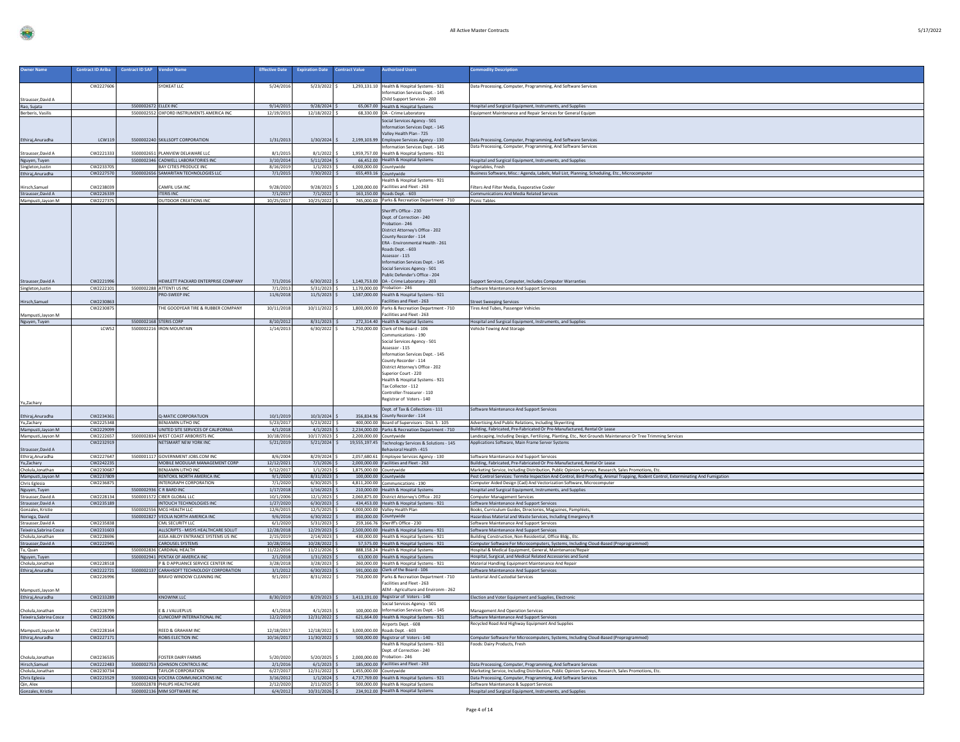|  | 5/ |
|--|----|

| <b>Owner Name</b>                        | <b>Contract ID Ariba</b> | <b>Contract ID SAP</b><br><b>Vendor Name</b>                          | <b>Effective Date</b>    | <b>Expiration Date</b>          | <b>Contract Value</b>   | uthorized Users                                                                                                                                                                                                                                                                                                      | nmodity Description                                                                                                                                                                                          |
|------------------------------------------|--------------------------|-----------------------------------------------------------------------|--------------------------|---------------------------------|-------------------------|----------------------------------------------------------------------------------------------------------------------------------------------------------------------------------------------------------------------------------------------------------------------------------------------------------------------|--------------------------------------------------------------------------------------------------------------------------------------------------------------------------------------------------------------|
|                                          |                          |                                                                       |                          |                                 |                         |                                                                                                                                                                                                                                                                                                                      |                                                                                                                                                                                                              |
|                                          | CW2227606                | YDKEAT LLC                                                            | 5/24/2016                | $5/23/2022$ \$                  |                         | 1,293,131.10 Health & Hospital Systems - 921<br>nformation Services Dept. - 145                                                                                                                                                                                                                                      | Data Processing, Computer, Programming, And Software Services                                                                                                                                                |
| Strausser, David A                       |                          |                                                                       |                          |                                 |                         | Child Support Services - 200                                                                                                                                                                                                                                                                                         |                                                                                                                                                                                                              |
| Rao, Sujata                              |                          | 5500002672 ELLEX INC                                                  | 9/14/2015                | $9/28/2024$ \$                  |                         | 65,067.00 Health & Hospital Systems                                                                                                                                                                                                                                                                                  | Hospital and Surgical Equipment, Instruments, and Supplies                                                                                                                                                   |
| Berberis, Vasilis                        |                          | 5500002552 OXFORD INSTRUMENTS AMERICA INC                             | 12/19/2015               | 12/18/2022 \$                   |                         | 68,330.00 DA - Crime Laboratory                                                                                                                                                                                                                                                                                      | Equipment Maintenance and Repair Services for General Equipm                                                                                                                                                 |
|                                          |                          |                                                                       |                          |                                 |                         | Social Services Agency - 501                                                                                                                                                                                                                                                                                         |                                                                                                                                                                                                              |
|                                          |                          |                                                                       |                          |                                 |                         | Information Services Dept. - 145<br>Valley Health Plan - 725                                                                                                                                                                                                                                                         |                                                                                                                                                                                                              |
| Ethiraj, Anuradha                        | LCW119                   | 5500002240 SKILLSOFT CORPORATION                                      | 1/31/2013                | $1/30/2024$ \$                  |                         | 2,199,103.99 Employee Services Agency - 130                                                                                                                                                                                                                                                                          | Data Processing, Computer, Programming, And Software Services                                                                                                                                                |
|                                          |                          |                                                                       |                          |                                 |                         | Information Services Dept. - 145                                                                                                                                                                                                                                                                                     | Data Processing, Computer, Programming, And Software Services                                                                                                                                                |
| Strausser, David A                       | CW2221333                | 5500002651 PLANVIEW DELAWARE LLC                                      | 8/1/2015                 | $8/1/2022$ \$                   |                         | 1,959,757.00 Health & Hospital Systems - 921                                                                                                                                                                                                                                                                         |                                                                                                                                                                                                              |
| Nguyen, Tuyen<br>Singleton, Justin       | CW2233705                | 5500002346 CADWELL LABORATORIES INC<br><b>BAY CITIES PRODUCE INC.</b> | 3/10/2014<br>8/16/2019   | $5/11/2024$ \$<br>$1/1/2023$ \$ | 4.000.000.00 Countywide | 66,452.00 Health & Hospital Systems                                                                                                                                                                                                                                                                                  | Hospital and Surgical Equipment, Instruments, and Supplies<br>Vegetables, Fresh                                                                                                                              |
| Ethiraj, Anuradha                        | CW2227570                | 5500002656 SAMARITAN TECHNOLOGIES LLC                                 | 7/1/2015                 | 7/30/2022 \$                    |                         | 655,493.16 Countywide                                                                                                                                                                                                                                                                                                | Business Software, Misc.: Agenda, Labels, Mail List, Planning, Scheduling, Etc., Microcomputer                                                                                                               |
|                                          |                          |                                                                       |                          |                                 |                         | ealth & Hospital Systems - 921                                                                                                                                                                                                                                                                                       |                                                                                                                                                                                                              |
| Hirsch, Samue                            | CW2238039                | AMFIL USA INC                                                         | 9/28/2020                | 9/28/2023                       | 1.200.000.00            | Facilities and Fleet - 263                                                                                                                                                                                                                                                                                           | Filters And Filter Media, Evaporative Cooler                                                                                                                                                                 |
| Strausser, David A<br>Mampusti, Jayson M | CW2226339<br>CW2227375   | <b>ITERIS INC</b><br>OUTDOOR CREATIONS INC                            | 7/1/2017<br>10/25/2017   | $7/1/2022$ \$<br>10/25/2022 \$  |                         | 163.150.00 Roads Dept. - 603<br>745,000.00 Parks & Recreation Department - 710                                                                                                                                                                                                                                       | <b>Communications And Media Related Services</b><br><b>Picnic Tables</b>                                                                                                                                     |
|                                          |                          |                                                                       |                          |                                 |                         |                                                                                                                                                                                                                                                                                                                      |                                                                                                                                                                                                              |
|                                          |                          |                                                                       |                          |                                 |                         | Sheriff's Office - 230<br>Dept. of Correction - 240<br>Probation - 246<br>District Attorney's Office - 202<br>County Recorder - 114<br>ERA - Environmental Health - 261<br>Roads Dept. - 603<br>Assessor - 115<br>Information Services Dept. - 145<br>Social Services Agency - 501<br>Public Defender's Office - 204 |                                                                                                                                                                                                              |
| Strausser, David A                       | CW2221996                | HEWLETT PACKARD ENTERPRISE COMPANY                                    | 7/1/2016                 | $6/30/2022$ \$                  |                         | 1,140,753.00 DA - Crime Laboratory - 203                                                                                                                                                                                                                                                                             | Support Services, Computer, Includes Computer Warranties                                                                                                                                                     |
| Singleton, Justin                        | CW2222101                | 5500002288 ATTENTI US INC                                             | 7/1/2013                 | $5/31/2023$ \$                  |                         | 1,170,000.00 Probation - 246                                                                                                                                                                                                                                                                                         | Software Maintenance And Support Services                                                                                                                                                                    |
|                                          |                          | PRO-SWEEP INC                                                         | 11/6/2018                | $11/5/2023$ \$                  |                         | 1,587,000.00 Health & Hospital Systems - 921<br>acilities and Fleet - 263                                                                                                                                                                                                                                            |                                                                                                                                                                                                              |
| Hirsch, Samuel                           | CW223086<br>CW2230875    | HE GOODYEAR TIRE & RUBBER COMPANY                                     | 10/11/2018               | 10/11/2022                      | 1,800,000.00            | Parks & Recreation Department - 710                                                                                                                                                                                                                                                                                  | Street Sweeping Services<br><b>Tires And Tubes, Passenger Vehicles</b>                                                                                                                                       |
| Mampusti, Jayson M                       |                          |                                                                       |                          |                                 |                         | acilities and Fleet - 263                                                                                                                                                                                                                                                                                            |                                                                                                                                                                                                              |
| Nguyen, Tuyen                            |                          | 5500002168 STERIS CORP                                                | 8/10/2012                | $8/31/2023$ \$                  |                         | 272,314.40 Health & Hospital Systems                                                                                                                                                                                                                                                                                 | Hospital and Surgical Equipment, Instruments, and Supplies                                                                                                                                                   |
|                                          | LCW52                    | 5500002216 IRON MOUNTAIN                                              | 1/14/2013                | $6/30/2022$ S                   |                         | 1,750,000.00 Clerk of the Board - 106<br>Communications - 190<br>Social Services Agency - 501<br>Assessor - 115<br>Information Services Dept. - 145<br>County Recorder - 114<br>District Attorney's Office - 202<br>Superior Court - 220<br>Health & Hospital Systems - 921<br>Tax Collector - 112                   | Vehicle Towing And Storage                                                                                                                                                                                   |
| Yu,Zachary<br>Ethiraj, Anuradha          | CW2234361                | Q-MATIC CORPORATUON                                                   | 10/1/2019                | 10/3/2024                       |                         | Controller-Treasurer - 110<br>Registrar of Voters - 140<br>Dept. of Tax & Collections - 111<br>356.834.96 County Recorder - 114                                                                                                                                                                                      | Software Maintenance And Support Services                                                                                                                                                                    |
| Yu,Zachary                               | CW2225348                | BENJAMIN LITHO INC                                                    | 5/23/2017                | $5/23/2022$ \$                  |                         | 400,000.00 Board of Supervisors - Dist. 5 - 105                                                                                                                                                                                                                                                                      | Advertising And Public Relations, Including Skywriting                                                                                                                                                       |
| Mampusti, Jayson M                       | CW2229099                | UNITED SITE SERVICES OF CALIFORNIA                                    | 4/1/2018                 | $4/1/2023$ \$                   |                         | 2,234,000.00 Parks & Recreation Department - 710                                                                                                                                                                                                                                                                     | Building, Fabricated, Pre-Fabricated Or Pre-Manufactured, Rental Or Lease                                                                                                                                    |
| Mampusti, Jayson M                       | CW2222657<br>CW2232919   | 5500002834 WEST COAST ARBORISTS INC<br>NETSMART NEW YORK INC          | 10/18/2016<br>5/21/2019  | 10/17/2023 \$<br>$5/21/2024$ \$ | 2,200,000.00 Countywide | 19,555,197.45 Technology Services & Solutions - 145                                                                                                                                                                                                                                                                  | Landscaping, Including Design, Fertilizing, Planting, Etc., Not Grounds Maintenance Or Tree Trimming Services<br>Applications Software, Main Frame Server Systems                                            |
| Strausser, David A                       |                          |                                                                       |                          |                                 |                         | ehavioral Health - 415                                                                                                                                                                                                                                                                                               |                                                                                                                                                                                                              |
| Ethiraj, Anuradha                        | CW2227647                | 5500001117 GOVERNMENT JOBS.COM INC                                    | 8/6/2004                 | 8/29/2024 S                     |                         | 2,057,680.61 Employee Services Agency - 130                                                                                                                                                                                                                                                                          | Software Maintenance And Support Services                                                                                                                                                                    |
| Yu,Zachary                               | CW2242235                | MOBILE MODULAR MANAGEMENT CORP                                        | 12/12/2021               | $7/1/2026$ S                    |                         | 2.000.000.00 Facilities and Fleet - 263                                                                                                                                                                                                                                                                              | Building, Fabricated, Pre-Fabricated Or Pre-Manufactured, Rental Or Lease                                                                                                                                    |
| Cholula, Jonathan                        | CW2230687                | BENJAMIN LITHO INC                                                    | 5/12/2017                | 1/1/2023                        | 1,875,000.00 Countywide |                                                                                                                                                                                                                                                                                                                      | Marketing Service, Including Distribution, Public Opinion Surveys, Research, Sales Promotions, Etc.                                                                                                          |
| Mampusti, Jayson M<br>Chris Eglesia      | CW2237809<br>CW2236875   | RENTOKIL NORTH AMERICA INC<br>INTERGRAPH CORPORATION                  | 9/1/2020<br>7/1/2020     | $8/31/2023$ \$<br>6/30/2025     |                         | 100,000.00 Countywide<br>4.811.200.00 Communications - 190                                                                                                                                                                                                                                                           | Pest Control Services: Termite Inspection And Control, Bird Proofing, Animal Trapping, Rodent Control, Exterminating And Fumigation<br>Computer Aided Design (Cad) And Vectorization Software, Microcomputer |
| Nguyen, Tuyen                            |                          | 5500002936 C R BARD INC                                               | 1/17/2018                | $1/16/2023$ \$                  |                         | 210,000.00 Health & Hospital Systems                                                                                                                                                                                                                                                                                 | Hospital and Surgical Equipment, Instruments, and Supplies                                                                                                                                                   |
| Strausser, David A                       | CW2228134                | 5500001572 CIBER GLOBAL LLC                                           | 10/1/2006                | 12/1/2023 \$                    |                         | 2,060,875.00 District Attorney's Office - 202                                                                                                                                                                                                                                                                        | <b>Computer Management Services</b>                                                                                                                                                                          |
| Strausser, David A                       | CW2235189                | INTOUCH TECHNOLOGIES INC                                              | 1/27/2020                | $6/30/2023$ \$                  |                         | 434,453.00 Health & Hospital Systems - 921                                                                                                                                                                                                                                                                           | Software Maintenance And Support Services                                                                                                                                                                    |
| Gonzales, Kristie<br>Noriega, David      |                          | 5500002556 MCG HEALTH LLC<br>5500002827 VEOLIA NORTH AMERICA INC      | 12/6/2015<br>9/6/2016    | 12/5/2025<br>$6/30/2022$ \$     |                         | 4,000,000.00 Valley Health Plan<br>850,000.00 Countywide                                                                                                                                                                                                                                                             | Books, Curriculum Guides, Directories, Magazines, Pamphlets,<br>Hazardous Material and Waste Services, Including Emergency R                                                                                 |
| Strausser, David A                       | CW2235838                | CML SECURITY LLC                                                      | 6/1/2020                 | $5/31/2023$ \$                  |                         | 259,166.76 Sheriff's Office - 230                                                                                                                                                                                                                                                                                    | Software Maintenance And Support Services                                                                                                                                                                    |
| Teixeira, Sabrina Cosce                  | CW2231603                | ALLSCRIPTS - MISYS HEALTHCARE SOLUT                                   | 12/28/2018               | 12/29/2023 \$                   |                         | 2,500,000.00 Health & Hospital Systems - 921                                                                                                                                                                                                                                                                         | Software Maintenance And Support Services                                                                                                                                                                    |
| Cholula, Jonathan                        | CW2228696                | ASSA ABLOY ENTRANCE SYSTEMS US INC                                    | 2/15/2019                | 2/14/2023                       |                         | 430,000.00 Health & Hospital Systems - 921                                                                                                                                                                                                                                                                           | Building Construction, Non-Residential, Office Bldg., Etc.                                                                                                                                                   |
| Strausser, David A<br>Tu. Quan           | CW2222945                | <b>CAROUSEL SYSTEMS</b><br>5500002836 CARDINAL HEALTH                 | 10/28/2016<br>11/22/2016 | 10/28/2022<br>11/21/2026 \$     |                         | 57,575.00 Health & Hospital Systems - 921<br>888,158.24 Health & Hospital Systems                                                                                                                                                                                                                                    | Computer Software For Microcomputers, Systems, Including Cloud-Based (Preprogrammed)<br>Hospital & Medical Equipment, General, Maintenance/Repair                                                            |
| Nguyen, Tuyen                            |                          | 5500002941 PENTAX OF AMERICA INC                                      | 2/1/2018                 | $1/31/2023$ \$                  |                         | 63,000.00 Health & Hospital Systems                                                                                                                                                                                                                                                                                  | Hospital, Surgical, and Medical Related Accessories and Sund                                                                                                                                                 |
| Cholula, Jonathan                        | CW2228518                | P & D APPLIANCE SERVICE CENTER INC.                                   | 3/28/2018                | $3/28/2023$ \$                  |                         | 260,000.00 Health & Hospital Systems - 921                                                                                                                                                                                                                                                                           | Material Handling Equipment Maintenance And Repair                                                                                                                                                           |
| Ethiraj, Anuradha                        | CW2222721                | 5500002137 CARAHSOFT TECHNOLOGY CORPORATION                           | 3/1/2012                 | $6/30/2023$ \$                  |                         | 591,000.00 Clerk of the Board - 106                                                                                                                                                                                                                                                                                  | Software Maintenance And Support Services                                                                                                                                                                    |
|                                          | CW222699                 | BRAVO WINDOW CLEANING INC                                             | 9/1/201                  | 8/31/2022                       | 750,000.00              | Parks & Recreation Department - 710<br>acilities and Fleet - 263                                                                                                                                                                                                                                                     | anitorial And Custodial Services                                                                                                                                                                             |
| Mampusti, Jayson M<br>Ethiraj, Anuradha  | CW2233289                | <b>KNOWINK LLC</b>                                                    | 8/30/2019                | $8/29/2023$ \$                  |                         | AEM - Agriculture and Environm - 262<br>3,413,191.00 Registrar of Voters - 140                                                                                                                                                                                                                                       | Election and Voter Equipment and Supplies, Electronic                                                                                                                                                        |
|                                          |                          |                                                                       |                          |                                 |                         | Social Services Agency - 501                                                                                                                                                                                                                                                                                         |                                                                                                                                                                                                              |
| Cholula, Jonathan                        | CW2228799                | & J VALUEPLUS                                                         | 4/1/2018                 | $4/1/2023$ \$                   |                         | 100,000.00 Information Services Dept. - 145                                                                                                                                                                                                                                                                          | <b>Management And Operation Services</b>                                                                                                                                                                     |
| Teixeira, Sabrina Cosce                  | CW2235006                | CLINICOMP INTERNATIONAL INC                                           | 12/2/2019                | 12/31/2022 \$                   |                         | 621,664.00 Health & Hospital Systems - 921                                                                                                                                                                                                                                                                           | Software Maintenance And Support Services                                                                                                                                                                    |
|                                          |                          |                                                                       |                          |                                 |                         | Airports Dept. - 608<br>Roads Dept. - 603                                                                                                                                                                                                                                                                            | lecycled Road And Highway Equipment And Supplies                                                                                                                                                             |
| Mampusti, Jayson M<br>Ethiraj, Anuradha  | CW2228164<br>CW2227171   | <b>REED &amp; GRAHAM INC</b><br>ROBIS ELECTION INC                    | 12/18/2017<br>10/16/2017 | 12/18/2022<br>$11/30/2022$ \$   | 3.000.000.00            | 500,000.00 Registrar of Voters - 140                                                                                                                                                                                                                                                                                 | Computer Software For Microcomputers, Systems, Including Cloud-Based (Preprogrammed)                                                                                                                         |
|                                          |                          |                                                                       |                          |                                 |                         | Health & Hospital Systems - 921                                                                                                                                                                                                                                                                                      | Foods: Dairy Products, Fresh                                                                                                                                                                                 |
|                                          |                          |                                                                       |                          |                                 |                         | Dept. of Correction - 240                                                                                                                                                                                                                                                                                            |                                                                                                                                                                                                              |
| Cholula, Jonathan<br>Hirsch, Samuel      | CW2236535                | FOSTER DAIRY FARMS                                                    | 5/20/2020                | 5/20/2025                       |                         | 2,000,000.00 Probation - 246                                                                                                                                                                                                                                                                                         |                                                                                                                                                                                                              |
|                                          | CW2222483                | 5500002753 JOHNSON CONTROLS INC                                       | 2/1/2016                 | $6/1/2023$ \$                   |                         | 185,000.00 Facilities and Fleet - 263                                                                                                                                                                                                                                                                                | Data Processing, Computer, Programming, And Software Services                                                                                                                                                |
| Cholula, Jonathan<br>Chris Eglesia       | CW2230734<br>CW2223529   | TAYLOR CORPORATION<br>5500002428 VOCERA COMMUNICATIONS INC            | 6/27/2017<br>3/16/2012   | 12/31/2022 \$                   |                         | 1,455,000.00 Countywide                                                                                                                                                                                                                                                                                              | Marketing Service, Including Distribution, Public Opinion Surveys, Research, Sales Promotions, Etc.<br>Data Processing, Computer, Programming, And Software Services                                         |
| Qin, Alex                                |                          | 5500002878 PHILIPS HEALTHCARE                                         | 2/12/2020                | $1/1/2024$ \$<br>$2/11/2025$ \$ |                         | 4,737,769.00 Health & Hospital Systems - 921<br>500,000.00 Health & Hospital Systems                                                                                                                                                                                                                                 | Software Maintenance & Support Services                                                                                                                                                                      |
| Gonzales, Kristie                        |                          | 5500002136 MIM SOFTWARE INC                                           | 6/4/2012                 | 10/31/2026 \$                   |                         | 234,912.00 Health & Hospital Systems                                                                                                                                                                                                                                                                                 | Hospital and Surgical Equipment, Instruments, and Supplies                                                                                                                                                   |
|                                          |                          |                                                                       |                          |                                 |                         |                                                                                                                                                                                                                                                                                                                      |                                                                                                                                                                                                              |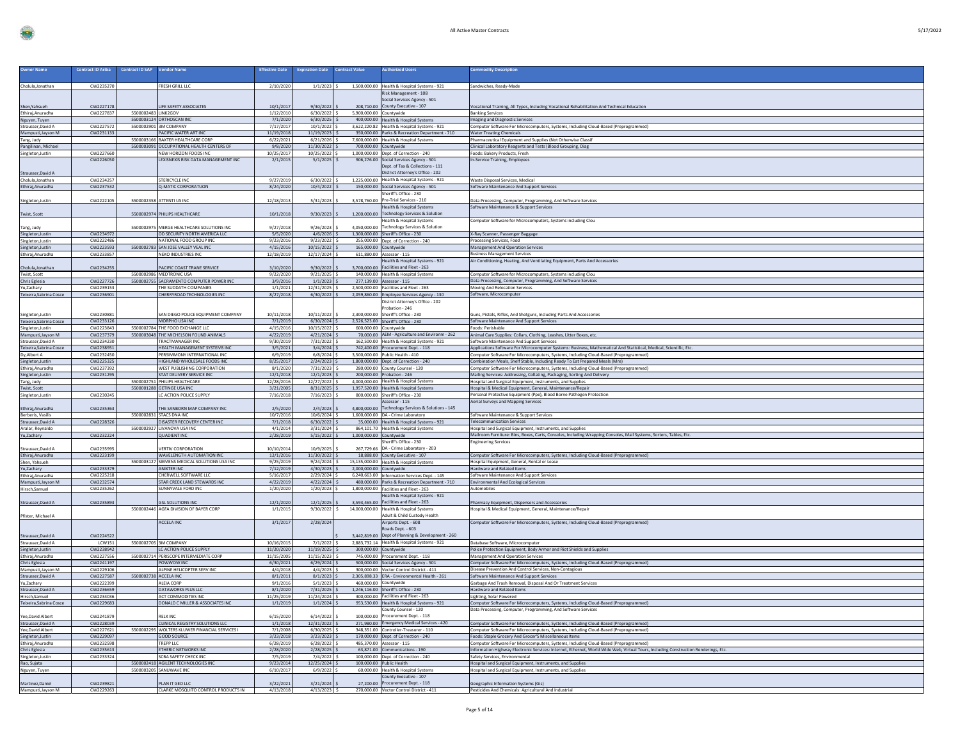|--|

| <b>Owner Name</b>                            | <b>Contract ID Ariba</b> | <b>Contract ID SAP</b><br><b>Vendor Name</b>                                   | <b>Effective Date</b>  | <b>Expiration Date</b>           | <b>Contract Value</b> | <b>Authorized Users</b>                                                                           | ommodity Description                                                                                                                                                  |
|----------------------------------------------|--------------------------|--------------------------------------------------------------------------------|------------------------|----------------------------------|-----------------------|---------------------------------------------------------------------------------------------------|-----------------------------------------------------------------------------------------------------------------------------------------------------------------------|
|                                              |                          |                                                                                |                        |                                  |                       |                                                                                                   |                                                                                                                                                                       |
| Cholula, Jonathan                            | CW2235270                | FRESH GRILL LLC                                                                | 2/10/2020              | $1/1/2023$ \$                    |                       | 1,500,000.00 Health & Hospital Systems - 921                                                      | Sandwiches, Ready-Made                                                                                                                                                |
|                                              |                          |                                                                                |                        |                                  |                       | Risk Management - 108                                                                             |                                                                                                                                                                       |
|                                              | CW2227178                | LIFE SAFETY ASSOCIATES                                                         |                        | 9/30/2022                        |                       | ocial Services Agency - 501<br>208,710.00 County Executive - 107                                  |                                                                                                                                                                       |
| Shen, Yahsueh<br>Ethirai.Anuradha            | CW2227837                | 5500002483 LINK2GOV                                                            | 10/1/2017<br>1/12/2010 | $6/30/2022$ \$                   |                       | 5,900,000.00 Countywide                                                                           | Vocational Training, All Types, Including Vocational Rehabilitation And Technical Education<br><b>Banking Services</b>                                                |
| Nguyen, Tuyen                                |                          | 5500003124 ORTHOSCAN INC                                                       | 7/1/2020               | $6/30/2025$ \$                   |                       | 400,000.00 Health & Hospital Systems                                                              | Imaging and Diagnostic Services                                                                                                                                       |
| Strausser, David A                           | CW2227572                | 5500002901 3M COMPANY                                                          | 7/17/2017              | $10/1/2022$ \$                   |                       | 3,622,220.82 Health & Hospital Systems - 921                                                      | Computer Software For Microcomputers, Systems, Including Cloud-Based (Preprogrammed)                                                                                  |
| Mampusti, Jayson M                           | CW2231133                | PACIFIC WATER ART INC                                                          | 11/19/2018             | 11/19/2023                       |                       | 350,000.00 Parks & Recreation Department - 710                                                    | <b>Water Treating Chemicals</b>                                                                                                                                       |
| Tang, Judy                                   |                          | 5500003166 BAXTER HEALTHCARE CORP<br>5500003091 OCCUPATIONAL HEALTH CENTERS OF | 6/22/2021              | 6/21/2026                        |                       | 7,600,000.00 Health & Hospital Systems                                                            | Pharmaceutical Equipment and Supplies (Not Otherwise Classif                                                                                                          |
| Pangilinan, Michael<br>Singleton, Justin     | CW2227660                | NEW HORIZON FOODS INC                                                          | 9/8/2020<br>10/25/2017 | 11/30/2022 \$<br>10/25/2022 S    |                       | 700,000.00 Countywide<br>1.000.000.00 Dept. of Correction - 240                                   | Clinical Laboratory Reagents and Tests (Blood Grouping, Diag<br>Foods: Bakery Products, Fresh                                                                         |
|                                              | CW2226050                | LEXISNEXIS RISK DATA MANAGEMENT INC                                            | 2/1/2015               | $5/1/2025$ \$                    |                       | 906,276.00 Social Services Agency - 501                                                           | In-Service Training, Employees                                                                                                                                        |
|                                              |                          |                                                                                |                        |                                  |                       | Dept. of Tax & Collections - 111                                                                  |                                                                                                                                                                       |
| Strausser, David A                           |                          |                                                                                |                        |                                  |                       | District Attorney's Office - 202                                                                  |                                                                                                                                                                       |
| Cholula, Jonathan                            | CW2234257                | STERICYCLE INC                                                                 | 9/27/2019              | $6/30/2022$ \$                   |                       | 1,225,000.00 Health & Hospital Systems - 921                                                      | Waste Disposal Services, Medical                                                                                                                                      |
| Ethiraj, Anuradha                            | CW2237532                | Q-MATIC CORPORATUON                                                            | 8/24/2020              | $10/4/2022$ \$                   |                       | 150,000.00 Social Services Agency - 501<br>Sheriff's Office - 230                                 | Software Maintenance And Support Services                                                                                                                             |
| Singleton, Justin                            | CW2222105                | 5500002358 ATTENTI US INC                                                      | 12/18/2013             | 5/31/2023                        |                       | 3,578,760.00 Pre-Trial Services - 210                                                             | Data Processing, Computer, Programming, And Software Services                                                                                                         |
|                                              |                          |                                                                                |                        |                                  |                       | Health & Hospital Systems                                                                         | Software Maintenance & Support Services                                                                                                                               |
| Twist, Scott                                 |                          | 5500002974 PHILIPS HEALTHCARE                                                  | 10/1/2018              | 9/30/2023                        |                       | 1,200,000.00 Technology Services & Solution                                                       |                                                                                                                                                                       |
|                                              |                          |                                                                                |                        |                                  |                       | Health & Hospital Systems                                                                         | Computer Software for Microcomputers, Systems including Clou                                                                                                          |
| Tang, Judy                                   |                          | 5500002975 MERGE HEALTHCARE SOLUTIONS INC                                      | 9/27/2018              | 9/26/2023                        | 4.050.000.00          | <b>Technology Services &amp; Solution</b>                                                         |                                                                                                                                                                       |
| Singleton, Justin                            | CW2234972<br>CW2222486   | OD SECURITY NORTH AMERICA LLC<br>NATIONAL FOOD GROUP INC                       | 5/5/2020<br>9/23/2016  | $4/6/2026$ \$<br>9/23/2022       |                       | 1,300,000.00 Sheriff's Office - 230<br>255,000.00 Dept. of Correction - 240                       | X-Ray Scanner, Passenger Baggage                                                                                                                                      |
| Singleton, Justin<br>Singleton, Justin       | CW2223593                | 5500002783 SAN JOSE VALLEY VEAL INC                                            | 4/15/2016              | 10/15/2022                       |                       | 165,000.00 Countywide                                                                             | Processing Services, Food<br><b>Management And Operation Services</b>                                                                                                 |
| Ethiraj, Anuradha                            | CW2233857                | NEKO INDUSTRIES INC                                                            | 12/18/2019             | 12/17/2024 \$                    |                       | 611,880.00 Assessor - 115                                                                         | <b>Business Management Services</b>                                                                                                                                   |
|                                              |                          |                                                                                |                        |                                  |                       | Health & Hospital Systems - 921                                                                   | Air Conditioning, Heating, And Ventilating Equipment, Parts And Accessories                                                                                           |
| Cholula, Jonathan                            | CW2234255                | ACIFIC COAST TRANE SERVICE                                                     | 3/10/2020              | 9/30/2022                        | 3.700.000.00          | Facilities and Fleet - 263                                                                        |                                                                                                                                                                       |
| Twist, Scott<br>Chris Eglesia                | CW2227726                | 5500002986 MEDTRONIC USA<br>5500002755 SACRAMENTO COMPUTER POWER INC           | 9/22/2020<br>3/9/2016  | 9/21/2025<br>1/1/2023            |                       | 140,000,00 Health & Hospital Systems<br>277,139.00 Assessor - 115                                 | Computer Software for Microcomputers, Systems including Clou<br>Data Processing, Computer, Programming, And Software Services                                         |
| Yu.Zacharv                                   | CW2239153                | THE SUDDATH COMPANIES                                                          | 1/1/2021               | 12/31/2025                       |                       | 2.500.000.00 Facilities and Fleet - 263                                                           | Moving And Relocation Services                                                                                                                                        |
| Teixeira, Sabrina Cosce                      | CW2236901                | CHERRYROAD TECHNOLOGIES INC                                                    | 8/27/2018              | $6/30/2022$ \$                   |                       | 2,059,860.00 Employee Services Agency - 130                                                       | Software, Microcomputer                                                                                                                                               |
|                                              |                          |                                                                                |                        |                                  |                       | District Attorney's Office - 202                                                                  |                                                                                                                                                                       |
|                                              |                          |                                                                                |                        |                                  |                       | Probation - 246                                                                                   |                                                                                                                                                                       |
| Singleton, Justin<br>Teixeira, Sabrina Cosce | CW223088<br>CW2233126    | SAN DIEGO POLICE EQUIPMENT COMPANY<br>MORPHO USA INC                           | 10/11/2018<br>7/1/2019 | 10/11/2022<br>$6/30/2024$ \$     |                       | 2,300,000.00 Sheriff's Office - 230<br>2,526,523.00 Sheriff's Office - 230                        | Guns, Pistols, Rifles, And Shotguns, Including Parts And Accessories<br>Software Maintenance And Support Services                                                     |
| Singleton, Justin                            | CW2223843                | 5500002784 THE FOOD EXCHANGE LLC                                               | 4/15/2016              | 10/15/2022                       |                       | 600.000.00 Countywide                                                                             | Foods: Perishable                                                                                                                                                     |
| Mampusti, Jayson M                           | CW2237379                | 5500003048 THE MICHELSON FOUND ANIMALS                                         | 4/22/2019              | $4/21/2024$ \$                   |                       | 70,000,00 AEM - Agriculture and Environm - 262                                                    | Animal Care Supplies: Collars, Clothing, Leashes, Litter Boxes, etc.                                                                                                  |
| Strausser, David A                           | CW2234230                | <b>TRACTMANAGER INC</b>                                                        | 9/30/2019              | $7/31/2022$ \$                   |                       | 162,500.00 Health & Hospital Systems - 921                                                        | Software Maintenance And Support Services                                                                                                                             |
| Teixeira, Sabrina Cosce                      | CW2238951                | HEALTH MANAGEMENT SYSTEMS INC                                                  | 3/5/2021               | $3/4/2024$ \$                    |                       | 742,400.00 Procurement Dept. - 118                                                                | Applications Software For Microcomputer Systems: Business, Mathematical And Statistical, Medical, Scientific, Etc.                                                    |
| Dy, Albert A                                 | CW2232450<br>CW2225325   | PERSIMMONY INTERNATIONAL INC<br><b>IIGHLAND WHOLESALE FOODS INC</b>            | 6/9/2019<br>8/25/2017  | 6/8/2024<br>2/24/2023            |                       | 3.500.000.00 Public Health - 410<br>1,800,000.00 Dept. of Correction - 240                        | Computer Software For Microcomputers, Systems, Including Cloud-Based (Preprogrammed)<br>Combination Meals, Shelf Stable, Including Ready To Eat Prepared Meals (Mre)  |
| Singleton, Justin<br>Ethiraj, Anuradha       | CW2237392                | WEST PUBLISHING CORPORATION                                                    | 8/1/2020               | 7/31/2023                        |                       | 280,000.00 County Counsel - 120                                                                   | Computer Software For Microcomputers, Systems, Including Cloud-Based (Preprogrammed)                                                                                  |
| Singleton, Justin                            | CW2231295                | STAT DELIVERY SERVICE INC                                                      | 12/1/2018              | 12/1/2023                        |                       | 200.000.00 Probation - 246                                                                        | Mailing Services: Addressing, Collating, Packaging, Sorting And Delivery                                                                                              |
| Tang, Judy                                   |                          | 5500002751 PHILIPS HEALTHCARE                                                  | 12/28/2016             | 12/27/2022 \$                    |                       | 4,000,000.00 Health & Hospital Systems                                                            | Hospital and Surgical Equipment, Instruments, and Supplies                                                                                                            |
| Twist, Scott                                 |                          | 5500001288 GETINGE USA INC                                                     | 3/21/2005              | $8/31/2025$ \$                   |                       | 1,957,520.00 Health & Hospital Systems<br>800,000,00 Sheriff's Office - 230                       | Hospital & Medical Equipment, General, Maintenance/Repair                                                                                                             |
| Singleton, Justin                            | CW2230245                | C ACTION POLICE SUPPLY                                                         | 7/16/2018              | 7/16/2023                        |                       | ssessor - 115                                                                                     | Personal Protective Equipment (Ppe), Blood Borne Pathogen Protection<br>Aerial Surveys and Mapping Services                                                           |
| Ethiraj, Anuradha                            | CW2235363                | THE SANBORN MAP COMPANY INC                                                    | 2/5/2020               | 2/4/2023                         | 4,800,000.00          | Technology Services & Solutions - 145                                                             |                                                                                                                                                                       |
| Berberis, Vasilis                            |                          | 5500002831 STACS DNA INC                                                       | 10/7/2016              | 10/6/2024                        |                       | 1,600,000.00 DA - Crime Laboratory                                                                | Software Maintenance & Support Services                                                                                                                               |
| Strausser, David A                           | CW2228326                | DISASTER RECOVERY CENTER INC<br>5500002927 LIVANOVA USA INC                    | 7/1/2018<br>4/1/2014   | $6/30/2022$ \$<br>$3/31/2024$ \$ |                       | 35,000.00 Health & Hospital Systems - 921<br>864,101.70 Health & Hospital Systems                 | <b>Telecommunication Services</b><br>Hospital and Surgical Equipment, Instruments, and Supplies                                                                       |
| Aralar, Reynaldo<br>Yu,Zachary               | CW2232224                | QUADIENT INC                                                                   | 2/28/2019              | $5/15/2022$ \$                   |                       | 1,000,000.00 Countywide                                                                           | Mailroom Furniture: Bins, Boxes, Carts, Consoles, Including Wrapping Consoles, Mail Systems, Sorters, Tables, Etc.                                                    |
|                                              |                          |                                                                                |                        |                                  |                       | heriff's Office - 230                                                                             | Ingineering Services                                                                                                                                                  |
| Strausser, David A                           | CW223599                 | <b>VERTIV CORPORATION</b>                                                      | 10/10/2014             | 10/9/2025                        | 267.729.66            | DA - Crime Laboratory - 203                                                                       |                                                                                                                                                                       |
| Ethiraj, Anuradha                            | CW2223199                | <b>WAVELENGTH AUTOMATION INC.</b>                                              | 12/1/2016              | 11/30/2022 \$                    |                       | 18,888.00 County Executive - 107                                                                  | Computer Software For Microcomputers, Systems, Including Cloud-Based (Preprogrammed)                                                                                  |
| Shen, Yahsueh<br>Yu,Zachary                  | CW2233379                | 5500003127 SIEMENS MEDICAL SOLUTIONS USA INC<br>ANIXTER INC                    | 9/25/2019<br>7/12/2019 | $9/24/2024$ \$<br>4/30/2023 \$   |                       | 15,135,000.00 Health & Hospital Systems<br>2,000,000.00 Countywide                                | Hospital Equipment, General, Rental or Lease<br>Hardware and Related Items                                                                                            |
| Ethiraj, Anuradha                            | CW2225218                | CHERWELL SOFTWARE LLC                                                          | 5/16/2017              | $2/29/2024$ \$                   |                       | 6,240,663.00 Information Services Dept. - 145                                                     | Software Maintenance And Support Services                                                                                                                             |
| Mampusti, Jayson M                           | CW2232574                | STAR CREEK LAND STEWARDS INC                                                   | 4/22/2019              | 4/22/2024                        |                       | 480,000,00 Parks & Recreation Department - 710                                                    | <b>Environmental And Ecological Services</b>                                                                                                                          |
| Hirsch, Samuel                               | CW2235262                | SUNNYVALE FORD INC                                                             | 1/20/2020              | 1/20/2023                        |                       | 1,800,000.00 Facilities and Fleet - 263                                                           | <b>Automobiles</b>                                                                                                                                                    |
|                                              | CW2235893                | <b>GSL SOLUTIONS INC</b>                                                       | 12/1/2020              | 12/1/2025                        |                       | Health & Hospital Systems - 921<br>3,593,465.00 Facilities and Fleet - 263                        |                                                                                                                                                                       |
| Strausser, David A                           |                          | 5500002446 AGFA DIVISION OF BAYER CORP                                         | 1/1/2015               | 9/30/2022                        |                       | 14,000,000.00 Health & Hospital Systems                                                           | Pharmacy Equipment, Dispensers and Accessories<br>lospital & Medical Equipment, General, Maintenance/Repair                                                           |
| Pfister, Michael A                           |                          |                                                                                |                        |                                  |                       | Adult & Child Custody Health                                                                      |                                                                                                                                                                       |
|                                              |                          | ACCELA INC                                                                     | 3/1/2017               | 2/28/2024                        |                       | Airports Dept. - 608                                                                              | Computer Software For Microcomputers, Systems, Including Cloud-Based (Preprogrammed)                                                                                  |
|                                              |                          |                                                                                |                        |                                  |                       | loads Dept. - 603                                                                                 |                                                                                                                                                                       |
| Strausser, David A<br>Strausser, David A     | CW2224522<br>LCW151      | 5500002705 3M COMPANY                                                          | 10/16/2015             | $7/1/2022$ \$                    |                       | 3,442,819.00 Dept of Planning & Development - 260<br>2.883.732.14 Health & Hospital Systems - 921 | Database Software, Microcomputer                                                                                                                                      |
| Singleton, Justin                            | CW2238942                | LC ACTION POLICE SUPPLY                                                        | 11/20/2020             | $11/19/2025$ S                   |                       | 300,000.00 Countywide                                                                             | Police Protection Equipment, Body Armor and Riot Shields and Supplies                                                                                                 |
| Ethiraj, Anuradha                            | CW2227556                | 5500002714 PERISCOPE INTERMEDIATE CORE                                         | 11/15/2005             | 11/15/2023                       |                       | 745,000.00 Procurement Dept. - 118                                                                | <b>Management And Operation Services</b>                                                                                                                              |
| Chris Eglesia                                | CW2241197                | POWWOW INC                                                                     | 6/30/2021              | $6/29/2024$ \$                   |                       | 500,000.00 Social Services Agency - 501                                                           | Computer Software For Microcomputers, Systems, Including Cloud-Based (Preprogrammed)                                                                                  |
| Mampusti, Jayson M                           | CW2229106                | ALPINE HELICOPTER SERV INC                                                     | 4/4/2018               | 4/4/2023                         |                       | 300.000.00 Vector Control District - 411                                                          | Disease Prevention And Control Services, Non-Contagious                                                                                                               |
| Strausser, David A<br>Yu,Zachary             | CW2227587<br>CW2222399   | 5500002738 ACCELA INC<br>ALEIA CORP                                            | 8/1/2011<br>9/1/2016   | $8/1/2023$ \$<br>$5/1/2023$ :    |                       | 2,305,898.33 ERA - Environmental Health - 261<br>460,000.00 Countywide                            | Software Maintenance And Support Services<br>Garbage And Trash Removal, Disposal And Or Treatment Services                                                            |
| Strausser, David A                           | CW2236659                | DATAWORKS PLUS LLC                                                             | 8/1/2020               | $7/31/2025$ \$                   |                       | 1,246,116.00 Sheriff's Office - 230                                                               | Hardware and Related Items                                                                                                                                            |
| Hirsch, Samuel                               | CW2234036                | ACT COMMODITIES INC                                                            | 11/25/2019             | 11/24/2024 \$                    |                       | 300,000.00 Facilities and Fleet - 263                                                             | Lighting, Solar Powered                                                                                                                                               |
| Teixeira, Sabrina Cosce                      | CW2229683                | DONALD C MILLER & ASSOCIATES INC                                               | 1/1/2019               | $1/1/2024$ \$                    |                       | 953,530.00 Health & Hospital Systems - 921                                                        | Computer Software For Microcomputers, Systems, Including Cloud-Based (Preprogrammed)                                                                                  |
|                                              |                          |                                                                                |                        |                                  |                       | County Counsel - 120                                                                              | Data Processing, Computer, Programming, And Software Services                                                                                                         |
| Yee, David Albert<br>Strausser, David A      | CW2241879<br>CW2228039   | ELX INC<br>CLINICAL REGISTRY SOLUTIONS LLC                                     | 6/15/2020<br>1/1/2018  | 6/14/2022<br>12/31/2022 \$       |                       | 100,000.00 Procurement Dept. - 118<br>271,980.00 Emergency Medical Services - 420                 | Computer Software For Microcomputers, Systems, Including Cloud-Based (Preprogrammed)                                                                                  |
| Yee.David Albert                             | CW2227621                | 5500002295 WOLTERS KLUWER FINANCIAL SERVICES I                                 | 7/1/2008               | $6/30/2025$ \$                   |                       | 348,351.00 Controller-Treasurer - 110                                                             | Computer Software For Microcomputers, Systems, Including Cloud-Based (Preprogrammed)                                                                                  |
| Singleton, Justin                            | CW2229097                | <b>GOOD SOURCE</b>                                                             | 3/23/2018              | $3/23/2023$ \$                   |                       | 170,000.00 Dept. of Correction - 240                                                              | Foods: Staple Grocery And Grocer'S Miscellaneous Items                                                                                                                |
| Ethiraj, Anuradha                            | CW2232598                | TREPP LLC                                                                      | 6/28/2019              | $6/28/2022$ :                    |                       | 485,370.00 Assessor - 115                                                                         | Computer Software For Microcomputers, Systems, Including Cloud-Based (Preprogrammed)                                                                                  |
| Chris Eglesia                                | CW2235613<br>CW2233324   | ETHERIC NETWORKS INC<br><b>SCBA SAFETY CHECK INC</b>                           | 2/28/2020              | $2/28/2025$ \$<br>$7/4/2022$ \$  |                       | 63,871.00 Communications - 190<br>100.000.00 Dept. of Correction - 240                            | Information Highway Electronic Services: Internet, Ethernet, World Wide Web, Virtual Tours, Including Construction Renderings, Etc.<br>Safety Services, Environmental |
| Singleton, Justin<br>Rao, Sujata             |                          | 5500002418 AGILENT TECHNOLOGIES INC                                            | 7/5/2019<br>9/23/2014  | 12/25/2024 \$                    |                       | 100,000.00 Public Health                                                                          | Hospital and Surgical Equipment, Instruments, and Supplies                                                                                                            |
| Nguyen, Tuyen                                |                          | 5500003205 SANUWAVE INC                                                        | 6/10/2017              | $6/9/2022$ S                     |                       | 60,000.00 Health & Hospital Systems                                                               | Hospital and Surgical Equipment, Instruments, and Supplies                                                                                                            |
|                                              |                          |                                                                                |                        |                                  |                       | County Executive - 107                                                                            |                                                                                                                                                                       |
| Martinez, Daniel                             | CW2239821                | PLAN IT GEO LLC                                                                | 3/22/2021              | 3/21/2024                        |                       | 27,200.00 Procurement Dept. - 118                                                                 | Geographic Information Systems (Gis)                                                                                                                                  |
| Mampusti, Jayson M                           | CW2229263                | CLARKE MOSQUITO CONTROL PRODUCTS IN                                            | 4/13/2018              | $4/13/2023$ \$                   |                       | 270.000.00 Vector Control District - 411                                                          | Pesticides And Chemicals: Agricultural And Industrial                                                                                                                 |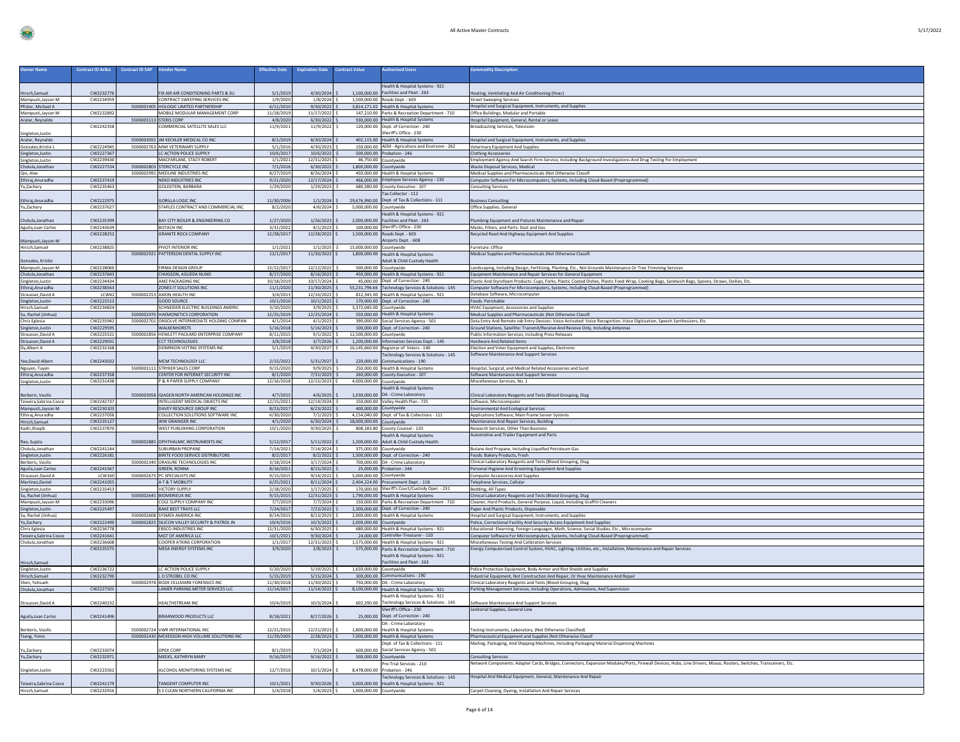| , 7 M<br>$\frac{1}{2}$<br>,, |
|------------------------------|
|------------------------------|

| <b>Owner Name</b>                        | <b>Contract ID Ariba</b> | <b>Contract ID SAP</b> | <b>Vendor Name</b>                                                     | <b>Effective Date</b>   | <b>Expiration Date</b>      | <b>Contract Value</b>    | <b>Authorized Users</b>                                                                    | <b>Commodity Description</b>                                                                                                                                                                                                            |
|------------------------------------------|--------------------------|------------------------|------------------------------------------------------------------------|-------------------------|-----------------------------|--------------------------|--------------------------------------------------------------------------------------------|-----------------------------------------------------------------------------------------------------------------------------------------------------------------------------------------------------------------------------------------|
|                                          |                          |                        |                                                                        |                         |                             |                          |                                                                                            |                                                                                                                                                                                                                                         |
|                                          |                          |                        |                                                                        |                         |                             |                          | Health & Hospital Systems - 921                                                            |                                                                                                                                                                                                                                         |
| Hirsch, Samuel<br>Mampusti, Jayson M     | CW2232776<br>CW2234959   |                        | FIX AIR AIR CONDITIONING PARTS & SU<br>CONTRACT SWEEPING SERVICES INC. | 5/1/2019<br>1/9/2020    | 4/30/2024<br>$1/8/2024$ \$  |                          | 1,100,000.00 Facilities and Fleet - 263<br>1.500.000.00 Roads Dent. - 603                  | eating, Ventilating And Air Conditioning (Hvac)<br><b>Street Sweeping Services</b>                                                                                                                                                      |
| Pfister, Michael A                       |                          |                        | 5500001905 HOLOGIC LIMITED PARTNERSHIP                                 | 6/11/2010               | 9/30/2022                   |                          | 3,814,171.02 Health & Hospital Systems                                                     | Hospital and Surgical Equipment, Instruments, and Supplies                                                                                                                                                                              |
| Mampusti, Jayson M                       | CW2232892                |                        | MOBILE MODULAR MANAGEMENT CORP                                         | 11/18/2019              | 11/17/2022                  |                          | 147,210.00 Parks & Recreation Department - 710                                             | Office Buildings, Modular and Portable                                                                                                                                                                                                  |
| Aralar, Reynaldo                         |                          |                        | 5500003113 STERIS CORP                                                 | 4/8/2020                | 6/30/2022                   |                          | 930,000.00 Health & Hospital Systems                                                       | Hospital Equipment, General, Rental or Lease                                                                                                                                                                                            |
| Singleton, Justin                        | CW2242358                |                        | OMMERCIAL SATELLITE SALES LLC                                          | 11/9/2021               | 11/9/2022                   |                          | 120,000.00 Dept. of Correction - 240<br>heriff's Office - 230                              | <b>Broadcasting Services, Television</b>                                                                                                                                                                                                |
| Aralar, Reynaldo                         |                          |                        | 5500003055 JM KECKLER MEDICAL CO INC                                   | 8/1/2019                | 8/30/2024                   |                          | 402,115.00 Health & Hospital Systems                                                       | Hospital and Surgical Equipment, Instruments, and Supplies                                                                                                                                                                              |
| Gonzales, Kristie L                      | CW2224945                |                        | 5500002763 MWI VETERINARY SUPPLY                                       | 5/1/2016                | 4/30/2023                   |                          | 150,000.00 AEM - Agriculture and Environm - 262                                            | Veterinary Equipment And Supplies                                                                                                                                                                                                       |
| Singleton, Justin                        | CW2227367                |                        | LC ACTION POLICE SUPPLY                                                | 10/6/2017               | 10/6/2022                   |                          | 500,000.00 Probation - 246                                                                 | <b>Clothing Accessories</b>                                                                                                                                                                                                             |
| Singleton, Justin                        | CW2239430                |                        | MACFARLANE, STACY ROBERT                                               | 1/1/2021                | 12/31/2025                  |                          | 46,750.00 Countywide                                                                       | Employment Agency And Search Firm Service, Including Background Investigations And Drug Testing For Employment                                                                                                                          |
| Cholula, Jonathan<br>Qin, Alex           | CW2227534                |                        | 5500002803 STERICYCLE INC<br>5500002991 MEDLINE INDUSTRIES INC         | 7/1/2016<br>8/27/2019   | 6/30/2022<br>8/26/2024      | 1.800.000.00 Countywide  | 450,000.00 Health & Hospital System                                                        | Waste Disposal Services, Medical<br>Medical Supplies and Pharmaceuticals (Not Otherwise Classifi                                                                                                                                        |
| Ethiraj, Anuradha                        | CW2237419                |                        | NEKO INDUSTRIES INC                                                    | 9/21/2020               | 12/17/2024                  |                          | 466,000.00 Employee Services Agency - 130                                                  | Computer Software For Microcomputers, Systems, Including Cloud-Based (Preprogrammed)                                                                                                                                                    |
| Yu,Zachary                               | CW2235463                |                        | <b>GOLDSTEIN, BARBARA</b>                                              | 1/29/2020               | 1/29/2023                   |                          | 680,580.00 County Executive - 107                                                          | <b>Consulting Services</b>                                                                                                                                                                                                              |
|                                          |                          |                        |                                                                        |                         |                             |                          | Tax Collector - 112                                                                        |                                                                                                                                                                                                                                         |
| Ethiraj, Anuradha                        | CW2222975                |                        | GORILLA LOGIC INC.                                                     | 11/30/2006              | 1/1/2024                    |                          | 29.676.990.00 Dept. of Tax & Collections - 111                                             | <b>Business Consulting</b>                                                                                                                                                                                                              |
| Yu,Zachary                               | CW2237627                |                        | STAPLES CONTRACT AND COMMERCIAL INC                                    | 8/2/2020                | $4/6/2024$ \$               | 5,000,000.00 Countywide  | Health & Hospital Systems - 921                                                            | Office Supplies, General                                                                                                                                                                                                                |
| Cholula, Jonathan                        | CW2235399                |                        | BAY CITY BOILER & ENGINEERING CO                                       | 1/27/2020               | 1/26/2023                   |                          | 2,000,000.00 Facilities and Fleet - 263                                                    | lumbing Equipment and Fixtures Maintenance and Repair                                                                                                                                                                                   |
| Aguila, Juan Carlos                      | CW2243639                |                        | <b>BOTACH INC</b>                                                      | 3/31/2022               | $4/1/2023$ :                |                          | 100,000.00 Sheriff's Office - 230                                                          | Masks, Filters, and Parts: Dust and Gas                                                                                                                                                                                                 |
|                                          | CW2228252                |                        | <b>GRANITE ROCK COMPANY</b>                                            | 12/28/2017              | 12/28/2022 \$               |                          | 1,500,000.00 Roads Dept. - 603                                                             | Recycled Road And Highway Equipment And Supplies                                                                                                                                                                                        |
| Mampusti, Jayson M<br>Hirsch, Samuel     | CW2238825                |                        | PIVOT INTERIOR INC                                                     | 1/1/202                 | $1/1/2025$ \$               | 15,000,000.00 Countywide | Airports Dept. - 608                                                                       | Furniture: Office                                                                                                                                                                                                                       |
|                                          |                          |                        | 5500002921 PATTERSON DENTAL SUPPLY INC                                 | 12/1/2017               | 11/30/2022 \$               |                          | 1,800,000.00 Health & Hospital Systems                                                     | Medical Supplies and Pharmaceuticals (Not Otherwise Classifi                                                                                                                                                                            |
| Gonzales, Kristie                        |                          |                        |                                                                        |                         |                             |                          | dult & Child Custody Health                                                                |                                                                                                                                                                                                                                         |
| Mampusti, Jayson M                       | CW2228060                |                        | FIRMA DESIGN GROUP                                                     | 12/12/2017              | 12/12/2022                  |                          | 500,000.00 Countywide                                                                      | andscaping, Including Design, Fertilizing, Planting, Etc., Not Grounds Maintenance Or Tree Trimming Services                                                                                                                            |
| Cholula, Jonathan                        | CW2237643                |                        | CHIASSON, AGUEDA NUNO                                                  | 8/17/2020               | 8/16/2023                   |                          | 450,000.00 Health & Hospital Systems - 921                                                 | quipment Maintenance and Repair Services for General Equipmen                                                                                                                                                                           |
| Singleton, Justin<br>Ethiraj, Anuradha   | CW2234434<br>CW2238563   |                        | AMZ PACKAGING INC<br>ZONES IT SOLUTIONS INC                            | 10/18/2019<br>11/1/2020 | 10/17/2024<br>11/30/2025    |                          | 45,000.00 Dept. of Correction - 240<br>55,231,796.66 Technology Services & Solutions - 145 | Plastic And Styrofoam Products: Cups, Forks, Plastic Coated Dishes, Plastic Food Wrap, Cooking Bags, Sandwich Bags, Spoons, Straws, Doilies, Etc<br>Computer Software For Microcomputers, Systems, Including Cloud-Based (Preprogrammed |
| Strausser, David A                       | LCW42                    |                        | 5500002253 AXION HEALTH INC                                            | 3/4/2013                | 12/16/2022 \$               |                          | 812,345.00 Health & Hospital Systems - 921                                                 | Database Software, Microcomputer                                                                                                                                                                                                        |
| Singleton, Justin<br>Hirsch, Samuel      | CW2222513                |                        | <b>GOOD SOURCE</b>                                                     | 10/1/2016               | $10/1/2022$ \$              |                          | 170,000.00 Dept. of Correction - 240                                                       | Foods: Perishable                                                                                                                                                                                                                       |
|                                          | CW2234824                |                        | SCHNEIDER ELECTRIC BUILDINGS AMERIC                                    | 3/10/2020               | 3/9/2025                    |                          | 3,372,045.00 Countywide                                                                    | <b>HVAC Equipment, Accessories and Supplies</b>                                                                                                                                                                                         |
| Su, Rachel (Jinhua                       |                          |                        | 5500002970 HAEMONETICS CORPORATION                                     | 12/25/2019              | 12/25/2024                  |                          | 550,000.00 Health & Hospital Systems                                                       | Medical Supplies and Pharmaceuticals (Not Otherwise Classifi                                                                                                                                                                            |
| Chris Eglesia<br>Singleton, Justin       | CW2235942<br>CW2229595   |                        | 5500002701 ONSOLVE INTERMEDIATE HOLDING COMPAN<br>WALKENHORSTS         | 4/1/2014<br>5/16/2018   | 4/1/2023<br>5/16/2023       |                          | 390.000.00 Social Services Agency - 501<br>100,000.00 Dept. of Correction - 240            | Data Entry And Remote Job Entry Devices: Voice Activated: Voice Recognition, Voice Digitization, Speech Synthesizers, Etc.<br>Ground Stations, Satellite: Transmit/Receive And Receive Only, Including Antennas                         |
| Strausser, David A                       | CW2225521                |                        | 5500002856 HEWLETT PACKARD ENTERPRISE COMPANY                          | 8/11/2015               | $9/1/2022$ \$               | 12,500,000.00 Countywide |                                                                                            | Public Information Services, Including Press Releases                                                                                                                                                                                   |
| Strausser, David A                       | CW2229031                |                        | CCT TECHNOLOGIES                                                       | 3/8/2018                | 3/7/2026                    |                          | 1,200,000.00 Information Services Dept. - 145                                              | Hardware And Related Items                                                                                                                                                                                                              |
| Dy, Albert A                             | CW2232168                |                        | DOMINION VOTING SYSTEMS INC                                            | 5/1/2019                | 4/30/2027                   |                          | 16,145,660.00 Registrar of Voters - 140                                                    | Election and Voter Equipment and Supplies, Electronic                                                                                                                                                                                   |
|                                          |                          |                        |                                                                        |                         |                             |                          | Technology Services & Solutions - 145<br>Communications - 190                              | oftware Maintenance And Support Services                                                                                                                                                                                                |
| Yee, David Albert<br>Nguyen, Tuyen       | CW2243032                |                        | <b>MCM TECHNOLOGY LLC</b><br>5500003111 STRYKER SALES CORP             | 2/15/2022<br>9/15/2020  | 5/31/2027<br>9/9/2025       | 220,000.00               | 250,000.00 Health & Hospital Systems                                                       | Hospital, Surgical, and Medical Related Accessories and Sund                                                                                                                                                                            |
| Ethiraj, Anuradha                        | CW2237358                |                        | CENTER FOR INTERNET SECURITY INC                                       | 8/1/2020                | 7/31/2023                   |                          | 260,000.00 County Executive - 107                                                          | Software Maintenance And Support Services                                                                                                                                                                                               |
|                                          |                          |                        |                                                                        |                         |                             |                          |                                                                                            |                                                                                                                                                                                                                                         |
| Singleton.Justin                         | CW2231438                |                        | P & R PAPER SUPPLY COMPANY                                             | 12/16/2018              | 12/15/2023                  | 4,000,000.00 Countywide  |                                                                                            | Miscellaneous Services, No. 1                                                                                                                                                                                                           |
|                                          |                          |                        |                                                                        |                         |                             |                          | <b>Health &amp; Hospital Systems</b>                                                       |                                                                                                                                                                                                                                         |
| Berberis, Vasilis                        |                          |                        | 5500003058 QIAGEN NORTH AMERICAN HOLDINGS INC                          | 4/7/2015                | 4/6/2025                    |                          | 1,030,000.00 DA - Crime Laboratory                                                         | Iinical Laboratory Reagents and Tests (Blood Grouping, Diag                                                                                                                                                                             |
| Teixeira, Sabrina Cosce                  | CW2242737                |                        | INTELLIGENT MEDICAL OBJECTS INC<br>DAVEY RESOURCE GROUP INC            | 12/15/2021              | 12/14/2024                  |                          | 150,000.00 Valley Health Plan - 725                                                        | Software, Microcomputer                                                                                                                                                                                                                 |
| Mampusti, Jayson M<br>Ethiraj, Anuradha  | CW2230103<br>CW2237056   |                        | COLLECTION SOLUTIONS SOFTWARE INC                                      | 8/23/2017<br>6/30/2020  | 8/23/2022<br>7/1/2023       |                          | 400,000.00 Countywide<br>4,154,040.00 Dept. of Tax & Collections - 111                     | <b>Environmental And Ecological Services</b><br>Applications Software, Main Frame Server Systems                                                                                                                                        |
| Hirsch, Samuel                           | CW2235127                |                        | WW GRAINGER INC                                                        | 4/1/2020                | 6/30/2024                   | 18,000,000.00 Countywide |                                                                                            | Maintenance And Repair Services, Building                                                                                                                                                                                               |
| Kadri, Shaqib                            | CW2237870                |                        | WEST PUBLISHING CORPORATION                                            | 10/1/2020               | 9/30/2025                   |                          | 808,183.80 County Counsel - 120                                                            | Research Services, Other Than Business                                                                                                                                                                                                  |
|                                          |                          |                        |                                                                        |                         |                             |                          | lealth & Hospital System                                                                   | Automotive and Trailer Equipment and Parts                                                                                                                                                                                              |
| Rao, Sujata                              |                          |                        | 5500002885 OPHTHALMIC INSTRUMENTS INC<br>SURURBAN PROPANE              | 5/12/2017               | 5/11/2022                   |                          | 1,200,000.00 Adult & Child Custody Health                                                  | Butane And Propane, Including Liquefied Petroleum Gas                                                                                                                                                                                   |
| Cholula, Jonathan                        | CW2241244<br>CW2226181   |                        | <b>BIRITE FOOD SERVICE DISTRIBUTORS</b>                                | 7/14/2021<br>8/2/201    | 7/14/2024<br>8/2/2022       |                          | 375,000.00 Countywide<br>1,300,000.00 Dept. of Correction - 240                            | Foods: Bakery Products, Fresh                                                                                                                                                                                                           |
| Singleton, Justin<br>Berberis, Vasilis   |                          |                        | 5500002340 ORASURE TECHNOLOGIES INC                                    | 3/18/2014               | 3/17/2024                   |                          | 700,000.00 DA - Crime Laboratory                                                           | Clinical Laboratory Reagents and Tests (Blood Grouping, Diag                                                                                                                                                                            |
| Aguila, Juan Carlos                      | CW2241567                |                        | <b>GREEN, RONNA</b>                                                    | 8/16/2021               | 8/15/2022                   |                          | 25,000.00 Probation - 246                                                                  | Personal Hygiene And Grooming Equipment And Supplies                                                                                                                                                                                    |
| Strausser, David A                       | <b>LCW160</b>            |                        | 5500002675 PC SPECIALISTS IN                                           | 9/15/2019               | 9/14/2022                   |                          | 5,000,000.00 Countywide                                                                    | <b>Computer Accessories And Supplies</b>                                                                                                                                                                                                |
| Martinez, Daniel                         | CW2241055<br>CW2235453   |                        | A T & T MOBILITY<br>VICTORY SUPPLY                                     | 6/25/2021<br>2/18/2020  | 8/11/2024<br>1/17/2025      |                          | 2,404,224.00 Procurement Dept. - 118<br>170,000.00 Sheriff's Court/Custody Oper. - 231     | Telephone Services, Cellular                                                                                                                                                                                                            |
| Singleton, Justin<br>Su, Rachel (Jinhua) |                          |                        | 5500002645 BIOMERIEUX INC                                              | 9/15/2015               | 12/31/2023                  |                          | 1,790,000.00 Health & Hospital Systems                                                     | Bedding, All Types<br>Clinical Laboratory Reagents and Tests (Blood Grouping, Diag                                                                                                                                                      |
| Mampusti, Jayson M                       | CW2233096                |                        | COLE SUPPLY COMPANY INC                                                | 7/7/2019                | 7/7/2024                    |                          | 150,000.00 Parks & Recreation Department - 710                                             | Cleaner, Hard Products, General Purpose, Liquid, Including Graffiti Cleaners                                                                                                                                                            |
| Singleton, Justin                        | CW2225497                |                        | <b>BAKE BEST TRAYS LLC</b>                                             | 7/24/2017               | 7/23/2022                   |                          | 1,300,000.00 Dept. of Correction - 240                                                     | Paper And Plastic Products, Disposable                                                                                                                                                                                                  |
| Su, Rachel (Jinhua)                      |                          |                        | 5500002608 SYSMEX AMERICA INC                                          | 8/14/2015               | 8/13/2023                   |                          | 2,000,000.00 Health & Hospital Systems                                                     | Hospital and Surgical Equipment, Instruments, and Supplies                                                                                                                                                                              |
| Yu,Zachary                               | CW2222490<br>CW2236778   |                        | 5500002825 SILICON VALLEY SECURITY & PATROL IN<br>EBSCO INDUSTRIES INC | 10/4/2016<br>12/31/2020 | 10/3/2022<br>6/30/2025      | 2.000.000.00 Countywide  | 680,000.00 Health & Hospital Systems - 921                                                 | Police, Correctional Facility And Security Access Equipment And Supplies<br>ducational: Elearning, Foreign Languages, Math, Science, Social Studies, Etc., Microcomputer                                                                |
| Chris Eglesia<br>Teixeira, Sabrina Cosce | CW2241641                |                        | MGT OF AMERICA LLC                                                     | 10/1/2021               | 9/30/2024                   |                          | 24.000.00 Controller-Treasurer - 110                                                       | Computer Software For Microcomputers, Systems, Including Cloud-Based (Preprogrammed)                                                                                                                                                    |
| Cholula, Jonathan                        | CW2236608                |                        | COOPER ATKINS CORPORATION                                              | 1/1/201                 | 12/31/2023                  |                          | 1,575,000.00 Health & Hospital Systems - 921                                               | Miscellaneous Testing And Calibration Services                                                                                                                                                                                          |
|                                          | CW2235575                |                        | MESA ENERGY SYSTEMS INC                                                | 3/9/2020                | $2/8/2023$ :                |                          | 575,000.00 Parks & Recreation Department - 710                                             | inergy Computerized Control System, HVAC, Lighting, Utilities, etc., Installation, Maintenance and Repair Services                                                                                                                      |
|                                          |                          |                        |                                                                        |                         |                             |                          | Health & Hospital Systems - 921                                                            |                                                                                                                                                                                                                                         |
| Hirsch, Samuel                           |                          |                        |                                                                        |                         |                             |                          | Facilities and Fleet - 263                                                                 |                                                                                                                                                                                                                                         |
| Singleton, Justin<br>Hirsch, Samuel      | CW2236722<br>CW2232790   |                        | LC ACTION POLICE SUPPLY<br>L D STROBEL CO INC                          | 5/20/2020<br>5/15/2019  | 5/19/2025<br>$5/15/2024$ \$ |                          | 1,650,000.00 Countywide<br>300.000.00 Communications - 190                                 | olice Protection Equipment, Body Armor and Riot Shields and Supplies<br>Industrial Equipment, Not Construction And Repair, Or Hvac Maintenance And Repair                                                                               |
| Shen, Yahsueh                            |                          |                        | 5500002978 BODE CELLMARK FORENSICS INC                                 | 11/30/2018              | 11/30/2022                  |                          | 750.000.00 DA - Crime Laboratory                                                           | Clinical Laboratory Reagents and Tests (Blood Grouping, Diag                                                                                                                                                                            |
| Cholula, Jonathan                        | CW2227501                |                        | LANIER PARKING METER SERVICES LLC                                      | 11/14/2017              | 11/14/2022 \$               |                          | 8,100,000.00 Health & Hospital Systems - 921                                               | Parking Management Services, Including Operations, Admissions, And Supervision                                                                                                                                                          |
|                                          |                          |                        |                                                                        |                         |                             |                          | Health & Hospital Systems - 921                                                            |                                                                                                                                                                                                                                         |
| Strausser, David A                       | CW2240232                |                        | <b>HEALTHSTREAM INC</b>                                                | 10/4/2019               | 10/3/2024                   |                          | 602,290.00 Technology Services & Solutions - 145<br>Sheriff's Office - 230                 | Software Maintenance And Support Services                                                                                                                                                                                               |
|                                          | CW2241496                |                        | BRIARWOOD PRODUCTS LLC                                                 | 8/18/2021               | 8/17/2026                   |                          | 25,000.00 Dept. of Correction - 240                                                        | Janitorial Supplies, General Line                                                                                                                                                                                                       |
| Aguila, Juan Carlos                      |                          |                        |                                                                        |                         |                             |                          | DA - Crime Laboratory                                                                      |                                                                                                                                                                                                                                         |
| Berberis, Vasilis                        |                          |                        | 5500002724 VWR INTERNATIONAL INC                                       | 12/21/2019              | 12/21/2023                  |                          | 1,800,000.00 Health & Hospital Systems                                                     | Testing Instruments, Laboratory, (Not Otherwise Classified)                                                                                                                                                                             |
|                                          |                          |                        | 5500001430 MCKESSON HIGH VOLUME SOLUTIONS INC                          | 11/29/2005              | $2/28/2023$ \$              |                          | 7,000,000.00 Health & Hospital Systems                                                     | Pharmaceutical Equipment and Supplies (Not Otherwise Classif                                                                                                                                                                            |
| Tseng, Yimin                             | CW2233074                |                        | OPEX CORP                                                              |                         | 7/1/2024                    |                          | Dept. of Tax & Collections - 111<br>600.000.00 Social Services Agency - 501                | Mailing, Packaging, And Shipping Machines, Including Packaging Material Dispensing Machines                                                                                                                                             |
| Yu,Zachary<br>Yu,Zachary                 | CW2232971                |                        | MEEKS, KATHRYN MARY                                                    | 8/1/2019<br>9/16/2019   | $9/16/2022$ \$              |                          | 500,000.00 Countywide                                                                      | <b>Consulting Services</b>                                                                                                                                                                                                              |
|                                          |                          |                        |                                                                        |                         |                             |                          | Pre-Trial Services - 210                                                                   | Network Components: Adapter Cards, Bridges, Connectors, Expansion Modules/Ports, Firewall Devices, Hubs, Line Drivers, Msaus, Routers, Switches, Transceivers, Etc.                                                                     |
| Singleton, Justin                        | CW222356                 |                        | ALCOHOL MONITORING SYSTEMS INC                                         | 12/7/2016               | 10/1/2024                   |                          | 8,478,000.00 Probation - 246                                                               |                                                                                                                                                                                                                                         |
|                                          |                          |                        |                                                                        |                         |                             |                          | Technology Services & Solutions - 145                                                      | <b>Hospital And Medical Equipment, General, Maintenance And Repair</b>                                                                                                                                                                  |
| Teixeira, Sabrina Cosce<br>Hirsch,Samuel | CW2241179<br>CW2232916   |                        | TANGENT COMPUTER INC<br>S S CLEAN NORTHERN CALIFORNIA INC              | 10/1/2021<br>5/4/2018   | 9/30/2026<br>$5/4/2023$ \$  | 1,000,000.00 Countywide  | 5,000,000.00 Health & Hospital Systems - 921                                               | Carpet Cleaning, Dyeing, Installation And Repair Services                                                                                                                                                                               |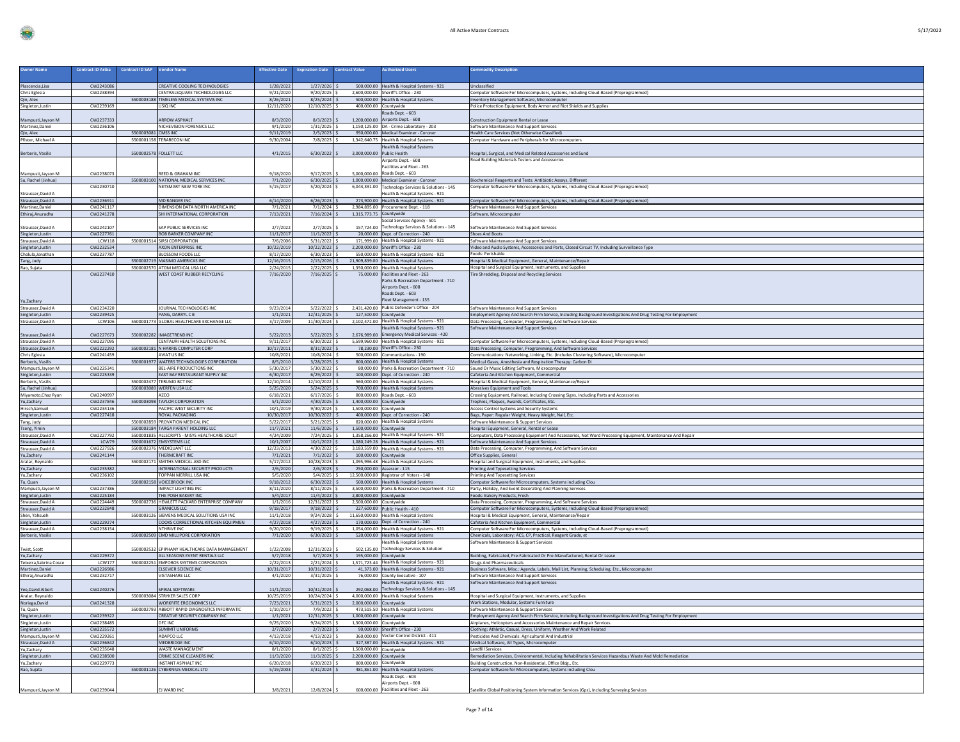| $\mathbf{1}$ | 1713<br>,,,,, |  |  |
|--------------|---------------|--|--|
|              |               |  |  |

| <b>Owner Name</b>                          | <b>Contract ID Ariba</b> | <b>Contract ID SAP</b><br><b>Vendor Name</b>                               | <b>Effective Date</b>   | <b>Expiration Date</b>           | <b>Contract Value</b>      | <b>Authorized Users</b>                                                                      | <b>Commodity Description</b>                                                                                                                             |
|--------------------------------------------|--------------------------|----------------------------------------------------------------------------|-------------------------|----------------------------------|----------------------------|----------------------------------------------------------------------------------------------|----------------------------------------------------------------------------------------------------------------------------------------------------------|
|                                            |                          |                                                                            |                         |                                  |                            |                                                                                              |                                                                                                                                                          |
| Plascencia, Lisa                           | CW2243086                | CREATIVE COOLING TECHNOLOGIES                                              | 1/28/2022               | $1/27/2026$ \$                   |                            | 500,000.00 Health & Hospital Systems - 921                                                   | Unclassified                                                                                                                                             |
| Chris Eglesia                              | CW2238394                | CENTRALSQUARE TECHNOLOGIES LLC                                             | 9/21/2020               | $9/20/2025$ \$                   |                            | 2,600,000.00 Sheriff's Office - 230                                                          | Computer Software For Microcomputers, Systems, Including Cloud-Based (Preprogrammed)                                                                     |
| Qin, Alex                                  | CW2239169                | 5500003188 TIMELESS MEDICAL SYSTEMS INC<br>USIQ INC                        | 8/26/2021<br>12/11/2020 | $8/25/2024$ \$<br>12/10/2025 \$  |                            | 500,000.00 Health & Hospital Systems<br>400,000.00 Countywide                                | Inventory Management Software, Microcomputer<br>Police Protection Equipment, Body Armor and Riot Shields and Supplies                                    |
| Singleton, Justin                          |                          |                                                                            |                         |                                  |                            | Roads Dept. - 603                                                                            |                                                                                                                                                          |
| Mampusti, Jayson M                         | CW223733                 | <b>ARROW ASPHALT</b>                                                       | 8/3/2020                | 8/3/2023                         |                            | 1,200,000.00 Airports Dept. - 608                                                            | Construction Equipment Rental or Lease                                                                                                                   |
| Martinez, Daniel                           | CW2236106                | NICHEVISION FORENSICS LLC                                                  | 9/1/2020                | $1/31/2025$ \$                   |                            | 1,150,125.00 DA - Crime Laboratory - 203                                                     | Software Maintenance And Support Services                                                                                                                |
| Qin, Alex                                  |                          | 5500003081 CMSS INC                                                        | 9/11/2019               | 2/5/2023                         |                            | 950,000.00 Medical Examiner - Coroner                                                        | Health Care Services (Not Otherwise Classified)                                                                                                          |
| Pfister, Michael A                         |                          | 5500001158 TERARECON INC                                                   | 9/30/2004               | 7/8/2023                         |                            | 1,342,640.75 Health & Hospital Systems                                                       | Computer Hardware and Peripherals for Microcomputers                                                                                                     |
|                                            |                          | 5500002578 FOLLETT LLC                                                     | 4/1/2015                | 6/30/2022                        | 3,000,000.00 Public Health | <b>Health &amp; Hospital Systems</b>                                                         |                                                                                                                                                          |
| Berberis, Vasilis                          |                          |                                                                            |                         |                                  |                            | Airports Dept. - 608                                                                         | ospital, Surgical, and Medical Related Accessories and Sunc<br>Road Building Materials Testers and Accessories                                           |
|                                            |                          |                                                                            |                         |                                  |                            | Facilities and Fleet - 263                                                                   |                                                                                                                                                          |
| Mampusti, Jayson M                         | CW2238073                | REED & GRAHAM INC                                                          | 9/18/2020               | 9/17/2025                        |                            | 5,000,000.00 Roads Dept. - 603                                                               |                                                                                                                                                          |
| Su, Rachel (Jinhua)                        |                          | 5500003100 NATIONAL MEDICAL SERVICES INC                                   | 7/1/2020                | 6/30/2025                        |                            | 1,000,000.00 Medical Examiner - Coroner                                                      | Biochemical Reagents and Tests: Antibiotic Assays, Different                                                                                             |
|                                            | CW2230710                | NETSMART NEW YORK INC                                                      | 5/15/201                | 5/20/2024                        |                            | 6,044,391.00 Technology Services & Solutions - 145                                           | Computer Software For Microcomputers, Systems, Including Cloud-Based (Preprogrammed)                                                                     |
| Strausser, David A<br>Strausser, David A   | CW2236911                | <b>MD RANGER INC</b>                                                       | 6/14/2020               | $6/26/2023$ \$                   |                            | Health & Hospital Systems - 921<br>273,900.00 Health & Hospital Systems - 921                | Computer Software For Microcomputers, Systems, Including Cloud-Based (Preprogrammed)                                                                     |
| Martinez, Daniel                           | CW2241117                | DIMENSION DATA NORTH AMERICA INC                                           | 7/1/2021                | $7/1/2024$ \$                    |                            | 2,984,895.00 Procurement Dept. - 118                                                         | Software Maintenance And Support Services                                                                                                                |
| Ethiraj, Anuradha                          | CW2241278                | SHI INTERNATIONAL CORPORATION                                              | 7/13/2021               | $7/16/2024$ \$                   | 1,315,773.75 Countywide    |                                                                                              | Software, Microcomputer                                                                                                                                  |
|                                            |                          |                                                                            |                         |                                  |                            | Social Services Agency - 501                                                                 |                                                                                                                                                          |
| Strausser, David A                         | CW2242107                | SAP PUBLIC SERVICES INC                                                    | 2/7/2022                | 2/7/2025                         |                            | 157,724.00 Technology Services & Solutions - 145                                             | Software Maintenance And Support Services                                                                                                                |
| Singleton, Justin                          | CW2227761                | <b>BOB BARKER COMPANY INC</b>                                              | 11/1/2017               | 11/1/2022                        |                            | 20,000.00 Dept. of Correction - 240                                                          | <b>Shoes And Boots</b>                                                                                                                                   |
| Strausser, David A                         | LCW118<br>CW2232534      | 5500001514 SIRSI CORPORATION<br>AXON ENTERPRISE INC                        | 7/6/2006<br>10/22/2019  | 5/31/2022<br>10/22/2022 \$       |                            | 171,999.00 Health & Hospital Systems - 921<br>2,200,000.00 Sheriff's Office - 230            | Software Maintenance And Support Services                                                                                                                |
| Singleton, Justin<br>Cholula, Jonathan     | CW2237787                | BLOSSOM FOODS LLC                                                          | 8/17/2020               | $6/30/2023$ \$                   |                            | 550,000.00 Health & Hospital Systems - 921                                                   | Video and Audio Systems, Accessories and Parts, Closed Circuit TV, Including Surveillance Type<br>Foods: Perishable                                      |
| Tang, Judy                                 |                          | 5500002719 MASIMO AMERICAS INC                                             | 12/16/2015              | $2/15/2026$ \$                   |                            | 21,909,839.00 Health & Hospital Systems                                                      | Hospital & Medical Equipment, General, Maintenance/Repair                                                                                                |
| Rao, Sujata                                |                          | 5500002570 ATOM MEDICAL USA LLC                                            | 2/24/2015               | $2/22/2025$ \$                   |                            | 1,350,000.00 Health & Hospital Systems                                                       | lospital and Surgical Equipment, Instruments, and Supplies                                                                                               |
|                                            | CW2237410                | WEST COAST RUBBER RECYCLING                                                | 7/16/2020               | $7/16/2025$ \$                   |                            | 75,000.00 Facilities and Fleet - 263                                                         | <b>Tire Shredding, Disposal and Recycling Services</b>                                                                                                   |
|                                            |                          |                                                                            |                         |                                  |                            | Parks & Recreation Department - 710                                                          |                                                                                                                                                          |
|                                            |                          |                                                                            |                         |                                  |                            | Airports Dept. - 608<br>Roads Dept. - 603                                                    |                                                                                                                                                          |
|                                            |                          |                                                                            |                         |                                  |                            | Fleet Management - 135                                                                       |                                                                                                                                                          |
| Yu,Zachary<br>Strausser, David A           | CW2234220                | JOURNAL TECHNOLOGIES INC                                                   | 9/23/2014               | $5/22/2022$ \$                   |                            | 2,431,420.00 Public Defender's Office - 204                                                  | Software Maintenance And Support Services                                                                                                                |
| Singleton, Justin                          | CW2239425                | PANG, DARRYL C B                                                           | 1/1/2021                | 12/31/2025 \$                    |                            | 127,500.00 Countywide                                                                        | Employment Agency And Search Firm Service, Including Background Investigations And Drug Testing For Employment                                           |
| Strausser, David A                         | LCW106                   | 5500001773 GLOBAL HEALTHCARE EXCHANGE LLC                                  | 3/17/2009               | 11/30/2024 \$                    |                            | 2,102,472.00 Health & Hospital Systems - 921                                                 | Data Processing, Computer, Programming, And Software Services                                                                                            |
|                                            |                          |                                                                            |                         |                                  |                            | Health & Hospital Systems - 921                                                              | Software Maintenance And Support Services                                                                                                                |
| Strausser, David A                         | CW2227673                | 5500002282 IMAGETREND INC                                                  | 5/22/2013               | $5/22/2023$ \$                   |                            | 2,676,989.00 Emergency Medical Services - 420                                                |                                                                                                                                                          |
| Strausser, David A<br>Strausser, David A   | CW2227095<br>CW2222292   | CENTAURI HEALTH SOLUTIONS INC<br>5500002181 N HARRIS COMPUTER CORP         | 9/11/2017<br>10/17/2011 | $6/30/2022$ \$<br>8/31/2022      |                            | 5,599,960.00 Health & Hospital Systems - 921<br>78,230.00 Sheriff's Office - 230             | Computer Software For Microcomputers, Systems, Including Cloud-Based (Preprogrammed)                                                                     |
| Chris Eglesia                              | CW2241459                | AVIAT US INC                                                               | 10/8/2021               | 10/8/2024 \$                     |                            | 500,000.00 Communications - 190                                                              | Data Processing, Computer, Programming, And Software Services<br>Communications: Networking, Linking, Etc. (Includes Clustering Software), Microcomputer |
| Berberis, Vasilis                          |                          | 5500001977 WATERS TECHNOLOGIES CORPORATION                                 | 8/5/2010                | 3/28/2025                        |                            | 800,000.00 Health & Hospital Systems                                                         | Medical Gases, Anesthesia and Respiration Therapy: Carbon Di                                                                                             |
|                                            | CW2225341                | <b><i>REL-AIRE PRODUCTIONS IN</i></b>                                      | 5/30/2017               | $5/30/2022$ \$                   |                            | 80,000.00 Parks & Recreation Department - 710                                                | Sound Or Music Editing Software, Microcompute                                                                                                            |
| Mampusti, Jayson M<br>Singleton, Justin    | CW2225339                | EAST BAY RESTAURANT SUPPLY INC                                             | 6/30/2017               | $6/29/2022$ \$                   |                            | 100,000.00 Dept. of Correction - 240                                                         | Cafeteria And Kitchen Equipment, Commercial                                                                                                              |
| Berberis, Vasilis                          |                          | 5500002477 TERUMO BCT INC                                                  | 12/10/2014              | 12/10/2022 \$                    |                            | 560,000.00 Health & Hospital Systems                                                         | Hospital & Medical Equipment, General, Maintenance/Repair                                                                                                |
| Su, Rachel (Jinhua)<br>Miyamoto, Chaz Ryan | CW2240997                | 5500003089 WERFEN USA LLC<br><b>AZCO</b>                                   | 5/25/2020<br>6/18/2021  | $5/24/2025$ \$<br>6/17/2026      |                            | 700,000.00 Health & Hospital Systems<br>800,000.00 Roads Dept. - 603                         | Abrasives Equipment and Tools<br>Crossing Equipment, Railroad, Including Crossing Signs, Including Parts and Accessories                                 |
| Yu,Zachary                                 | CW2237846                | 5500003098 TAYLOR CORPORATION                                              | 5/1/2020                | 4/30/2025                        | 1,400,000.00 Countywide    |                                                                                              | Frophies, Plaques, Awards, Certificates, Etc.                                                                                                            |
|                                            | CW2234136                | PACIFIC WEST SECURITY IN                                                   | 10/1/2019               | $9/30/2024$ \$                   | 1,500,000.00 Countywide    |                                                                                              | Access Control Systems and Security Systems                                                                                                              |
| Hirsch, Samuel<br>Singleton, Justin        | CW2227418                | ROYAL PACKAGING                                                            | 10/30/2017              | 10/30/2022 \$                    |                            | 400,000.00 Dept. of Correction - 240                                                         | Bags, Paper: Regular Weight, Heavy Weight, Nail, Etc.                                                                                                    |
| Tang, Judy                                 |                          | 5500002859 PROVATION MEDICAL INC                                           | 5/22/2017               | $5/21/2025$ \$                   |                            | 820,000.00 Health & Hospital Systems                                                         | Software Maintenance & Support Services                                                                                                                  |
| Tseng, Yimin                               |                          | 5500003184 TARGA PARENT HOLDING LLC                                        | 11/7/2021               | $11/6/2026$ \$                   | 1,500,000.00 Countywide    |                                                                                              | Hospital Equipment, General, Rental or Lease                                                                                                             |
| Strausser, David A<br>Strausser, David A   | CW2227792<br>LCW79       | 5500001835 ALLSCRIPTS - MISYS HEALTHCARE SOLUT<br>5500001672 EMSYSTEMS LLC | 4/24/2009<br>10/1/2007  | 7/24/2025<br>$10/1/2022$ \$      |                            | 1,358,266.00 Health & Hospital Systems - 921<br>1,080,249.28 Health & Hospital Systems - 921 | Computers, Data Processing Equipment And Accessories, Not Word Processing Equipment, Maintenance And Repair<br>Software Maintenance And Support Services |
| Strausser, David A                         | CW2227926                | 5500002376 MEDIQUANT LLC                                                   | 12/23/2013              | $4/30/2022$ \$                   |                            | 3,183,559.00 Health & Hospital Systems - 921                                                 | Data Processing, Computer, Programming, And Software Services                                                                                            |
| Yu,Zachary                                 | CW2241144                | THERMCRAFT INC                                                             | 7/1/2021                | $7/1/2022$ \$                    |                            | 100,000.00 Countywide                                                                        | Office Supplies, General                                                                                                                                 |
| Aralar, Reynaldo                           |                          | 5500002171 SMITHS MEDICAL ASD INC                                          | 5/17/2012               | 10/28/2023 \$                    |                            | 1,095,996.48 Health & Hospital Systems                                                       | Hospital and Surgical Equipment, Instruments, and Supplies                                                                                               |
| Yu,Zachary                                 | CW2235382                | INTERNATIONAL SECURITY PRODUCTS                                            | 2/6/2020                | $2/6/2023$ \$                    |                            | 250,000.00 Assessor - 115                                                                    | Printing And Typesetting Services                                                                                                                        |
| Yu,Zachary                                 | CW2236102                | TOPPAN MERRILL USA INC                                                     | 5/5/2020                | 5/4/2025                         |                            | 12,500,000.00 Registrar of Voters - 140                                                      | Printing And Typesetting Services                                                                                                                        |
| Tu, Quan                                   | CW2237386                | 5500002158 VOICEBROOK INC<br><b>IMPACT LIGHTING INC</b>                    | 9/18/2012<br>8/11/2020  | 6/30/2022<br>$8/11/2025$ \$      |                            | 500,000.00 Health & Hospital Systems<br>3,500,000.00 Parks & Recreation Department - 710     | Computer Software for Microcomputers, Systems including Clou<br>Party, Holiday, And Event Decorating And Planning Services                               |
| Mampusti, Jayson M<br>Singleton, Justin    | CW2225184                | THE POSH BAKERY INC                                                        | 5/4/2017                | $11/4/2022$ \$                   | 2,800,000.00 Countywide    |                                                                                              | Foods: Bakery Products, Fresh                                                                                                                            |
| Strausser, David A                         | CW2224449                | 5500002736 HEWLETT PACKARD ENTERPRISE COMPANY                              | 1/1/2016                | 12/31/2022 \$                    | 2,500,000.00 Countywide    |                                                                                              | Data Processing, Computer, Programming, And Software Services                                                                                            |
| Strausser, David A                         | CW2232848                | <b>GRANICUS LLC</b>                                                        | 9/18/2017               | $9/18/2022$ \$                   |                            | 227,600.00 Public Health - 410                                                               | Computer Software For Microcomputers, Systems, Including Cloud-Based (Preprogrammed)                                                                     |
| Shen, Yahsueh<br>Singleton, Justin         |                          | 5500003126 SIEMENS MEDICAL SOLUTIONS USA INC                               | 11/1/2018               | $9/24/2028$ S                    |                            | 11,650,000.00 Health & Hospital Systems                                                      | Hospital & Medical Equipment, General, Maintenance/Repair                                                                                                |
|                                            | CW2229274<br>CW2238154   | COOKS CORRECTIONAL KITCHEN EQUIPMEN<br>NTHRIVE INC                         | 4/27/2018<br>9/20/2020  | $4/27/2023$ \$<br>9/19/2025      |                            | 170,000.00 Dept. of Correction - 240<br>1,054,000.00 Health & Hospital Systems - 921         | Cafeteria And Kitchen Equipment, Commercial                                                                                                              |
| Strausser, David A<br>Berberis, Vasilis    |                          | 5500002509 EMD MILLIPORE CORPORATION                                       | 7/1/2020                | $6/30/2023$ \$                   |                            | 520,000.00 Health & Hospital Systems                                                         | omputer Software For Microcomputers, Systems, Including Cloud-Based (Preprogrammed)<br>Chemicals, Laboratory: ACS, CP, Practical, Reagent Grade, et      |
|                                            |                          |                                                                            |                         |                                  |                            | Health & Hospital Systems                                                                    | Software Maintenance & Support Services                                                                                                                  |
| Twist, Scott                               |                          | 5500002532 EPIPHANY HEALTHCARE DATA MANAGEMENT                             | 1/22/2008               | 12/31/2023                       |                            | 502,135.00 Technology Services & Solution                                                    |                                                                                                                                                          |
| Yu,Zachary                                 | CW2229372                | ALL SEASONS EVENT RENTALS LLC                                              | 5/7/2018                | $5/7/2023$ \$                    |                            | 195,000.00 Countywide                                                                        | Building, Fabricated, Pre-Fabricated Or Pre-Manufactured, Rental Or Lease                                                                                |
| Teixeira, Sabrina Cosce                    | LCW177                   | 5500002251 EMPOROS SYSTEMS CORPORATION                                     | 2/22/2013               | 2/21/2024                        |                            | 1,571,723.44 Health & Hospital Systems - 921                                                 | <b>Drugs And Pharmaceuticals</b>                                                                                                                         |
| Martinez, Daniel                           | CW2226986                | ELSEVIER SCIENCE INC                                                       | 10/31/2017              | 10/31/2022                       |                            | 41,373.00 Health & Hospital Systems - 921                                                    | Business Software, Misc.: Agenda, Labels, Mail List, Planning, Scheduling, Etc., Microcomputer                                                           |
| Ethiraj, Anuradha                          | CW223271                 | VISTASHARE LLC                                                             | 4/1/2020                | 3/31/2025                        |                            | 76,000.00 County Executive - 107<br>Health & Hospital Systems - 921                          | Software Maintenance And Support Services<br>Software Maintenance And Support Services                                                                   |
| Yee, David Albert                          | CW2240276                | SPIRAL SOFTWARE                                                            | 11/1/2020               | 10/31/2024 \$                    |                            | 292,068.00 Technology Services & Solutions - 145                                             |                                                                                                                                                          |
| Aralar, Reynaldo                           |                          | 5500003084 STRYKER SALES CORP                                              | 10/25/2019              | 10/24/2024 \$                    |                            | 4,000,000.00 Health & Hospital Systems                                                       | Hospital and Surgical Equipment, Instruments, and Supplies                                                                                               |
| Noriega, David                             | CW2241328                | <b>WORKRITE ERGONOMICS LLC</b>                                             | 7/23/2021               | $5/31/2023$ \$                   | 2,000,000.00 Countywide    |                                                                                              | Work Stations, Modular, Systems Furniture                                                                                                                |
| Tu, Quan                                   |                          | 5500002793 ABBOTT RAPID DIAGNOSTICS INFORMATIC                             | 1/10/2017               | $7/9/2022$ \$                    |                            | 473,515.50 Health & Hospital Systems                                                         | Software Maintenance & Support Services                                                                                                                  |
| Singleton, Justin                          | CW2239322                | CREATIVE SECURITY COMPANY INC                                              | 1/1/2021                | 12/31/2025 \$                    | 1,000,000.00 Countywide    |                                                                                              | Employment Agency And Search Firm Service, Including Background Investigations And Drug Testing For Employment                                           |
| Singleton, Justin<br>Singleton, Justin     | CW2238485<br>CW2235572   | DEC INC.<br><b>SUMMIT UNIFORMS</b>                                         | 9/25/2020<br>2/7/2020   | $9/24/2025$ \$<br>$2/7/2023$ \$  | 1,300,000.00 Countywide    | 90,000.00 Sheriff's Office - 230                                                             | Airplanes, Helicopters and Accessories Maintenance and Repair Services<br>Clothing: Athletic, Casual, Dress, Uniform, Weather And Work Related           |
| Mampusti, Jayson M                         | CW2229261                | ADAPCO LLC                                                                 | 4/13/2018               | $4/13/2023$ \$                   |                            | 360,000.00 Vector Control District - 411                                                     | Pesticides And Chemicals: Agricultural And Industrial                                                                                                    |
| Strausser, David A                         | CW2236842                | <b>MEDBRIDGE INC</b>                                                       | 6/10/2020               | $6/10/2023$ \$                   |                            | 327,387.00 Health & Hospital Systems - 921                                                   | Medical Software, All Types, Microcomputer                                                                                                               |
| Yu,Zachary                                 | CW2235648                | <b>WASTE MANAGEMENT</b>                                                    | 8/1/2020                | $8/1/2025$ \$                    | 1,500,000.00 Countywide    |                                                                                              | Landfill Services                                                                                                                                        |
| Singleton, Justin                          | CW2238500                | CRIME SCENE CLEANERS INC                                                   | 11/3/2020               | $11/3/2025$ \$                   | 2,200,000.00 Countywide    |                                                                                              | Remediation Services, Environmental, Including Rehabilitation Services Hazardous Waste And Mold Remediation                                              |
| Yu,Zachary                                 | CW2229773                | INSTANT ASPHALT INC<br>5500001126 CYBERNIUS MEDICAL LTD                    | 6/20/2018               | $6/20/2023$ \$<br>$3/31/2024$ \$ | 800.000.00 Countywide      | 481,861.00 Health & Hospital Systems                                                         | Building Construction, Non-Residential, Office Bldg., Etc.                                                                                               |
| Rao, Sujata                                |                          |                                                                            | 5/19/2003               |                                  |                            | Roads Dept. - 603                                                                            | Computer Software for Microcomputers, Systems including Clou                                                                                             |
|                                            |                          |                                                                            |                         |                                  |                            | Airports Dept. - 608                                                                         |                                                                                                                                                          |
|                                            | CW2239044                | EJ WARD INC                                                                | 3/8/2021                | 12/8/2024 \$                     |                            | 600,000.00 Facilities and Fleet - 263                                                        | Satellite Global Positioning System Information Services (Gps), Including Surveying Services                                                             |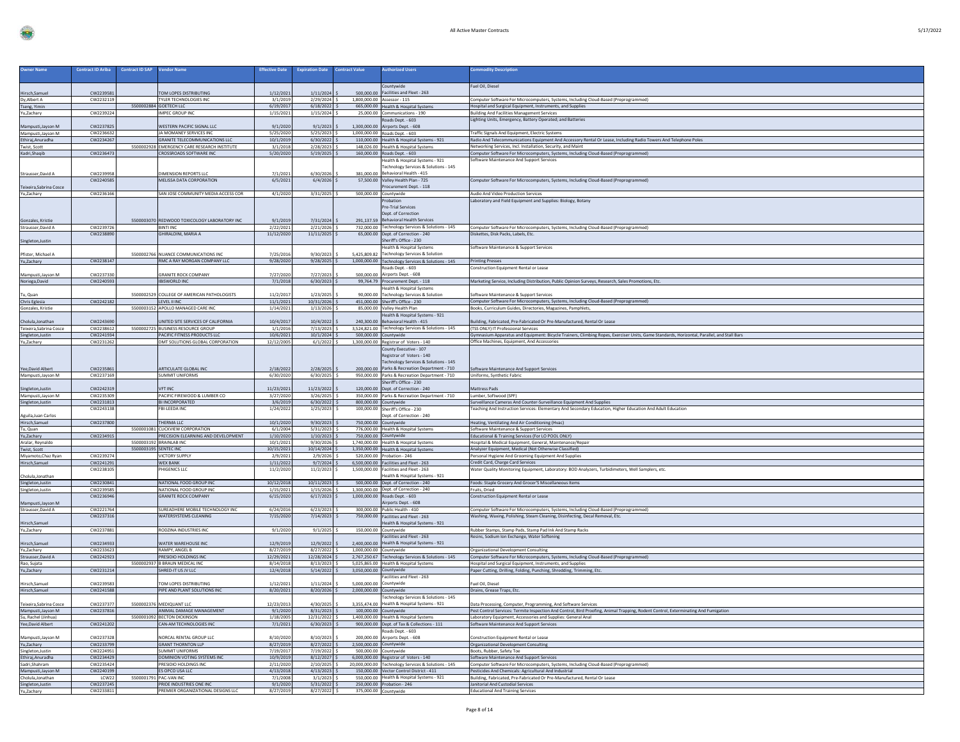|  | i |
|--|---|
|--|---|

| Owner Name                             | <b>Contract ID Ariba</b> | <b>Contract ID SAP</b> | <b>Vendor Name</b>                                   | <b>Effective Date</b>   | <b>Expiration Date</b>       | <b>Contract Value</b> | <b>Authorized Users</b>                                                                 | <b>Commodity Descriptior</b>                                                                                                               |
|----------------------------------------|--------------------------|------------------------|------------------------------------------------------|-------------------------|------------------------------|-----------------------|-----------------------------------------------------------------------------------------|--------------------------------------------------------------------------------------------------------------------------------------------|
|                                        |                          |                        |                                                      |                         |                              |                       |                                                                                         |                                                                                                                                            |
|                                        |                          |                        |                                                      |                         |                              |                       | Countywide                                                                              | Fuel Oil, Diesel                                                                                                                           |
| Hirsch, Samuel                         | CW223958                 |                        | <b>COM LOPES DISTRIBUTING</b>                        | 1/12/2021               | 1/11/2024                    |                       | 500,000.00 Facilities and Fleet - 263                                                   |                                                                                                                                            |
| Dy, Albert A                           | CW2232119                |                        | TYLER TECHNOLOGIES INC                               | 3/1/2019                | $2/29/2024$ :                |                       | 1,800,000.00 Assessor - 115                                                             | Computer Software For Microcomputers, Systems, Including Cloud-Based (Preprogrammed)                                                       |
| Tseng, Yimin                           |                          |                        | 5500002884 GOETECH LLC                               | 6/19/2017               | 6/18/2022                    |                       | 665,000.00 Health & Hospital Systems                                                    | Hospital and Surgical Equipment, Instruments, and Supplies                                                                                 |
| Yu,Zachary                             | CW2239224                |                        | IMPEC GROUP INC                                      | 1/15/2021               | 1/15/2024                    |                       | 25,000.00 Communications - 190                                                          | <b>Building And Facilities Management Services</b><br>Lighting Units, Emergency, Battery Operated; and Batteries                           |
| Mampusti, Jayson M                     | CW2237825                |                        | <b>NESTERN PACIFIC SIGNAL LLC</b>                    | 9/1/2020                | 9/1/2023                     |                       | Roads Dept. - 603<br>1,300,000.00 Airports Dept. - 608                                  |                                                                                                                                            |
| Mampusti Javson M                      | CW2236632                |                        | JA MOMANEY SERVICES INC                              | 5/25/2020               | 5/25/2023                    |                       | 1.000.000.00 Roads Dent. - 603                                                          | Traffic Signals And Equipment, Electric Systems                                                                                            |
| Ethiraj, Anuradha                      | CW2234267                |                        | <b>GRANITE TELECOMMUNICATIONS LLC</b>                | 10/1/2019               | 6/30/2022                    |                       | 110,000.00 Health & Hospital Systems - 921                                              | Radio And Telecommunications Equipment And Accessory Rental Or Lease, Including Radio Towers And Telephone Poles                           |
| Twist, Scott                           |                          |                        | 5500002928 EMERGENCY CARE RESEARCH INSTITUTE         | 3/1/2018                | 2/28/2023                    |                       | 148,026.00 Health & Hospital Systems                                                    | Networking Services, Incl. Installation, Security, and Maint                                                                               |
| Kadri, Shaqib                          | CW2236473                |                        | CROSSROADS SOFTWARE INC                              | 5/20/2020               | $5/19/2025$ \$               |                       | 160,000.00 Roads Dept. - 603                                                            | Computer Software For Microcomputers, Systems, Including Cloud-Based (Preprogrammed)                                                       |
|                                        |                          |                        |                                                      |                         |                              |                       | Health & Hospital Systems - 921                                                         | Software Maintenance And Support Services                                                                                                  |
|                                        |                          |                        | DIMENSION REPORTS LLC                                |                         |                              |                       | Technology Services & Solutions - 145<br>381,000.00 Behavioral Health - 415             |                                                                                                                                            |
| Strausser, David A                     | CW223995<br>CW2240585    |                        | MELISSA DATA CORPORATION                             | 7/1/202<br>6/5/2021     | 6/30/2026<br>6/4/2026        |                       | 57,500.00 Valley Health Plan - 725                                                      | Computer Software For Microcomputers, Systems, Including Cloud-Based (Preprogrammed)                                                       |
| Teixeira, Sabrina Cosce                |                          |                        |                                                      |                         |                              |                       | rocurement Dept. - 118                                                                  |                                                                                                                                            |
| Yu,Zachary                             | CW2236166                |                        | SAN JOSE COMMUNITY MEDIA ACCESS COR                  | 4/1/2020                | 3/31/2025 \$                 |                       | 500,000.00 Countywide                                                                   | Audio And Video Production Services                                                                                                        |
|                                        |                          |                        |                                                      |                         |                              |                       | robation                                                                                | Laboratory and Field Equipment and Supplies: Biology, Botany                                                                               |
|                                        |                          |                        |                                                      |                         |                              |                       | Pre-Trial Services                                                                      |                                                                                                                                            |
|                                        |                          |                        |                                                      |                         |                              |                       | Dept. of Correction                                                                     |                                                                                                                                            |
| Gonzales, Kristie                      |                          |                        | 5500003070 REDWOOD TOXICOLOGY LABORATORY INC         | 9/1/2019                | 7/31/2024                    |                       | 291,137.59 Behavioral Health Services                                                   |                                                                                                                                            |
| Strausser, David A                     | CW2239726<br>CW2238890   |                        | <b>BINTI INC</b><br>GHIRALDINI, MARIA A              | 2/22/2021<br>11/12/2020 | $2/21/2026$ \$<br>11/11/2025 |                       | 732,000.00 Technology Services & Solutions - 145<br>65,000.00 Dept. of Correction - 240 | Computer Software For Microcomputers, Systems, Including Cloud-Based (Preprogrammed)<br>Diskettes, Disk Packs, Labels, Etc.                |
|                                        |                          |                        |                                                      |                         |                              |                       | Sheriff's Office - 230                                                                  |                                                                                                                                            |
| Singleton, Justin                      |                          |                        |                                                      |                         |                              |                       | <b>Health &amp; Hospital Systems</b>                                                    | Software Maintenance & Support Services                                                                                                    |
| Pfister, Michael A                     |                          |                        | 5500002766 NUANCE COMMUNICATIONS INC                 | 7/25/2016               | 9/30/2023                    |                       | 5,425,809.82 Technology Services & Solution                                             |                                                                                                                                            |
| Yu,Zachary                             | CW2238147                |                        | RMC A RAY MORGAN COMPANY LLC                         | 9/28/2020               | $9/28/2025$ \$               |                       | 1,000,000.00 Technology Services & Solutions - 145                                      | <b>Printing Presses</b>                                                                                                                    |
|                                        |                          |                        |                                                      |                         |                              |                       | Roads Dept. - 603                                                                       | Construction Equipment Rental or Lease                                                                                                     |
| Mampusti, Jayson M                     | CW2237330                |                        | <b>SRANITE ROCK COMPANY</b>                          | 7/27/2020               | 7/27/2023                    | 500,000.00            | Airports Dept. - 608                                                                    |                                                                                                                                            |
| Noriega, David                         | CW2240593                |                        | <b>IBISWORLD INC</b>                                 | 7/1/2018                | 6/30/2023                    |                       | 99,764.79 Procurement Dept. - 118                                                       | Marketing Service, Including Distribution, Public Opinion Surveys, Research, Sales Promotions, Etc.                                        |
| Tu. Quan                               |                          |                        | 5500002529 COLLEGE OF AMERICAN PATHOLOGISTS          | 11/2/2017               | 1/23/2025                    |                       | lealth & Hospital Systen<br>90,000,00 Technology Services & Solution                    | Software Maintenance & Support Services                                                                                                    |
| Chris Eglesia                          | CW2242182                |                        | LEVEL II INC                                         | 11/1/2021               | 10/31/2026 \$                |                       | 451,000.00 Sheriff's Office - 230                                                       | Computer Software For Microcomputers, Systems, Including Cloud-Based (Preprogrammed)                                                       |
| Gonzales, Kristie                      |                          |                        | 5500003152 APOLLO MANAGED CARE INC                   | 1/14/2021               | $1/13/2026$ \$               |                       | 85,000.00 Valley Health Plan                                                            | Books, Curriculum Guides, Directories, Magazines, Pamphlets,                                                                               |
|                                        |                          |                        |                                                      |                         |                              |                       | lealth & Hospital Systems - 921                                                         |                                                                                                                                            |
| Cholula, Jonathan                      | CW2243690                |                        | JNITED SITE SERVICES OF CALIFORNIA                   | 10/4/2017               | 10/4/2022                    |                       | 240,300.00 Behavioral Health - 415                                                      | Building, Fabricated, Pre-Fabricated Or Pre-Manufactured, Rental Or Lease                                                                  |
| Teixeira.Sabrina Cosce                 | CW2238612                |                        | 5500002725 BUSINESS RESOURCE GROUP                   | 1/1/2016                | 7/13/2023 \$                 |                       | 3,524,821.00 Technology Services & Solutions - 145                                      | (TSS ONLY) IT Professional Services                                                                                                        |
| Singleton, Justin                      | CW2241934                |                        | PACIFIC FITNESS PRODUCTS LLC                         | 10/6/2021               | $10/1/2024$ \$               |                       | 500,000.00 Countywide                                                                   | Gymnasium Apparatus and Equipment: Bicycle Trainers, Climbing Ropes, Exerciser Units, Game Standards, Horizontal, Parallel, and Stall Bars |
| Yu,Zachary                             | CW2231262                |                        | DMT SOLUTIONS GLOBAL CORPORATION                     | 12/12/2005              | $6/1/2022$ \$                |                       | 1,300,000.00 Registrar of Voters - 140                                                  | Office Machines, Equipment, And Accessories                                                                                                |
|                                        |                          |                        |                                                      |                         |                              |                       | County Executive - 107<br>Registrar of Voters - 140                                     |                                                                                                                                            |
|                                        |                          |                        |                                                      |                         |                              |                       | Technology Services & Solutions - 145                                                   |                                                                                                                                            |
| Yee, David Albert                      | CW2235861                |                        | ARTICULATE GLOBAL INC                                | 2/18/2022               | 2/28/2025                    |                       | 200,000.00 Parks & Recreation Department - 710                                          | Software Maintenance And Support Services                                                                                                  |
| Mampusti, Jayson M                     | CW2237169                |                        | SUMMIT UNIFORMS                                      | 6/30/2020               | $6/30/2025$ \$               |                       | 950,000.00 Parks & Recreation Department - 710                                          | Uniforms, Synthetic Fabric                                                                                                                 |
|                                        |                          |                        |                                                      |                         |                              |                       |                                                                                         |                                                                                                                                            |
|                                        |                          |                        |                                                      |                         |                              |                       | Sheriff's Office - 230                                                                  |                                                                                                                                            |
| Singleton, Justin                      | CW2242319                |                        | <b>VFT INC</b>                                       | 11/23/2021              | 11/23/2022                   |                       | 120,000.00 Dept. of Correction - 240                                                    | <b>Mattress Pads</b>                                                                                                                       |
| Mampusti, Jayson M                     | CW2235309                |                        | PACIFIC FIREWOOD & LUMBER CO.                        | 3/27/2020               | $3/26/2025$ \$               |                       | 350,000.00 Parks & Recreation Department - 710                                          | Lumber, Softwood (SPF)                                                                                                                     |
| Singleton, Justin                      | CW2231813                |                        | <b>BI INCORPORATED</b>                               | 3/6/2019                | 6/30/2022                    |                       | 800,000.00 Countywide                                                                   | Surveillance Cameras And Counter-Surveillance Equipment And Supplies                                                                       |
|                                        | CW2243138                |                        | BI-LEEDA INC                                         | 1/24/2022               | 1/25/2023                    | 100,000,00            | Sheriff's Office - 230                                                                  | Feaching And Instruction Services: Elementary And Secondary Education, Higher Education And Adult Education                                |
| Aguila, Juan Carlos                    | CW2237800                |                        | THERMA IIC                                           | 10/1/2020               | $9/30/2023$ \$               |                       | Dept. of Correction - 240                                                               |                                                                                                                                            |
| Hirsch, Samuel<br>Tu. Quan             |                          |                        | 5500001081 CLICKVIEW CORPORATION                     | 6/1/2004                | $5/31/2023$ \$               |                       | 750,000.00 Countywide<br>776,000.00 Health & Hospital Systems                           | Heating, Ventilating And Air Conditioning (Hvac)<br>Software Maintenance & Support Services                                                |
| Yu,Zachary                             | CW2234915                |                        | PRECISION ELEARNING AND DEVELOPMENT                  | 1/10/2020               | 1/10/2023                    |                       | 750,000.00 Countywide                                                                   | Educational & Training Services (For LO POOL ONLY)                                                                                         |
| Aralar, Reynaldo                       |                          |                        | 5500003192 BRAINLAB INC                              | 10/1/2021               | $9/30/2026$ \$               |                       | 1,740,000.00 Health & Hospital Systems                                                  | Hospital & Medical Equipment, General, Maintenance/Repair                                                                                  |
| Twist, Scott                           |                          |                        | 5500003195 SENTEC INC                                | 10/15/2021              | 10/14/2024 \$                |                       | 1,350,000.00 Health & Hospital Systems                                                  | Analyzer Equipment, Medical (Not Otherwise Classified)                                                                                     |
| Miyamoto, Chaz Ryan                    | CW2239274                |                        | VICTORY SUPPLY                                       | 2/9/2021                | $2/9/2026$ \$                |                       | 520,000.00 Probation - 246                                                              | Personal Hygiene And Grooming Equipment And Supplies                                                                                       |
| Hirsch, Samuel                         | CW2241291<br>CW2238105   |                        | <b>WEX BANK</b><br>PHIGENICS LLC                     | 1/11/2022<br>11/2/2020  | $9/7/2024$ \$<br>11/2/2023   |                       | 6,500,000.00 Facilities and Fleet - 263<br>1,500,000.00 Facilities and Fleet - 263      | Credit Card, Charge Card Services                                                                                                          |
| Cholula, Jonathan                      |                          |                        |                                                      |                         |                              |                       | lealth & Hospital Systems - 921                                                         | Water Quality Monitoring Equipment, Laboratory: BOD Analyzers, Turbidimeters, Well Samplers, etc.                                          |
| Singleton, Justin                      | CW2230841                |                        | NATIONAL FOOD GROUP INC                              | 10/12/2018              | $10/11/2023$ :               |                       | 500,000.00 Dept. of Correction - 240                                                    | Foods: Staple Grocery And Grocer'S Miscellaneous Items                                                                                     |
| Singleton, Justin                      | CW2239585                |                        | NATIONAL FOOD GROUP INC                              | 1/15/2021               | 1/15/2026                    |                       | 1.300.000.00 Dept. of Correction - 240                                                  | Fruits, Dried                                                                                                                              |
|                                        | CW2236946                |                        | <b>GRANITE ROCK COMPANY</b>                          | 6/15/2020               | 6/17/2023                    |                       | 1,000,000.00 Roads Dept. - 603                                                          | Construction Equipment Rental or Lease                                                                                                     |
| Mampusti, Jayson M                     |                          |                        |                                                      |                         |                              |                       | Airports Dept. - 608                                                                    |                                                                                                                                            |
| Strausser, David A                     | CW2221764                |                        | SUREADHERE MOBILE TECHNOLOGY INC                     | 6/24/2016               | 6/23/2023                    |                       | 300,000.00 Public Health - 410                                                          | Computer Software For Microcomputers, Systems, Including Cloud-Based (Preprogrammed)                                                       |
| Hirsch, Samuel                         | CW2237316                |                        | WATERSYSTEMS CLEANING                                | 7/15/2020               | 7/14/2023                    |                       | 750,000.00 Facilities and Fleet - 263<br>Health & Hospital Systems - 921                | Washing, Waxing, Polishing, Steam Cleaning, Disinfecting, Decal Removal, Etc.                                                              |
| Yu,Zachary                             | CW2237881                |                        | RODZINA INDUSTRIES INC                               | 9/1/2020                | $9/1/2025$ \$                |                       | 150,000.00 Countywide                                                                   | Rubber Stamps, Stamp Pads, Stamp Pad Ink And Stamp Racks                                                                                   |
|                                        |                          |                        |                                                      |                         |                              |                       | Facilities and Fleet - 263                                                              | Resins, Sodium Ion Exchange, Water Softening                                                                                               |
| Hirsch, Samuel                         | CW2234933                |                        | WATER WAREHOUSE INC                                  | 12/9/2019               | 12/9/2022                    | 2,400,000.00          | Health & Hospital Systems - 921                                                         |                                                                                                                                            |
| Yu,Zachary                             | CW2233623                |                        | RAMPY, ANGEL B                                       | 8/27/2019               | 8/27/2022 \$                 | 1,000,000.00          | Countywide                                                                              | <b>Organizational Development Consulting</b>                                                                                               |
| Strausser, David A                     | CW2242923                |                        | PRESIDIO HOLDINGS INC                                | 12/29/2021              | 12/28/2024 S                 |                       | 2,767,250.67 Technology Services & Solutions - 145                                      | Computer Software For Microcomputers, Systems, Including Cloud-Based (Preprogrammed)                                                       |
| Rao, Sujata                            |                          |                        | 5500002937 B BRAUN MEDICAL INC                       | 8/14/2018               | 8/13/2023 \$                 |                       | 5,025,865.00 Health & Hospital Systems                                                  | Hospital and Surgical Equipment, Instruments, and Supplies                                                                                 |
| Yu,Zachary                             | CW2231214                |                        | SHRED-IT US JV LLC                                   | 12/4/2018               | $5/14/2022$ \$               |                       | 3,050,000.00 Countywide<br>acilities and Fleet - 263                                    | Paper Cutting, Drilling, Folding, Punching, Shredding, Trimming, Etc.                                                                      |
| Hirsch, Samuel                         | CW2239583                |                        | <b>TOM LOPES DISTRIBUTING</b>                        | 1/12/2021               | 1/11/2024                    | 5.000.000.00          | Countywide                                                                              | Fuel Oil, Diesel                                                                                                                           |
| Hirsch, Samuel                         | CW2241588                |                        | PIPE AND PLANT SOLUTIONS INC                         | 8/20/2021               | $8/20/2026$ \$               |                       | 2,000,000.00 Countywide                                                                 | Drains, Grease Traps, Etc.                                                                                                                 |
|                                        |                          |                        |                                                      |                         |                              |                       | Technology Services & Solutions - 145                                                   |                                                                                                                                            |
| Teixeira.Sabrina Cosce                 | CW2237377                |                        | 5500002376 MEDIQUANT LLC                             | 12/23/2013              | $4/30/2025$ S                |                       | 3.355.474.00 Health & Hospital Systems - 921                                            | Data Processing, Computer, Programming, And Software Services                                                                              |
| Mampusti, Jayson M                     | CW2237816                |                        | ANIMAL DAMAGE MANAGEMENT                             | 9/1/2020                | $8/31/2023$ \$               |                       | 100,000.00 Countywide                                                                   | Pest Control Services: Termite Inspection And Control, Bird Proofing, Animal Trapping, Rodent Control, Exterminating And Fumigation        |
| Su, Rachel (Jinhua)                    |                          |                        | 5500001092 BECTON DICKINSON                          | 1/18/2005               | 12/31/2022 \$                |                       | 1,400,000.00 Health & Hospital Systems                                                  | Laboratory Equipment, Accessories and Supplies: General Anal                                                                               |
| Yee, David Albert                      | CW2241202                |                        | CAN-AM TECHNOLOGIES INC                              | 7/1/2021                | $6/30/2023$ \$               |                       | 900,000.00 Dept. of Tax & Collections - 111                                             | Software Maintenance And Support Services                                                                                                  |
|                                        |                          |                        |                                                      |                         |                              |                       | Roads Dept. - 603                                                                       |                                                                                                                                            |
| Mampusti, Jayson M<br>Yu,Zachary       | CW2237328<br>CW2233799   |                        | NORCAL RENTAL GROUP LLC<br><b>GRANT THORNTON LLP</b> | 8/10/2020<br>8/27/2019  | 8/10/2023<br>$8/27/2022$ \$  |                       | 200,000.00 Airports Dept. - 608<br>2,500,000.00 Countywide                              | Construction Equipment Rental or Lease<br><b>Organizational Development Consulting</b>                                                     |
| Singleton, Justin                      | CW2224951                |                        | <b>SUMMIT UNIFORMS</b>                               | 7/19/2017               | $7/19/2022$ \$               |                       | 500,000.00 Countywide                                                                   | Boots, Rubber, Safety Toe                                                                                                                  |
| Ethiraj, Anuradha                      | CW2234429                |                        | DOMINION VOTING SYSTEMS INC                          | 10/9/2019               | $8/12/2027$ \$               |                       | 6,000,000.00 Registrar of Voters - 140                                                  | Software Maintenance And Support Services                                                                                                  |
| Sadri.Shahram                          | CW2235424                |                        | PRESIDIO HOLDINGS INC.                               | 2/11/2020               | $2/10/2025$ \$               |                       | 20,000,000.00 Technology Services & Solutions - 145                                     | Computer Software For Microcomputers, Systems, Including Cloud-Based (Preprogrammed)                                                       |
| Mampusti, Jayson M                     | CW2240199                |                        | ES OPCO USA LLC                                      | 4/13/2018               | 4/13/2023                    |                       | 150,000.00 Vector Control District - 411                                                | Pesticides And Chemicals: Agricultural And Industrial                                                                                      |
| Cholula, Jonathan<br>Singleton, Justin | LCW22<br>CW2237245       |                        | 5500001791 PAC-VAN INC<br>PRIDE INDUSTRIES ONE INC   | 7/1/2008<br>9/1/2020    | 3/1/2023<br>$5/31/2022$ \$   |                       | 550,000.00 Health & Hospital Systems - 921<br>250,000.00 Probation - 246                | Building, Fabricated, Pre-Fabricated Or Pre-Manufactured, Rental Or Lease<br>Janitorial And Custodial Services                             |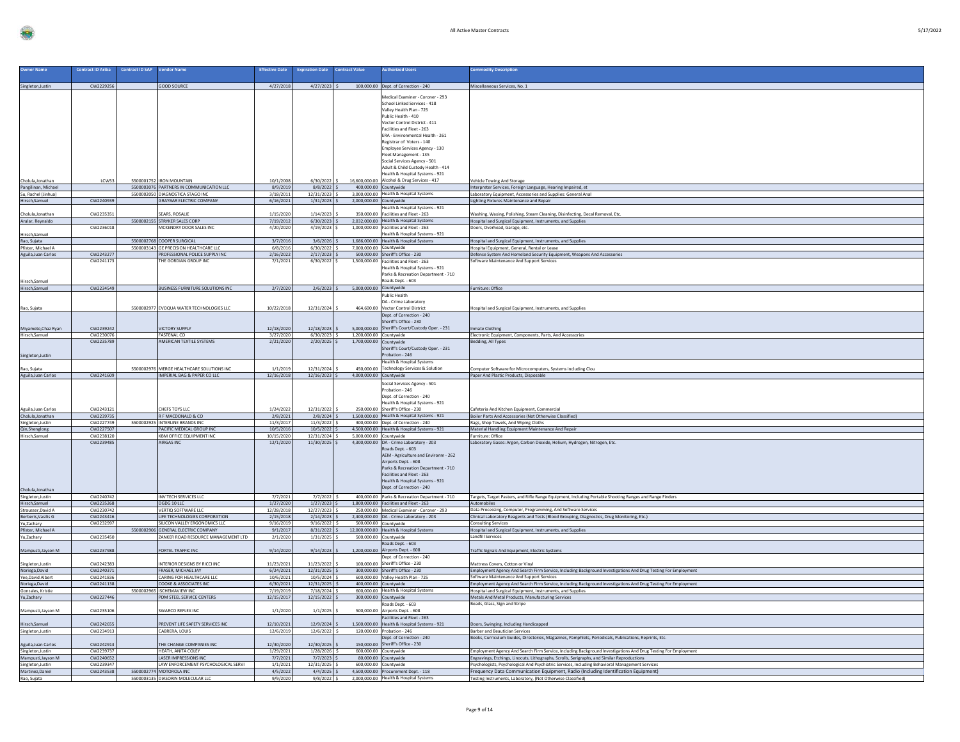|  | '17/2022 |  |
|--|----------|--|
|  |          |  |

| <b>Owner Name</b>                         | <b>Contract ID Ariba</b> | <b>Contract ID SAP</b> | <b>Vendor Name</b>                                                       | <b>ffective Date</b>    | <b>Expiration Date</b>          | <b>Contract Value</b>                              | <b>Luthorized Users</b>                                                                                                                                                                                                                                                               | mmodity Description                                                                                                                                                                                           |
|-------------------------------------------|--------------------------|------------------------|--------------------------------------------------------------------------|-------------------------|---------------------------------|----------------------------------------------------|---------------------------------------------------------------------------------------------------------------------------------------------------------------------------------------------------------------------------------------------------------------------------------------|---------------------------------------------------------------------------------------------------------------------------------------------------------------------------------------------------------------|
| Singleton, Justin                         | CW2229256                |                        | <b>GOOD SOURCE</b>                                                       | 4/27/2018               |                                 |                                                    | 4/27/2023 \$100,000.00 Dept. of Correction - 240                                                                                                                                                                                                                                      | Miscellaneous Services, No. 1                                                                                                                                                                                 |
|                                           |                          |                        |                                                                          |                         |                                 |                                                    | Aedical Examiner - Coroner - 293<br>School Linked Services - 418<br>Valley Health Plan - 725<br>Public Health - 410<br>Vector Control District - 411<br>Facilities and Fleet - 263<br>ERA - Environmental Health - 261<br>Registrar of Voters - 140<br>Employee Services Agency - 130 |                                                                                                                                                                                                               |
|                                           |                          |                        |                                                                          |                         |                                 |                                                    | Fleet Management - 135<br>Social Services Agency - 501<br>Adult & Child Custody Health - 414<br>Health & Hospital Systems - 921                                                                                                                                                       |                                                                                                                                                                                                               |
| Cholula, Jonathan                         | LCWS.                    |                        | 5500001752 IRON MOUNTAIN                                                 | 10/1/2008               | $6/30/2022$ \$                  |                                                    | 16,600,000.00 Alcohol & Drug Services - 417                                                                                                                                                                                                                                           | Vehicle Towing And Storage                                                                                                                                                                                    |
| Pangilinan, Michael                       |                          |                        | 5500003076 PARTNERS IN COMMUNICATION LLC                                 | 8/9/2019                | $8/8/2022$ \$                   | 400,000.00 Countywide                              |                                                                                                                                                                                                                                                                                       | Interpreter Services, Foreign Language, Hearing Impaired, et                                                                                                                                                  |
| Su, Rachel (Jinhua)<br>Hirsch, Samuel     | CW2240939                |                        | 5500002050 DIAGNOSTICA STAGO INC<br><b>GRAYBAR ELECTRIC COMPANY</b>      | 3/18/2011<br>6/16/2021  | 12/31/2023<br>$1/31/2023$ \$    | 2,000,000.00 Countywide                            | 3,000,000.00 Health & Hospital Systems                                                                                                                                                                                                                                                | Laboratory Equipment, Accessories and Supplies: General Anal<br>Lighting Fixtures Maintenance and Repair                                                                                                      |
| Cholula, Jonathan                         | CW223535                 |                        | SEARS, ROSALIE                                                           | 1/15/2020               | 1/14/2023                       |                                                    | Health & Hospital Systems - 921<br>350,000.00 Facilities and Fleet - 263                                                                                                                                                                                                              | Vashing, Waxing, Polishing, Steam Cleaning, Disinfecting, Decal Removal, Etc.                                                                                                                                 |
| Aralar, Reynaldo                          | CW2236018                |                        | 5500002155 STRYKER SALES CORP<br>MCKENDRY DOOR SALES INC                 | 7/19/2012<br>4/20/2020  | $6/30/2023$ \$<br>4/19/2023     |                                                    | 2,032,000.00 Health & Hospital Systems<br>1,000,000.00 Facilities and Fleet - 263                                                                                                                                                                                                     | Hospital and Surgical Equipment, Instruments, and Supplies<br>Doors, Overhead, Garage, etc.                                                                                                                   |
| Hirsch, Samuel                            |                          |                        |                                                                          |                         |                                 |                                                    | Health & Hospital Systems - 921                                                                                                                                                                                                                                                       |                                                                                                                                                                                                               |
| Rao, Sujata                               |                          |                        | 5500002768 COOPER SURGICAL                                               | 3/7/2016                | 3/6/2026                        |                                                    | 1,686,000.00 Health & Hospital Systems                                                                                                                                                                                                                                                | Hospital and Surgical Equipment, Instruments, and Supplies                                                                                                                                                    |
| Pfister, Michael A                        |                          |                        | 5500003143 GE PRECISION HEALTHCARE LLC                                   | 6/8/2016                | 6/30/2022                       | 7,000,000.00 Countywide                            |                                                                                                                                                                                                                                                                                       | Hospital Equipment, General, Rental or Lease                                                                                                                                                                  |
| Aguila, Juan Carlos                       | CW2243277<br>CW2241173   |                        | PROFESSIONAL POLICE SUPPLY INC<br>THE GORDIAN GROUP INC                  | 2/16/2022<br>7/1/2021   | $2/17/2023$ \$<br>$6/30/2022$ S |                                                    | 500.000.00 Sheriff's Office - 230<br>1,500,000.00 Facilities and Fleet - 263                                                                                                                                                                                                          | Defense System And Homeland Security Equipment, Weapons And Accessories<br>Software Maintenance And Support Services                                                                                          |
| Hirsch, Samuel                            |                          |                        |                                                                          |                         |                                 |                                                    | Health & Hospital Systems - 921<br>Parks & Recreation Department - 710<br>Roads Dept. - 603                                                                                                                                                                                           |                                                                                                                                                                                                               |
| Hirsch, Samuel                            | CW2234549                |                        | BUSINESS FURNITURE SOLUTIONS INC                                         | 2/7/2020                | $2/6/2023$ \$                   | 5.000.000.00 Countywide                            |                                                                                                                                                                                                                                                                                       | Furniture: Office                                                                                                                                                                                             |
|                                           |                          |                        |                                                                          |                         |                                 |                                                    | <b>Public Health</b>                                                                                                                                                                                                                                                                  |                                                                                                                                                                                                               |
| Rao, Sujata                               |                          |                        | 5500002977 EVOQUA WATER TECHNOLOGIES LLC                                 | 10/22/2018              | 12/31/2024                      |                                                    | DA - Crime Laboratory<br>464,600.00 Vector Control District                                                                                                                                                                                                                           | lospital and Surgical Equipment, Instruments, and Supplies                                                                                                                                                    |
|                                           |                          |                        |                                                                          |                         |                                 |                                                    | Dept. of Correction - 240<br>Sheriff's Office - 230                                                                                                                                                                                                                                   |                                                                                                                                                                                                               |
| Miyamoto, Chaz Ryan                       | CW2239242                |                        | <b>/ICTORY SUPPLY</b>                                                    | 12/18/2020              | 12/18/2023                      |                                                    | 5,000,000.00 Sheriff's Court/Custody Oper. - 231                                                                                                                                                                                                                                      | <b>Imate Clothing</b>                                                                                                                                                                                         |
| Hirsch, Samuel                            | CW2230076<br>CW2235789   |                        | FASTENAL CO<br>AMERICAN TEXTILE SYSTEMS                                  | 3/27/2020<br>2/21/2020  | $6/30/2023$ \$                  | 1,200,000.00 Countywide<br>1,700,000.00 Countywide |                                                                                                                                                                                                                                                                                       | Electronic Equipment, Components, Parts, And Accessories                                                                                                                                                      |
| Singleton, Justin                         |                          |                        |                                                                          |                         | $2/20/2025$ \$                  |                                                    | Sheriff's Court/Custody Oper. - 231<br>Probation - 246                                                                                                                                                                                                                                | <b>Bedding, All Types</b>                                                                                                                                                                                     |
|                                           |                          |                        |                                                                          |                         |                                 |                                                    | Health & Hospital Systems                                                                                                                                                                                                                                                             |                                                                                                                                                                                                               |
| Rao, Sujata<br>Aguila, Juan Carlos        | CW2241609                |                        | 5500002976 MERGE HEALTHCARE SOLUTIONS INC<br>IMPERIAL BAG & PAPER CO LLC | 1/1/201<br>12/16/2018   | 12/31/2024<br>$12/16/2023$ S    | 4,000,000.00 Countywide                            | 450,000.00 Technology Services & Solution                                                                                                                                                                                                                                             | omputer Software for Microcomputers, Systems including Clou<br>Paper And Plastic Products, Disposable                                                                                                         |
|                                           |                          |                        |                                                                          |                         |                                 |                                                    | Social Services Agency - 501<br>Probation - 246<br>Dept. of Correction - 240<br>Health & Hospital Systems - 921                                                                                                                                                                       |                                                                                                                                                                                                               |
| Aguila, Juan Carlos                       | CW224312                 |                        | <b>CHEFS TOYS LLC</b>                                                    | 1/24/202                | 12/31/2022                      |                                                    | 250,000.00 Sheriff's Office - 230<br>1,500,000.00 Health & Hospital Systems - 921                                                                                                                                                                                                     | Cafeteria And Kitchen Equipment, Commercial                                                                                                                                                                   |
| Cholula, Jonathan<br>Singleton, Justin    | CW2239735<br>CW2227749   |                        | R F MACDONALD & CO<br>5500002925 INTERLINE BRANDS INC                    | 2/8/2021<br>11/3/2017   | $2/8/2024$ \$<br>11/3/2022      |                                                    | 300,000.00 Dept. of Correction - 240                                                                                                                                                                                                                                                  | Boiler Parts And Accessories (Not Otherwise Classified)<br>Rags, Shop Towels, And Wiping Cloths                                                                                                               |
| Qin, Shenglong                            | CW2227507                |                        | PACIFIC MEDICAL GROUP INC                                                | 10/5/2016               | $10/5/2022$ S                   |                                                    | 4,500,000.00 Health & Hospital Systems - 921                                                                                                                                                                                                                                          | Material Handling Equipment Maintenance And Repair                                                                                                                                                            |
| Hirsch, Samuel<br>Cholula, Jonathan       | CW2238120<br>CW2239485   |                        | <b>KBM OFFICE EQUIPMENT INC</b><br>AIRGAS INC.                           | 10/15/2020<br>12/1/2020 | 12/31/2024 S<br>11/30/2025 \$   | 5,000,000.00 Countywide                            | 4,300,000.00 DA - Crime Laboratory - 203<br>Roads Dept. - 603<br>AEM - Agriculture and Environm - 262<br>Airports Dept. - 608<br>Parks & Recreation Department - 710<br>Facilities and Fleet - 263<br>Health & Hospital Systems - 921<br>Dept. of Correction - 240                    | Furniture: Office<br>Laboratory Gases: Argon, Carbon Dioxide, Helium, Hydrogen, Nitrogen, Etc.                                                                                                                |
| Singleton, Justin                         | CW2240742                |                        | INV TECH SERVICES LLC                                                    | 7/7/2021                | $7/7/2022$ \$                   |                                                    | 400,000.00 Parks & Recreation Department - 710                                                                                                                                                                                                                                        | Targets, Target Pasters, and Rifle Range Equipment, Including Portable Shooting Ranges and Range Finders                                                                                                      |
| Hirsch, Samuel                            | CW2235268                |                        | DGDG 10 LLC                                                              | 1/27/2020               | $1/27/2023$ \$                  |                                                    | 1,800,000.00 Facilities and Fleet - 263                                                                                                                                                                                                                                               |                                                                                                                                                                                                               |
| Strausser, David A<br>Berberis, Vasilis G | CW2230742<br>CW2243416   |                        | VERTIQ SOFTWARE LLC<br>LIFE TECHNOLOGIES CORPORATION                     | 12/28/2018<br>2/15/2018 | 12/27/2023<br>$2/14/2023$ \$    |                                                    | 250,000.00 Medical Examiner - Coroner - 293<br>2,400,000.00 DA - Crime Laboratory - 203                                                                                                                                                                                               | Data Processing, Computer, Programming, And Software Services<br>Clinical Laboratory Reagents and Tests (Blood Grouping, Diagnostics, Drug Monitoring, Etc.)                                                  |
| Yu,Zachary                                | CW2232997                |                        | SILICON VALLEY ERGONOMICS LLC                                            | 9/16/2019               | $9/16/2022$ \$                  | 500,000.00 Countywide                              |                                                                                                                                                                                                                                                                                       | <b>Consulting Services</b>                                                                                                                                                                                    |
| Pfister, Michael A                        |                          |                        | 5500002906 GENERAL ELECTRIC COMPANY                                      | 9/1/2017                | $8/31/2022$ \$                  |                                                    | 12,000,000.00 Health & Hospital Systems                                                                                                                                                                                                                                               | Hospital and Surgical Equipment, Instruments, and Supplies                                                                                                                                                    |
| Yu,Zachary<br>Mampusti, Jayson M          | CW2235450<br>CW2237988   |                        | ZANKER ROAD RESOURCE MANAGEMENT LTD<br>FORTEL TRAFFIC INC                | 2/1/2020<br>9/14/2020   | $1/31/2025$ \$<br>9/14/2023     | 500,000.00 Countywide                              | Roads Dept. - 603<br>1,200,000.00 Airports Dept. - 608                                                                                                                                                                                                                                | <b>Landfill Services</b><br>Traffic Signals And Equipment, Electric Systems                                                                                                                                   |
| Singleton, Justin                         | CW224238                 |                        | INTERIOR DESIGNS BY RICCI INC                                            | 11/23/2021              | 11/23/2022                      |                                                    | Dept. of Correction - 240<br>100,000.00 Sheriff's Office - 230                                                                                                                                                                                                                        | Mattress Covers, Cotton or Vinyl                                                                                                                                                                              |
| Noriega, David                            | CW2240371                |                        | FRASER, MICHAEL JAY                                                      | 6/24/2021               | 12/31/2025                      |                                                    | 300,000.00 Sheriff's Office - 230                                                                                                                                                                                                                                                     | Employment Agency And Search Firm Service, Including Background Investigations And Drug Testing For Employment                                                                                                |
| Yee, David Albert                         | CW2241836                |                        | CARING FOR HEALTHCARE LLC                                                | 10/6/2021               | 10/5/2024                       |                                                    | 600,000.00 Valley Health Plan - 725                                                                                                                                                                                                                                                   | Software Maintenance And Support Services                                                                                                                                                                     |
| Noriega, David<br>Gonzales, Kristie       | CW2241138                |                        | <b>COOKE &amp; ASSOCIATES INC</b><br>5500002965 ISCHEMAVIEW INC          | 6/30/2021<br>7/19/2019  | $12/31/2025$ \$<br>7/18/2024 \$ |                                                    | 400,000.00 Countywide<br>600,000.00 Health & Hospital Systems                                                                                                                                                                                                                         | Employment Agency And Search Firm Service, Including Background Investigations And Drug Testing For Employment<br>Hospital and Surgical Equipment, Instruments, and Supplies                                  |
| Yu,Zachary                                | CW222744                 |                        | PDM STEEL SERVICE CENTERS                                                | 12/15/2017              | 12/15/2022                      | 300,000.00 Countywide                              |                                                                                                                                                                                                                                                                                       | Metals And Metal Products, Manufacturing Services                                                                                                                                                             |
| Mampusti, Jayson M                        | CW223510                 |                        | SWARCO REFLEX INC                                                        | 1/1/2020                | 1/1/2025                        |                                                    | Roads Dept. - 603<br>500,000.00 Airports Dept. - 608                                                                                                                                                                                                                                  | Beads, Glass, Sign and Stripe                                                                                                                                                                                 |
| Hirsch, Samuel                            | CW224265                 |                        | <b>PREVENT LIFE SAFETY SERVICES INC</b>                                  | 12/10/2021              | 12/9/2024                       |                                                    | Facilities and Fleet - 263<br>1,500,000.00 Health & Hospital Systems - 921                                                                                                                                                                                                            | Doors, Swinging, Including Handicapped                                                                                                                                                                        |
| Singleton, Justin                         | CW2234913                |                        | CABRERA, LOUIS                                                           | 12/6/2019               | 12/6/2022                       |                                                    | 120,000.00 Probation - 246                                                                                                                                                                                                                                                            | <b>Barber and Beautician Services</b>                                                                                                                                                                         |
| Aguila, Juan Carlos                       | CW2242913                |                        | THE CHANGE COMPANIES INC                                                 | 12/30/2020              | 12/30/2025                      |                                                    | Dept. of Correction - 240<br>150,000.00 Sheriff's Office - 230                                                                                                                                                                                                                        | Books, Curriculum Guides, Directories, Magazines, Pamphlets, Periodicals, Publications, Reprints, Etc.                                                                                                        |
| Singleton, Justin<br>Mampusti, Jayson M   | CW2239737<br>CW2240652   |                        | HEATH, ANITA COLEY<br><b>LASER IMPRESSIONS INC</b>                       | 1/29/2021<br>7/7/2021   | $1/28/2026$ \$<br>$7/7/2023$ :  | 600,000.00 Countywide                              | 80,000.00 Countywide                                                                                                                                                                                                                                                                  | Employment Agency And Search Firm Service, Including Background Investigations And Drug Testing For Employment<br>Engravings, Etchings, Linocuts, Lithographs, Scrolls, Serigraphs, and Similar Reproductions |
| Singleton, Justin                         | CW2239347                |                        | LAW ENFORCEMENT PSYCHOLOGICAL SERVI                                      | 1/1/2021                | 12/31/2025                      | 600.000.00 Countywide                              |                                                                                                                                                                                                                                                                                       | Psychologists, Psychological And Psychiatric Services, Including Behavioral Management Services                                                                                                               |
| Martinez, Daniel                          | CW2243538                |                        | 5500002774 MOTOROLA INC                                                  | 4/5/2022                | $4/4/2025$ \$                   |                                                    | 4.500.000.00 Procurement Dept. - 118                                                                                                                                                                                                                                                  | Frequency Data Communication Equipment, Radio (Including Identification Equipment)                                                                                                                            |
| Rao, Sujata                               |                          |                        | 5500003135 DIASORIN MOLECULAR LLC                                        | 9/9/2020                | $9/8/2022$ \$                   |                                                    | 2,000,000.00 Health & Hospital Systems                                                                                                                                                                                                                                                | Testing Instruments, Laboratory, (Not Otherwise Classified)                                                                                                                                                   |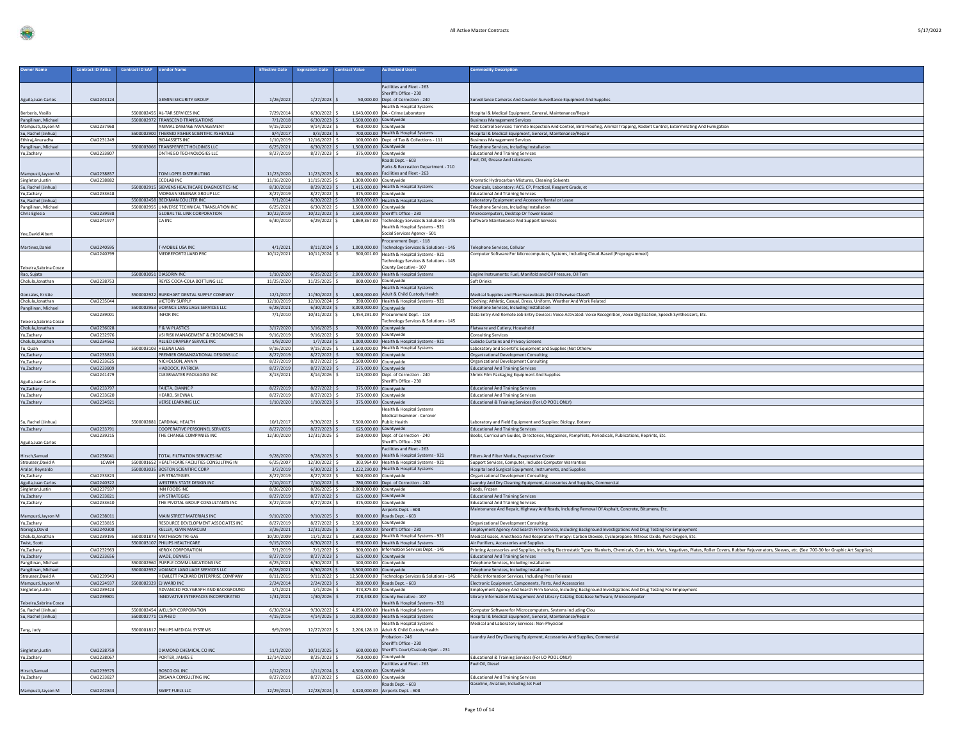| <b>Owner Name</b>                          | <b>Contract ID Ariba</b> | <b>Contract ID SAP</b> | <b>Vendor Name</b>                                                              | <b>Effective Date</b>    | <b>Expiration Date</b>           | <b>Contract Value</b>   | <b>Luthorized Users</b>                                                                | <b>Commodity Description</b>                                                                                                                                                                                                        |
|--------------------------------------------|--------------------------|------------------------|---------------------------------------------------------------------------------|--------------------------|----------------------------------|-------------------------|----------------------------------------------------------------------------------------|-------------------------------------------------------------------------------------------------------------------------------------------------------------------------------------------------------------------------------------|
|                                            |                          |                        |                                                                                 |                          |                                  |                         | Facilities and Fleet - 263                                                             |                                                                                                                                                                                                                                     |
|                                            | CW2243124                |                        | <b>GEMINI SECURITY GROUP</b>                                                    | 1/26/2022                | 1/27/2023                        |                         | Sheriff's Office - 230<br>50,000.00 Dept. of Correction - 240                          |                                                                                                                                                                                                                                     |
| Aguila, Juan Carlos                        |                          |                        |                                                                                 |                          |                                  |                         | Health & Hospital System:                                                              | Surveillance Cameras And Counter-Surveillance Equipment And Supplies                                                                                                                                                                |
| Berberis, Vasilis                          |                          |                        | 5500002455 AL-TAR SERVICES INC                                                  | 7/29/2014                | 6/30/2022                        |                         | 1,643,000.00 DA - Crime Laboratory                                                     | Hospital & Medical Equipment, General, Maintenance/Repair                                                                                                                                                                           |
| Pangilinan, Michael<br>Mampusti, Jayson M  | CW2237968                |                        | 5500002972 TRANSCEND TRANSLATIONS<br>ANIMAL DAMAGE MANAGEMENT                   | 7/1/2018<br>9/15/2020    | $6/30/2023$ \$<br>9/14/2023      | 1,500,000.00 Countywide | 450,000.00 Countywide                                                                  | <b>Business Management Services</b><br>Pest Control Services: Termite Inspection And Control, Bird Proofing, Animal Trapping, Rodent Control, Exterminating And Fumigation                                                          |
| Su, Rachel (Jinhua)                        |                          | 5500002900             | THERMO FISHER SCIENTIFIC ASHEVILLE                                              | 8/4/2017                 | 8/3/2023                         |                         | 700,000.00 Health & Hospital Systems                                                   | Hospital & Medical Equipment, General, Maintenance/Repair                                                                                                                                                                           |
| Ethiraj, Anuradha                          | CW2231249                |                        | <b>BID4ASSETS INC</b>                                                           | 1/10/2019                | 12/16/2022 \$                    |                         | 100,000.00 Dept. of Tax & Collections - 111                                            | <b>Business Management Services</b>                                                                                                                                                                                                 |
| Pangilinan, Michael<br>Yu,Zachary          | CW2233807                |                        | 5500003066 TRANSPERFECT HOLDINGS LLC<br>ONTHEGO TECHNOLOGIES LLC                | 6/25/2021<br>8/27/2019   | $6/30/2022$ \$<br>8/27/2023 \$   |                         | 1,500,000.00 Countywide<br>375,000.00 Countywide                                       | <b>Felephone Services, Including Installation</b><br><b>Educational And Training Services</b>                                                                                                                                       |
|                                            |                          |                        |                                                                                 |                          |                                  |                         | Roads Dept. - 603                                                                      | Fuel, Oil, Grease And Lubricants                                                                                                                                                                                                    |
|                                            |                          |                        |                                                                                 |                          |                                  |                         | Parks & Recreation Department - 710                                                    |                                                                                                                                                                                                                                     |
| Mampusti, Jayson M<br>Singleton, Justin    | CW2238857<br>CW2238882   |                        | TOM LOPES DISTRIBUTING<br>ECOLAB INC                                            | 11/23/2020<br>11/16/2020 | 11/23/2023<br>11/15/2025         | 1,300,000.00 Countywide | 800,000.00 Facilities and Fleet - 263                                                  | Aromatic Hydrocarbon Mixtures, Cleaning Solvents                                                                                                                                                                                    |
| Su, Rachel (Jinhua)                        |                          |                        | 5500002915 SIEMENS HEALTHCARE DIAGNOSTICS INC                                   | 8/30/2018                | 8/29/2023                        |                         | 1,415,000.00 Health & Hospital Systems                                                 | Chemicals, Laboratory: ACS, CP, Practical, Reagent Grade, et                                                                                                                                                                        |
| Yu,Zachary                                 | CW2233618                |                        | MORGAN SEMINAR GROUP LLC                                                        | 8/27/2019                | 8/27/2022                        |                         | 375.000.00 Countywide                                                                  | <b>Educational And Training Service</b>                                                                                                                                                                                             |
| Su, Rachel (Jinhua)<br>Pangilinan, Michael |                          |                        | 5500002458 BECKMAN COULTER INC<br>5500002955 UNIVERSE TECHNICAL TRANSLATION INC | 7/1/2014<br>6/25/2021    | $6/30/2022$ \$<br>$6/30/2022$ \$ | 1,500,000.00 Countywide | 3,000,000.00 Health & Hospital Systems                                                 | Laboratory Equipment and Accessory Rental or Lease<br>Telephone Services, Including Installation                                                                                                                                    |
| Chris Eglesia                              | CW2239938                |                        | <b>GLOBAL TEL LINK CORPORATION</b>                                              | 10/22/2019               | 10/22/2022                       |                         | 2.500.000.00 Sheriff's Office - 230                                                    | Microcomputers, Desktop Or Tower Based                                                                                                                                                                                              |
|                                            | CW224197                 |                        | A INC                                                                           | 6/30/2010                | 6/29/2022                        |                         | 1,869,367.00 Technology Services & Solutions - 145                                     | Software Maintenance And Support Services                                                                                                                                                                                           |
| Yee, David Albert                          |                          |                        |                                                                                 |                          |                                  |                         | Health & Hospital Systems - 921<br>Social Services Agency - 501                        |                                                                                                                                                                                                                                     |
|                                            |                          |                        |                                                                                 |                          |                                  |                         | Procurement Dept. - 118                                                                |                                                                                                                                                                                                                                     |
| Martinez, Daniel                           | CW224059                 |                        | T-MOBILE USA INC                                                                | 4/1/2021                 | 8/11/2024                        |                         | 1,000,000.00 Technology Services & Solutions - 145                                     | Felephone Services, Cellular                                                                                                                                                                                                        |
|                                            | CW224079                 |                        | MEDREPORTGUARD PBC                                                              | 10/12/2021               | 10/11/2024 \$                    |                         | 500,001.00 Health & Hospital Systems - 921<br>Technology Services & Solutions - 145    | Computer Software For Microcomputers, Systems, Including Cloud-Based (Preprogrammed)                                                                                                                                                |
| Teixeira, Sabrina Cosce                    |                          |                        |                                                                                 |                          |                                  |                         | County Executive - 107                                                                 |                                                                                                                                                                                                                                     |
| Rao, Sujata                                |                          |                        | 5500003051 DIASORIN INC                                                         | 1/10/2020                | $6/25/2022$ \$                   |                         | 2,000,000.00 Health & Hospital Systems                                                 | Engine Instruments: Fuel, Manifold and Oil Pressure, Oil Tem                                                                                                                                                                        |
| Cholula, Jonathan                          | CW2238753                |                        | REYES COCA-COLA BOTTLING LLC                                                    | 11/25/2020               | 11/25/2025                       |                         | 800.000.00 Countywide<br><b>Health &amp; Hospital Systems</b>                          | Soft Drinks                                                                                                                                                                                                                         |
| Gonzales, Kristie                          |                          |                        | 5500002922 BURKHART DENTAL SUPPLY COMPANY                                       | 12/1/2017                | 11/30/2022                       |                         | 1,800,000.00 Adult & Child Custody Health                                              | Medical Supplies and Pharmaceuticals (Not Otherwise Classifi                                                                                                                                                                        |
| Cholula, Jonathan                          | CW2235044                |                        | VICTORY SUPPLY                                                                  | 12/10/2019               | 12/10/2024                       |                         | 390,000.00 Health & Hospital Systems - 921                                             | Clothing: Athletic, Casual, Dress, Uniform, Weather And Work Related                                                                                                                                                                |
| Pangilinan, Michael                        | CW223900                 |                        | 5500002953 VOIANCE LANGUAGE SERVICES LLC<br><b>IFOR INC</b>                     | 6/28/2021<br>7/1/2010    | $6/30/2023$ \$<br>10/31/2022     | 8,000,000.00 Countywide | 1,454,291.00 Procurement Dept. - 118                                                   | Telephone Services, Including Installation<br>Data Entry And Remote Job Entry Devices: Voice Activated: Voice Recognition, Voice Digitization, Speech Synthesizers, Etc.                                                            |
| Teixeira, Sabrina Cosc                     |                          |                        |                                                                                 |                          |                                  |                         | Technology Services & Solutions - 145                                                  |                                                                                                                                                                                                                                     |
| Cholula, Jonathan                          | CW2236028                |                        | <b>F &amp; W PLASTICS</b>                                                       | 3/17/2020                | 3/16/2025                        |                         | 700,000.00 Countywide                                                                  | Flatware and Cutlery, Household                                                                                                                                                                                                     |
| Yu,Zachary                                 | CW2232976<br>CW2234562   |                        | VSI RISK MANAGEMENT & ERGONOMICS IN<br>ALLIED DRAPERY SERVICE INC               | 9/16/2019                | 9/16/2022                        |                         | 500,000.00 Countywide                                                                  | <b>Consulting Services</b>                                                                                                                                                                                                          |
| Cholula, Jonathan<br>Tu, Quan              |                          | 5500003103             | <b>HELENA LABS</b>                                                              | 1/8/2020<br>9/16/2020    | $1/7/2023$ \$<br>9/15/2025       |                         | 1,000,000.00 Health & Hospital Systems - 921<br>1.500.000.00 Health & Hospital Systems | <b>Cubicle Curtains and Privacy Screens</b><br>Laboratory and Scientific Equipment and Supplies (Not Otherw                                                                                                                         |
| Yu,Zachary                                 | CW2233813                |                        | REMIER ORGANIZATIONAL DESIGNS LLC                                               | 8/27/2019                | 8/27/2022                        |                         | 500,000.00 Countywide                                                                  | <b>Organizational Development Consulting</b>                                                                                                                                                                                        |
| Yu,Zachary                                 | CW2233625<br>CW2233809   |                        | NICHOLSON, ANN N<br>HADDOCK, PATRICIA                                           | 8/27/2019<br>8/27/2019   | 8/27/2022<br>$8/27/2023$ 9       | 2,500,000.00 Countywide | 375,000.00 Countywide                                                                  | Organizational Development Consulting<br><b>Educational And Training Services</b>                                                                                                                                                   |
| Yu,Zachary                                 | CW2241479                |                        | LEARWATER PACKAGING INC                                                         | 8/13/2021                | 8/14/2026                        |                         | 125,000.00 Dept. of Correction - 240                                                   | Shrink Film Packaging Equipment And Supplies                                                                                                                                                                                        |
| Aguila, Juan Carlos                        |                          |                        |                                                                                 |                          |                                  |                         | Sheriff's Office - 230                                                                 |                                                                                                                                                                                                                                     |
|                                            |                          |                        |                                                                                 |                          |                                  |                         |                                                                                        |                                                                                                                                                                                                                                     |
| Yu,Zachary                                 | CW2233797                |                        | FAIETA, DIANNE P                                                                | 8/27/2019                | 8/27/2022                        | 375,000.00 Countywide   |                                                                                        | <b>Educational And Training Services</b>                                                                                                                                                                                            |
| Yu,Zachary<br>Yu,Zachary                   | CW2233620<br>CW2234921   |                        | <b>IEARD, SHEYNA I</b><br><b>VERSE LEARNING LLC</b>                             | 8/27/2019<br>1/10/2020   | 8/27/2023<br>1/10/2023           |                         | 375,000.00 Countywide<br>375,000.00 Countywide                                         | <b>Educational And Training Services</b>                                                                                                                                                                                            |
|                                            |                          |                        |                                                                                 |                          |                                  |                         | lealth & Hospital System:                                                              | Educational & Training Services (For LO POOL ONLY)                                                                                                                                                                                  |
|                                            |                          |                        |                                                                                 |                          |                                  |                         | Medical Examiner - Coroner                                                             |                                                                                                                                                                                                                                     |
| Su, Rachel (Jinhua)<br>Yu,Zachary          | CW2233791                |                        | 5500002881 CARDINAL HEALTH<br>COOPERATIVE PERSONNEL SERVICES                    | 10/1/2017<br>8/27/2019   | 9/30/2022<br>$8/27/2023$ \$      |                         | 7,500,000.00 Public Health<br>625,000.00 Countywide                                    | aboratory and Field Equipment and Supplies: Biology, Botany.<br><b>Educational And Training Services</b>                                                                                                                            |
|                                            | CW223921                 |                        | THE CHANGE COMPANIES INC                                                        | 12/30/2020               | 12/31/2025                       |                         | 150,000.00 Dept. of Correction - 240                                                   | Books, Curriculum Guides, Directories, Magazines, Pamphlets, Periodicals, Publications, Reprints, Etc.                                                                                                                              |
| Aguila, Juan Carlos                        |                          |                        |                                                                                 |                          |                                  |                         | Sheriff's Office - 230                                                                 |                                                                                                                                                                                                                                     |
|                                            | CW223804:                |                        | TOTAL FILTRATION SERVICES INC                                                   | 9/28/2020                | 9/28/2023                        |                         | Facilities and Fleet - 263<br>900,000.00 Health & Hospital Systems - 921               | Filters And Filter Media, Evaporative Cooler                                                                                                                                                                                        |
| Hirsch, Samuel<br>Strausser, David A       | LCW84                    |                        | 5500001652 HEALTHCARE FACILITIES CONSULTING IN                                  | 6/25/2007                | 12/30/2022                       |                         | 303,964.00 Health & Hospital Systems - 921                                             | Support Services, Computer, Includes Computer Warranties                                                                                                                                                                            |
| Aralar, Reynaldo                           |                          |                        | 5500003035 BOSTON SCIENTIFIC CORP                                               | 3/2/2019                 | $6/30/2022$ \$                   |                         | 1,222,290.00 Health & Hospital Systems                                                 | Hospital and Surgical Equipment, Instruments, and Supplies                                                                                                                                                                          |
| Yu,Zachary<br>Aguila, Juan Carlos          | CW2233823<br>CW2240322   |                        | <b>VPI STRATEGIES</b><br>WESTERN STATE DESIGN INC                               | 8/27/2019<br>7/10/2017   | 8/27/2022<br>7/10/2022           |                         | 500,000.00 Countywide<br>780,000.00 Dept. of Correction - 240                          | Organizational Development Consulting<br>Laundry And Dry Cleaning Equipment, Accessories And Supplies, Commercial                                                                                                                   |
| Singleton, Justin                          | CW2237937                |                        | INN FOODS INC                                                                   | 8/26/2020                | 8/26/2025                        | 2,000,000.00 Countywide |                                                                                        | Foods, Frozen                                                                                                                                                                                                                       |
| Yu,Zachary<br>Yu,Zachary                   | CW2233821<br>CW2233610   |                        | <b>VPI STRATEGIES</b><br>THE PIVOTAL GROUP CONSULTANTS INC                      | 8/27/2019                | 8/27/2022                        |                         | 625,000.00 Countywide                                                                  | <b>Educational And Training Services</b><br><b>Educational And Training Services</b>                                                                                                                                                |
|                                            |                          |                        |                                                                                 | 8/27/2019                | 8/27/2023                        |                         | 375,000.00 Countywide<br>Airports Dept. - 608                                          | Maintenance And Repair, Highway And Roads, Including Removal Of Asphalt, Concrete, Bitumens, Etc.                                                                                                                                   |
| Mampusti, Jayson M                         | CW2238011                |                        | MAIN STREET MATERIALS INC                                                       | 9/10/2020                | 9/10/2025                        |                         | 800,000.00 Roads Dept. - 603                                                           |                                                                                                                                                                                                                                     |
| Yu,Zachary                                 | CW2233815<br>CW2240308   |                        | RESOURCE DEVELOPMENT ASSOCIATES INC<br>KELLEY, KEVIN MARCUM                     | 8/27/2019<br>3/26/2021   | 8/27/2022 S<br>12/31/2025        | 2,500,000.00 Countywide | 300.000.00 Sheriff's Office - 230                                                      | <b>Organizational Development Consulting</b>                                                                                                                                                                                        |
| Noriega, David<br>Cholula, Jonathan        | CW2239195                |                        | 5500001873 MATHESON TRI-GAS                                                     | 10/20/2009               | 11/1/2022                        |                         | 2,600,000.00 Health & Hospital Systems - 921                                           | Employment Agency And Search Firm Service, Including Background Investigations And Drug Testing For Employment<br>Medical Gases, Anesthesia And Respiration Therapy: Carbon Dioxide, Cyclopropane, Nitrous Oxide, Pure Oxygen, Etc. |
| Twist, Scott                               |                          |                        | 5500003107 PHILIPS HEALTHCARE                                                   | 9/15/2020                | 6/30/2022                        |                         | 650,000.00 Health & Hospital System                                                    | Air Purifiers, Accessories and Supplies                                                                                                                                                                                             |
| Yu.Zacharv                                 | CW2232963                |                        | <b>XEROX CORPORATION</b>                                                        | 7/1/2019                 | 7/1/2022                         |                         | 300,000.00 Information Services Dept. - 145                                            | Printing Accessories and Supplies, Including Electrostatic Types: Blankets, Chemicals, Gum, Inks, Mats, Negatives, Plates, Roller Covers, Rubber Rejuvenators, Sleeves, etc. (See 700-30 for Graphic Art Supplies)                  |
| Yu,Zachary<br>Pangilinan, Michael          | CW2233656                |                        | WADE, DENNIS J<br>5500002960 PURPLE COMMUNICATIONS INC                          | 8/27/2019<br>6/25/2021   | 8/27/2023<br>6/30/2022           |                         | 625,000.00 Countywide<br>100,000.00 Countywide                                         | <b>Educational And Training Services</b><br>Telephone Services, Including Installation                                                                                                                                              |
| Pangilinan, Michael                        |                          |                        | 5500002957 VOIANCE LANGUAGE SERVICES LLC                                        | 6/28/2021                | 6/30/2023                        | 5.500.000.00 Countywide |                                                                                        | Telephone Services, Including Installation                                                                                                                                                                                          |
| Strausser, David A                         | CW2239943                |                        | <b>IEWLETT PACKARD ENTERPRISE COMPANY</b>                                       | 8/11/2015                | 9/11/2022                        |                         | 12,500,000.00 Technology Services & Solutions - 145                                    | Public Information Services, Including Press Releases                                                                                                                                                                               |
| Mampusti, Jayson M<br>Singleton, Justin    | CW2224937<br>CW2239423   |                        | 5500002329 EJ WARD INC<br>ADVANCED POLYGRAPH AND BACKGROUND                     | 2/24/2014<br>1/1/2021    | 2/24/2023<br>1/1/2026            |                         | 280,000.00 Roads Dept. - 603<br>473,875.00 Countywide                                  | Electronic Equipment, Components, Parts, And Accessories<br>Employment Agency And Search Firm Service, Including Background Investigations And Drug Testing For Employment                                                          |
|                                            | CW223980                 |                        | INNOVATIVE INTERFACES INCORPORATED                                              | 1/31/2021                | $1/30/2026$ \$                   |                         | 278,448.00 County Executive - 107                                                      | Library Information Management And Library Catalog Database Software, Microcomputer                                                                                                                                                 |
| Teixeira, Sabrina Cosce                    |                          |                        |                                                                                 |                          |                                  |                         | Health & Hospital Systems - 921                                                        | Computer Software for Microcomputers, Systems including Clou                                                                                                                                                                        |
| Su, Rachel (Jinhua)<br>Su, Rachel (Jinhua) |                          | 5500002771 CEPHEID     | 5500002454 WELLSKY CORPORATION                                                  | 6/30/2014<br>4/15/2016   | $9/30/2022$ \$<br>$4/14/2025$ \$ |                         | 4,050,000.00 Health & Hospital Systems<br>10,000,000.00 Health & Hospital Systems      | Hospital & Medical Equipment, General, Maintenance/Repair                                                                                                                                                                           |
|                                            |                          |                        |                                                                                 |                          |                                  |                         | Health & Hospital Systems                                                              | Medical and Laboratory Services: Non-Physician                                                                                                                                                                                      |
| Tang, Judy                                 |                          |                        | 5500001817 PHILIPS MEDICAL SYSTEMS                                              | 9/9/2009                 | 12/27/2022                       |                         | 2,206,128.10 Adult & Child Custody Health                                              |                                                                                                                                                                                                                                     |
|                                            |                          |                        |                                                                                 |                          |                                  |                         | Probation - 246<br>Sheriff's Office - 230                                              | Laundry And Dry Cleaning Equipment, Accessories And Supplies, Commercial                                                                                                                                                            |
| Singleton, Justin                          | CW2238759                |                        | DIAMOND CHEMICAL CO INC                                                         | 11/1/2020                | 10/31/2025                       |                         | 600,000.00 Sheriff's Court/Custody Oper. - 231                                         |                                                                                                                                                                                                                                     |
| Yu,Zachary                                 | CW2238067                |                        | PORTER, JAMES E                                                                 | 12/14/2020               | 8/25/2023                        |                         | 750,000.00 Countywide                                                                  | Educational & Training Services (For LO POOL ONLY)<br>Fuel Oil, Diesel                                                                                                                                                              |
| Hirsch, Samuel                             | CW223957                 |                        | BOSCO OIL INC                                                                   | 1/12/2021                | 1/11/2024                        |                         | Facilities and Fleet - 263<br>4,500,000.00 Countywide                                  |                                                                                                                                                                                                                                     |
| Yu,Zachary                                 | CW2233827                |                        | ZIKSANA CONSULTING INC                                                          | 8/27/2019                | 8/27/2022                        |                         | 625,000.00 Countywide                                                                  | <b>Educational And Training Services</b>                                                                                                                                                                                            |
| Mampusti, Jayson M                         | CW2242843                |                        | SWIFT FUELS LLC                                                                 | 12/29/2021               | 12/28/2024 \$                    |                         | Roads Dept. - 603<br>4,320,000.00 Airports Dept. - 608                                 | Gasoline, Aviation, Including Jet Fuel                                                                                                                                                                                              |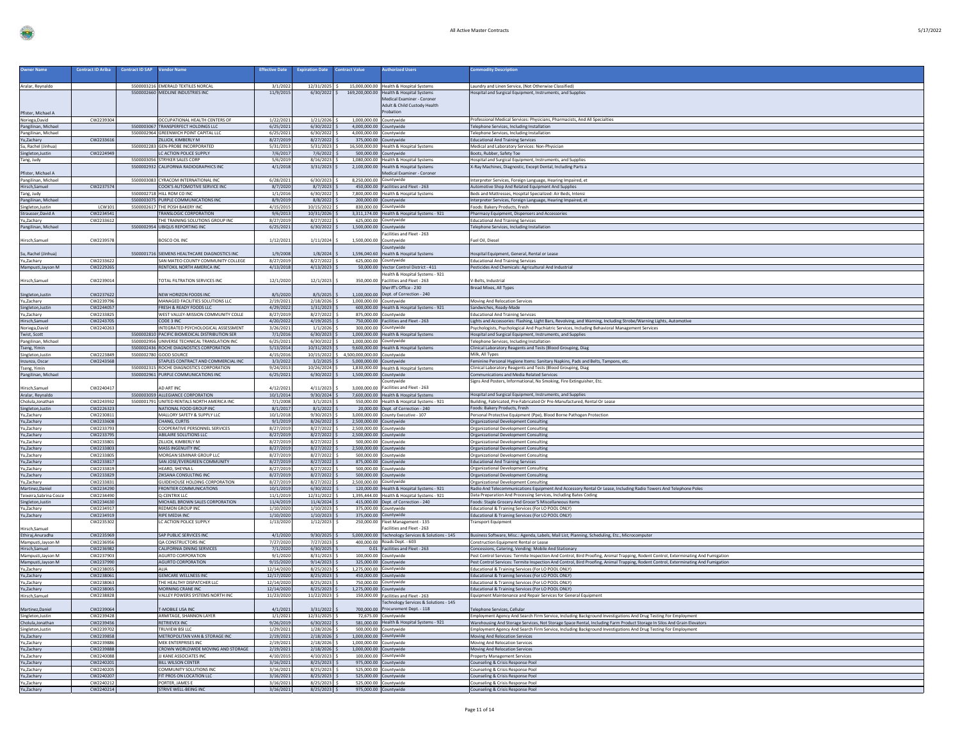| <b>Owner Name</b>                            | <b>Contract ID Ariba</b> | <b>Contract ID SAP</b> | <b>/endor Name</b>                                                               | <b>Effective Date</b>    | <b>Expiration Date</b>           | <b>Contract Value</b>                              | uthorized Users                                                                                                                | <b>Commodity Description</b>                                                                                                        |
|----------------------------------------------|--------------------------|------------------------|----------------------------------------------------------------------------------|--------------------------|----------------------------------|----------------------------------------------------|--------------------------------------------------------------------------------------------------------------------------------|-------------------------------------------------------------------------------------------------------------------------------------|
| Aralar, Reynaldo                             |                          |                        | 5500003216 EMERALD TEXTILES NORCAL                                               | 3/1/2022                 | 12/31/2025 \$                    |                                                    | 15,000,000.00 Health & Hospital Systems                                                                                        | Laundry and Linen Service, (Not Otherwise Classified)                                                                               |
| Pfister, Michael A                           |                          |                        | 5500002660 MEDLINE INDUSTRIES INC                                                | 11/9/2015                |                                  |                                                    | 6/30/2022 \$169,200,000.00 Health & Hospital Systems<br>Medical Examiner - Coroner<br>Adult & Child Custody Health<br>robation | lospital and Surgical Equipment, Instruments, and Supplies                                                                          |
| Noriega, David                               | CW2239304                |                        | OCCUPATIONAL HEALTH CENTERS OF                                                   | 1/22/2021                | 1/21/2026                        | 1,000,000.00 Countywide                            |                                                                                                                                | Professional Medical Services: Physicians, Pharmacists, And All Specialties                                                         |
| Pangilinan, Michael                          |                          |                        | 5500003067 TRANSPERFECT HOLDINGS LLC                                             | 6/25/2021                | $6/30/2022$ \$                   | 4,000,000.00 Countywide                            |                                                                                                                                | Telephone Services, Including Installation                                                                                          |
| Pangilinan, Michael                          |                          |                        | 5500002964 GREENWICH POINT CAPITAL LLC                                           | 6/25/2021                | $6/30/2022$ :                    | 4,000,000.00 Countywide                            |                                                                                                                                | Telephone Services, Including Installation                                                                                          |
| Yu,Zachary<br>Su, Rachel (Jinhua)            | CW2233616                |                        | ZILLIOX, KIMBERLY M<br>5500002283 GEN-PROBE INCORPORATED                         | 8/27/2019<br>5/31/2013   | $8/27/2022$ \$<br>$5/31/2023$ \$ | 375,000.00 Countywide                              | 16.500.000.00 Health & Hospital Systems                                                                                        | <b>Educational And Training Services</b><br>Medical and Laboratory Services: Non-Physician                                          |
| Singleton, Justin                            | CW2224949                |                        | LC ACTION POLICE SUPPLY                                                          | 7/6/2017                 | 7/6/2022                         |                                                    | 500,000.00 Countywide                                                                                                          | Boots, Rubber, Safety Toe                                                                                                           |
| Tang, Judy                                   |                          |                        | 5500003056 STRYKER SALES CORP                                                    | 5/6/2019                 | 8/16/2023                        |                                                    | 1,080,000.00 Health & Hospital Systems                                                                                         | Hospital and Surgical Equipment, Instruments, and Supplies                                                                          |
|                                              |                          |                        | 5500002932 CALIFORNIA RADIOGRAPHICS INC                                          | 4/1/2018                 | 3/31/2023                        | 2,100,000.00                                       | Health & Hospital Systems                                                                                                      | -Ray Machines, Diagnostic, Except Dental, Including Parts a                                                                         |
| Pfister, Michael A                           |                          |                        |                                                                                  |                          |                                  |                                                    | Medical Examiner - Coroner                                                                                                     |                                                                                                                                     |
| Pangilinan, Michael                          |                          |                        | 5500003083 CYRACOM INTERNATIONAL INC                                             | 6/28/2021                | $6/30/2023$ \$                   | 8.250.000.00 Countywide                            |                                                                                                                                | Interpreter Services, Foreign Language, Hearing Impaired, et                                                                        |
| Hirsch, Samuel                               | CW2237574                |                        | COOK'S AUTOMOTIVE SERVICE INC                                                    | 8/7/2020                 | 8/7/2023                         |                                                    | 450,000.00 Facilities and Fleet - 263                                                                                          | Automotive Shop And Related Equipment And Supplies                                                                                  |
| Tang, Judy                                   |                          |                        | 5500002718 HILL ROM CO INC                                                       | 1/1/2016                 | 6/30/2022                        |                                                    | 7,800,000.00 Health & Hospital Systems                                                                                         | Beds and Mattresses, Hospital Specialized: Air Beds, Intens                                                                         |
| Pangilinan, Michae                           | <b>LCW101</b>            |                        | 5500003075 PURPLE COMMUNICATIONS INC<br>5500002617 THE POSH BAKERY INC           | 8/9/2019<br>4/15/2015    | 8/8/2022<br>10/15/2022           |                                                    | 200,000.00 Countywide<br>830,000.00 Countywide                                                                                 | Interpreter Services, Foreign Language, Hearing Impaired, et                                                                        |
| Singleton, Justin<br>Strausser, David A      | CW2234541                |                        | <b>TRANSLOGIC CORPORATION</b>                                                    | 9/6/2013                 | 10/31/2026                       |                                                    | 3.311.174.00 Health & Hospital Systems - 921                                                                                   | Foods: Bakery Products, Fresh<br>Pharmacy Equipment, Dispensers and Accessories                                                     |
| Yu,Zachary                                   | CW2233612                |                        | THE TRAINING SOLUTIONS GROUP INC                                                 | 8/27/2019                | 8/27/2022                        | 625,000.00 Countywide                              |                                                                                                                                | <b>Educational And Training Services</b>                                                                                            |
| Pangilinan, Michael                          |                          |                        | 5500002954 UBIQUS REPORTING INC                                                  | 6/25/2021                | 6/30/2022                        | 1,500,000.00 Countywide                            |                                                                                                                                | Telephone Services, Including Installation                                                                                          |
| Hirsch, Samuel                               | CW2239578                |                        | BOSCO OIL INC                                                                    | 1/12/2021                | 1/11/2024                        | 1,500,000.00 Countywide                            | acilities and Fleet - 263                                                                                                      | uel Oil, Diesel                                                                                                                     |
| Su, Rachel (Jinhua)                          |                          |                        | 5500001716 SIEMENS HEALTHCARE DIAGNOSTICS INC                                    | 1/9/2008                 | 1/8/2024                         |                                                    | Countywide<br>1.596.040.60 Health & Hospital Systems                                                                           | lospital Equipment, General, Rental or Lease                                                                                        |
| Yu,Zachary                                   | CW2233622                |                        | SAN MATEO COUNTY COMMUNITY COLLEGE                                               | 8/27/2019                | 8/27/2022                        |                                                    | 625,000.00 Countywide                                                                                                          | <b>Educational And Training Services</b>                                                                                            |
| Mampusti, Jayson M                           | CW2229265                |                        | RENTOKIL NORTH AMERICA INC.                                                      | 4/13/2018                | 4/13/2023                        |                                                    | 50,000.00 Vector Control District - 411                                                                                        | Pesticides And Chemicals: Agricultural And Industrial                                                                               |
|                                              |                          |                        |                                                                                  |                          |                                  |                                                    | Health & Hospital Systems - 921                                                                                                |                                                                                                                                     |
| Hirsch, Samuel                               | CW2239014                |                        | TOTAL FILTRATION SERVICES INC                                                    | 12/1/2020                | 12/1/2023                        |                                                    | 350,000.00 Facilities and Fleet - 263<br>Sheriff's Office - 230                                                                | -Belts, Industrial<br><b>Bread Mixes, All Types</b>                                                                                 |
| Singleton, Justin                            | CW2237622                |                        | NEW HORIZON FOODS INC                                                            | 8/5/2020                 | 8/5/2025                         |                                                    | 1.100.000.00 Dept. of Correction - 240                                                                                         |                                                                                                                                     |
| Yu,Zachary                                   | CW2239796                |                        | MANAGED FACILITIES SOLUTIONS LLC                                                 | 2/19/2021                | 2/18/2026 \$                     | 1,000,000.00 Countywide                            |                                                                                                                                | Moving And Relocation Services                                                                                                      |
| Singleton, Justin<br>Yu,Zachary              | CW2244057<br>CW2233825   |                        | FRESH & READY FOODS LLC<br>WEST VALLEY-MISSION COMMUNITY COLLE                   | 4/29/2022<br>8/27/2019   | 1/31/2023<br>8/27/2022           |                                                    | 600,000.00 Health & Hospital Systems - 921<br>875,000.00 Countywide                                                            | Sandwiches, Ready-Made<br><b>Educational And Training Services</b>                                                                  |
| Hirsch, Samuel                               | CW2243705                |                        | CODE 3 INC                                                                       | 4/20/2022                | 4/19/2025                        |                                                    | 750,000.00 Facilities and Fleet - 263                                                                                          | Lights and Accessories: Flashing, Light Bars, Revolving, and Warning, Including Strobe/Warning Lights, Automotive                   |
| Noriega, David                               | CW2240263                |                        | INTEGRATED PSYCHOLOGICAL ASSESSMENT                                              | 3/26/2021                | 1/1/2026                         |                                                    | 300.000.00 Countywide                                                                                                          | Psychologists, Psychological And Psychiatric Services, Including Behavioral Management Services                                     |
| Twist, Scott                                 |                          |                        | 5500002810 PACIFIC BIOMEDICAL DISTRIBUTION SER                                   | 7/1/2016                 | $6/30/2023$ \$                   |                                                    | 1,000,000.00 Health & Hospital System                                                                                          | Hospital and Surgical Equipment, Instruments, and Supplie                                                                           |
| Pangilinan, Michael                          |                          |                        | 5500002956 UNIVERSE TECHNICAL TRANSLATION INC                                    | 6/25/2021                | $6/30/2022$ \$                   | 1,000,000.00 Countywide                            |                                                                                                                                | Telephone Services, Including Installation                                                                                          |
| Tseng, Yimin                                 |                          |                        | 5500002436 ROCHE DIAGNOSTICS CORPORATION                                         | 5/13/2014                | 10/31/2023                       |                                                    | 9,600,000.00 Health & Hospital System                                                                                          | Clinical Laboratory Reagents and Tests (Blood Grouping, Diag                                                                        |
| Singleton, Justin                            | CW2223849                |                        | 5500002780 GOOD SOURCE                                                           | 4/15/2016                |                                  | 10/15/2022 \$ 4,500,000,000.00 Countywide          |                                                                                                                                | Milk, All Types                                                                                                                     |
| Inzunza, Oscar                               | CW2243568                |                        | STAPLES CONTRACT AND COMMERCIAL INC                                              | 3/3/2022                 | $3/2/2025$ \$                    | 5,000,000.00 Countywide                            |                                                                                                                                | Feminine Personal Hygiene Items: Sanitary Napkins, Pads and Belts, Tampons, etc.                                                    |
| Tseng, Yimin                                 |                          |                        | 5500002315 ROCHE DIAGNOSTICS CORPORATION<br>5500002961 PURPLE COMMUNICATIONS INC | 9/24/2013                | 10/26/2024<br>$6/30/2022$ \$     | 1,500,000.00 Countywide                            | 1,830,000.00 Health & Hospital Systems                                                                                         | Clinical Laboratory Reagents and Tests (Blood Grouping, Diag<br>Communications and Media Related Services                           |
| Pangilinan, Michael<br>Hirsch, Samuel        | CW2240417                |                        | AD ART INC                                                                       | 6/25/2021<br>4/12/2021   | 4/11/2023                        |                                                    | Countywide<br>3.000.000.00 Facilities and Fleet - 263                                                                          | signs And Posters, Informational, No Smoking, Fire Extinguisher, Etc.                                                               |
| Aralar, Reynaldo                             |                          |                        | 5500003059 ALLEGIANCE CORPORATION                                                | 10/1/2014                | 9/30/2024                        |                                                    | 7,600,000.00 Health & Hospital Systems                                                                                         | Hospital and Surgical Equipment, Instruments, and Supplies                                                                          |
| Cholula, Jonathan                            | CW2243932                |                        | 5500001791 UNITED RENTALS NORTH AMERICA INC                                      | 7/1/2008                 | 3/1/2023                         |                                                    | 550,000.00 Health & Hospital Systems - 921                                                                                     | Building, Fabricated, Pre-Fabricated Or Pre-Manufactured, Rental Or Lease                                                           |
| Singleton, Justin                            | CW2226323                |                        | NATIONAL FOOD GROUP INC.                                                         | 8/1/2017                 | 8/1/2022                         |                                                    | 20,000.00 Dept. of Correction - 240                                                                                            | Foods: Bakery Products, Fresh                                                                                                       |
| Yu,Zachary                                   | CW2230811                |                        | MALLORY SAFETY & SUPPLY LLC                                                      | 10/1/2018                | 9/30/2023                        |                                                    | 3,000,000.00 County Executive - 107                                                                                            | Personal Protective Equipment (Ppe), Blood Borne Pathogen Protection                                                                |
| Yu,Zachary                                   | CW2233608                |                        | CHANG, CURTIS                                                                    | 9/1/2019                 | 8/26/2022                        | 2,500,000.00 Countywide                            |                                                                                                                                | Organizational Development Consulting                                                                                               |
| Yu,Zachary<br>Yu,Zachary                     | CW2233793<br>CW2233795   |                        | COOPERATIVE PERSONNEL SERVICES<br><b>ABILAIRE SOLUTIONS LLC</b>                  | 8/27/2019<br>8/27/2019   | 8/27/2022<br>8/27/2022           | 2,500,000.00 Countywide<br>2,500,000.00 Countywide |                                                                                                                                | Organizational Development Consulting<br>Organizational Development Consulting                                                      |
| Yu,Zachary                                   | CW2233801                |                        | ZILLIOX, KIMBERLY M                                                              | 8/27/2019                | 8/27/2022                        |                                                    | 500,000.00 Countywide                                                                                                          | <b>Organizational Development Consulting</b>                                                                                        |
| Yu,Zachary                                   | CW2233803                |                        | <b>MASS INGENUITY INC</b>                                                        | 8/27/2019                | 8/27/2022                        | 2,500,000.00 Countywide                            |                                                                                                                                | <b>Organizational Development Consulting</b>                                                                                        |
| Yu,Zachary                                   | CW2233805                |                        | MORGAN SEMINAR GROUP LLC                                                         | 8/27/2019                | $8/27/2022$ :                    |                                                    | 500,000.00 Countywide                                                                                                          | Organizational Development Consulting                                                                                               |
| Yu,Zachary                                   | CW2233817                |                        | SAN JOSE/EVERGREEN COMMUNITY                                                     | 8/27/2019                | $8/27/2022$ \$                   |                                                    | 875,000.00 Countywide                                                                                                          | <b>Educational And Training Services</b>                                                                                            |
| Yu,Zachary                                   | CW2233819                |                        | HEARD, SHEYNA L                                                                  | 8/27/2019                | 8/27/2022                        |                                                    | 500,000.00 Countywide                                                                                                          | Organizational Development Consulting                                                                                               |
| Yu,Zachary                                   | CW2233829                |                        | ZIKSANA CONSULTING INC                                                           | 8/27/2019                | 8/27/2022                        |                                                    | 500,000.00 Countywide                                                                                                          | <b>Organizational Development Consulting</b>                                                                                        |
| Yu,Zachary                                   | CW2233831                |                        | <b>GUIDEHOUSE HOLDING CORPORATION</b>                                            | 8/27/2019                | 8/27/2022                        | 2.500.000.00 Countywide                            |                                                                                                                                | <b>Organizational Development Consulting</b>                                                                                        |
| Martinez, Daniel                             | CW2234290<br>CW2234490   |                        | <b>FRONTIER COMMUNICATIONS</b><br>O-CENTRIX II C                                 | 10/1/2019<br>11/1/2019   | 6/30/2022<br>12/31/2022          |                                                    | 120,000.00 Health & Hospital Systems - 921<br>1.395.444.00 Health & Hospital Systems - 921                                     | Radio And Telecommunications Equipment And Accessory Rental Or Lease, Including Radio Towers And Telephone Poles                    |
| Teixeira, Sabrina Cosce<br>Singleton, Justin | CW2234630                |                        | MICHAEL BROWN SALES CORPORATION                                                  | 11/4/2019                | 11/4/2024                        |                                                    | 415,000.00 Dept. of Correction - 240                                                                                           | Data Preparation And Processing Services, Including Bates Coding<br>Foods: Staple Grocery And Grocer'S Miscellaneous Items          |
| Yu,Zachary                                   | CW2234917                |                        | <b>REDMON GROUP INC</b>                                                          | 1/10/2020                | 1/10/2023                        | 375,000.00                                         | Countywide                                                                                                                     | Educational & Training Services (For LO POOL ONLY)                                                                                  |
| Yu,Zachary                                   | CW2234919                |                        | <b>RIPE MEDIA INC</b>                                                            | 1/10/2020                | $1/10/2023$ \$                   |                                                    | 375,000.00 Countywide                                                                                                          | Educational & Training Services (For LO POOL ONLY)                                                                                  |
| Hirsch, Samuel                               | CW2235302                |                        | C ACTION POLICE SUPPLY                                                           | 1/13/2020                | 1/12/2023                        |                                                    | 250,000.00 Fleet Management - 135<br>Facilities and Fleet - 263                                                                | <b>Fransport Equipment</b>                                                                                                          |
| Ethiraj, Anuradha                            | CW2235969                |                        | SAP PUBLIC SERVICES INC                                                          | 4/1/2020                 | $9/30/2025$ \$                   |                                                    | 5,000,000.00 Technology Services & Solutions - 145                                                                             | Business Software, Misc.: Agenda, Labels, Mail List, Planning, Scheduling, Etc., Microcomputer                                      |
| Mampusti, Jayson M                           | CW2236956                |                        | <b>QA CONSTRUCTORS INC</b>                                                       | 7/27/2020                | 7/27/2023                        |                                                    | 400,000.00 Roads Dept. - 603                                                                                                   | Construction Equipment Rental or Lease                                                                                              |
| Hirsch, Samuel                               | CW2236982                |                        | CALIFORNIA DINING SERVICES                                                       | 7/1/2020                 | 6/30/2025                        |                                                    | 0.01 Facilities and Fleet - 263                                                                                                | Concessions, Catering, Vending: Mobile And Stationary                                                                               |
| Mampusti, Jayson M                           | CW2237903                |                        | <b>AGURTO CORPORATION</b>                                                        | 9/1/2020                 | 8/31/2023                        |                                                    | 100,000.00 Countywide                                                                                                          | Pest Control Services: Termite Inspection And Control, Bird Proofing, Animal Trapping, Rodent Control, Exterminating And Fumigation |
| Mampusti, Jayson M                           | CW2237990                |                        | <b>AGURTO CORPORATION</b>                                                        | 9/15/2020                | 9/14/2023                        |                                                    | 325,000.00 Countywide                                                                                                          | Pest Control Services: Termite Inspection And Control, Bird Proofing, Animal Trapping, Rodent Control, Exterminating And Fumigation |
| Yu,Zachary<br>Yu,Zachary                     | CW2238055<br>CW2238061   |                        | <b>ALIA</b><br><b>GEMCARE WELLNESS INC.</b>                                      | 12/14/2020<br>12/17/2020 | 8/25/2023<br>8/25/2023           | 1.275.000.00 Countywide                            | 450.000.00 Countywide                                                                                                          | Educational & Training Services (For LO POOL ONLY)                                                                                  |
| Yu,Zachary                                   | CW2238063                |                        | THE HEALTHY DISPATCHER LLC                                                       | 12/14/2020               | 8/25/2023                        |                                                    | 750,000.00 Countywide                                                                                                          | Educational & Training Services (For LO POOL ONLY)<br>Educational & Training Services (For LO POOL ONLY)                            |
| Yu,Zachary                                   | CW2238065                |                        | MORNING CRANE INC                                                                | 12/14/2020               | 8/25/2023                        | 1,275,000.00 Countywide                            |                                                                                                                                | Educational & Training Services (For LO POOL ONLY)                                                                                  |
| Hirsch, Samuel                               | CW2238828                |                        | VALLEY POWERS SYSTEMS NORTH INC                                                  | 11/23/2020               | 11/22/2023                       |                                                    | 150,000.00 Facilities and Fleet - 263                                                                                          | Equipment Maintenance and Repair Services for General Equipment                                                                     |
| Martinez, Daniel                             | CW2239064                |                        | T-MOBILE USA INC                                                                 | 4/1/2021                 | 3/31/2022                        |                                                    | Technology Services & Solutions - 145<br>700.000.00 Procurement Dept. - 118                                                    | Felephone Services, Cellular                                                                                                        |
| Singleton, Justin                            | CW2239428                |                        | ARMITAGE, SHANNON LAYER                                                          | 1/1/2021                 | 12/31/2025                       |                                                    | 72,675.00 Countywide                                                                                                           | Employment Agency And Search Firm Service, Including Background Investigations And Drug Testing For Employment                      |
| Cholula, Jonathan                            | CW2239456                |                        | <b>RETRIEVEX INC</b>                                                             | 9/26/2019                | 6/30/2022                        |                                                    | 581,000.00 Health & Hospital Systems - 921                                                                                     | Warehousing And Storage Services, Not Storage Space Rental, Including Farm Product Storage In Silos And Grain Elevator:             |
| Singleton, Justin                            | CW2239702                |                        | TRUVIEW BSI LLC                                                                  | 1/29/2021                | 1/28/2026                        |                                                    | 500,000.00 Countywide                                                                                                          | Employment Agency And Search Firm Service, Including Background Investigations And Drug Testing For Employment                      |
| Yu,Zachary                                   | CW2239858<br>CW2239886   |                        | METROPOLITAN VAN & STORAGE INC<br>MEK ENTERPRISES INC                            | 2/19/2021<br>2/19/2021   | 2/18/2026<br>2/18/2026           | 1,000,000.00 Countywide<br>1.000.000.00 Countywide |                                                                                                                                | Moving And Relocation Services<br>Moving And Relocation Services                                                                    |
| Yu,Zachary<br>Yu,Zachary                     | CW2239888                |                        | CROWN WORLDWIDE MOVING AND STORAGE                                               | 2/19/2021                | 2/18/2026                        | 1,000,000.00 Countywide                            |                                                                                                                                | Moving And Relocation Services                                                                                                      |
| Yu,Zachary                                   | CW2240088                |                        | <b>II KANE ASSOCIATES INC</b>                                                    | 4/10/2015                | 4/10/2023                        |                                                    | 100,000.00 Countywide                                                                                                          | <b>Property Management Services</b>                                                                                                 |
| Yu,Zachary                                   | CW2240201                |                        | <b>BILL WILSON CENTER</b>                                                        | 3/16/2021                | $8/25/2023$ :                    |                                                    | 975,000.00 Countywide                                                                                                          | <b>Counseling &amp; Crisis Response Pool</b>                                                                                        |
| Yu,Zachary                                   | CW224020                 |                        | <b>COMMUNITY SOLUTIONS IN</b>                                                    | 3/16/2021                | 8/25/2023                        | 525,000.00                                         | <b>buntywide</b>                                                                                                               | Counseling & Crisis Response Poo                                                                                                    |
| Yu,Zachary                                   | CW2240207                |                        | FIT PROS ON LOCATION LLC                                                         | 3/16/2021                | 8/25/2023                        |                                                    | 525,000.00 Countywide                                                                                                          | Counseling & Crisis Response Pool                                                                                                   |
| Yu,Zachary                                   | CW2240212                |                        | PORTER, JAMES E                                                                  | 3/16/2021                | 8/25/2023                        |                                                    | 525,000.00 Countywide                                                                                                          | Counseling & Crisis Response Pool                                                                                                   |
| Yu,Zachary                                   | CW2240214                |                        | STRIVE WELL-REING INC.                                                           | 3/16/2021                | $8/25/2023$ \$                   |                                                    | 975,000.00 Countywide                                                                                                          | Counseling & Crisis Response Pool                                                                                                   |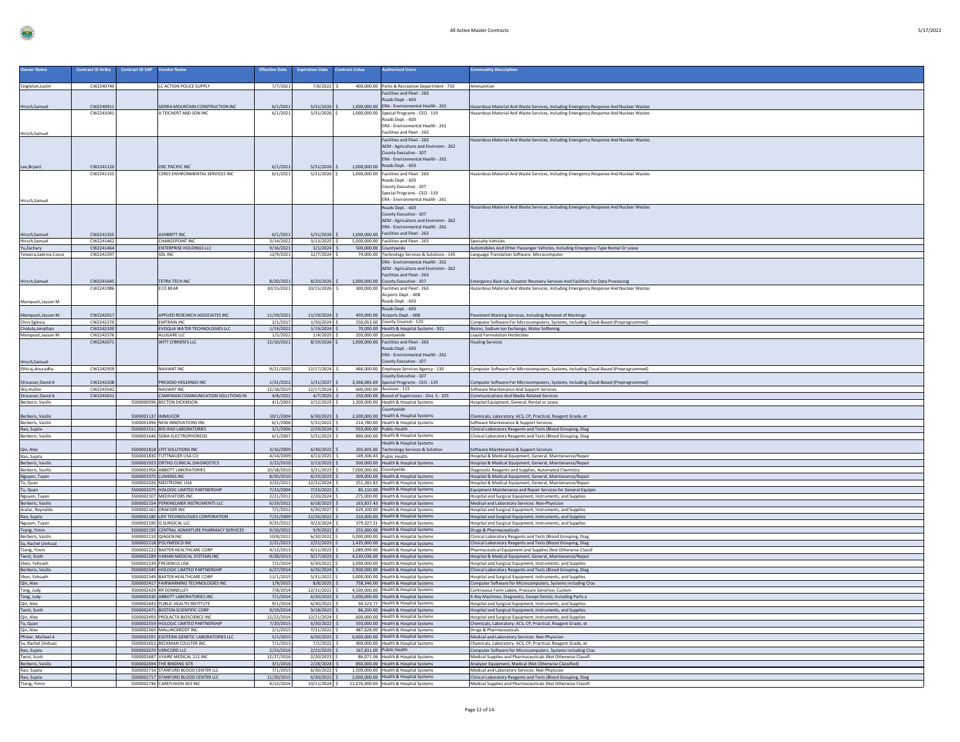| 17/2021 |  |
|---------|--|
|         |  |

| <b>Owner Name</b>                                      | <b>Contract ID Ariba</b> | <b>Contract ID SAP</b> | <b>Vendor Name</b>                                                           | <b>Effective Date</b>   | <b>Expiration Date</b>          | <b>Contract Value</b>   | uthorized Users                                                                     | mmodity Description                                                                                                                  |
|--------------------------------------------------------|--------------------------|------------------------|------------------------------------------------------------------------------|-------------------------|---------------------------------|-------------------------|-------------------------------------------------------------------------------------|--------------------------------------------------------------------------------------------------------------------------------------|
|                                                        |                          |                        |                                                                              |                         |                                 |                         |                                                                                     |                                                                                                                                      |
| Singleton, Justin                                      | CW2240740                |                        | LC ACTION POLICE SUPPLY                                                      | 7/7/2021                | $7/6/2022$ S                    |                         | 400,000.00 Parks & Recreation Department - 710                                      | Ammunition                                                                                                                           |
|                                                        |                          |                        |                                                                              |                         |                                 |                         | Facilities and Fleet - 263<br>oads Dept. - 603                                      |                                                                                                                                      |
| Hirsch, Samuel                                         | CW2240911                |                        | SIERRA MOUNTAIN CONSTRUCTION INC                                             | 6/1/2021                | $5/31/2026$ \$                  |                         | 1,000,000.00 ERA - Environmental Health - 261                                       | Hazardous Material And Waste Services, Including Emergency Response And Nuclear Wastes                                               |
|                                                        | CW2241041                |                        | A TEICHERT AND SON INC                                                       | 6/1/2021                | $5/31/2026$ \$                  |                         | 1,000,000.00 Special Programs - CEO - 119                                           | Hazardous Material And Waste Services, Including Emergency Response And Nuclear Wastes                                               |
|                                                        |                          |                        |                                                                              |                         |                                 |                         | Roads Dept. - 603<br>ERA - Environmental Health - 261                               |                                                                                                                                      |
| Hirsch, Samuel                                         |                          |                        |                                                                              |                         |                                 |                         | Facilities and Fleet - 263                                                          |                                                                                                                                      |
|                                                        |                          |                        |                                                                              |                         |                                 |                         | Facilities and Fleet - 263                                                          | Hazardous Material And Waste Services, Including Emergency Response And Nuclear Wastes                                               |
|                                                        |                          |                        |                                                                              |                         |                                 |                         | AEM - Agriculture and Environm - 262                                                |                                                                                                                                      |
|                                                        |                          |                        |                                                                              |                         |                                 |                         | County Executive - 107<br>ERA - Environmental Health - 261                          |                                                                                                                                      |
|                                                        | CW224112                 |                        | DRC PACIFIC INC                                                              | 6/1/2021                | $5/31/2026$ \$                  |                         | 1,000,000.00 Roads Dept. - 603                                                      |                                                                                                                                      |
| Lee, Bryant                                            | CW224115                 |                        | <b>CERES ENVIRONMENTAL SERVICES INC.</b>                                     | 6/1/2021                | $5/31/2026$ S                   |                         | 1.000.000.00 Facilities and Fleet - 263                                             | Hazardous Material And Waste Services, Including Emergency Response And Nuclear Wastes                                               |
|                                                        |                          |                        |                                                                              |                         |                                 |                         | Roads Dept. - 603                                                                   |                                                                                                                                      |
|                                                        |                          |                        |                                                                              |                         |                                 |                         | County Executive - 107<br>Special Programs - CEO - 119                              |                                                                                                                                      |
| Hirsch, Samuel                                         |                          |                        |                                                                              |                         |                                 |                         | FRA - Environmental Health - 261                                                    |                                                                                                                                      |
|                                                        |                          |                        |                                                                              |                         |                                 |                         | Roads Dent. - 603                                                                   | Hazardous Material And Waste Services, Including Emergency Response And Nuclear Wastes                                               |
|                                                        |                          |                        |                                                                              |                         |                                 |                         | County Executive - 107                                                              |                                                                                                                                      |
|                                                        |                          |                        |                                                                              |                         |                                 |                         | AEM - Agriculture and Environm - 262<br>ERA - Environmental Health - 261            |                                                                                                                                      |
| Hirsch, Samuel                                         | CW2241355                |                        | ASHBRITT INC                                                                 | 6/1/2021                | $5/31/2026$ \$                  |                         | 1,000,000.00 Facilities and Fleet - 263                                             |                                                                                                                                      |
| Hirsch,Samuel                                          | CW2241462                |                        | CHARGEPOINT INC                                                              | 3/14/2022               | $3/13/2025$ \$                  |                         | 5.000.000.00 Facilities and Fleet - 263                                             | <b>Specialty Vehicles</b>                                                                                                            |
| Yu,Zachary                                             | CW2241464                |                        | <b>ENTERPRISE HOLDINGS LLC</b>                                               | 9/16/2021               | $3/1/2024$ \$                   | 500,000.00 Countywide   |                                                                                     | Automobiles And Other Passenger Vehicles, Including Emergency Type Rental Or Lease                                                   |
| Teixeira, Sabrina Cosce                                | CW2241597                |                        | SDI INC                                                                      | 12/9/2021               | $12/7/2024$ S                   |                         | 74,000.00 Technology Services & Solutions - 145<br>ERA - Environmental Health - 261 | Language Translation Software, Microcomputer                                                                                         |
|                                                        |                          |                        |                                                                              |                         |                                 |                         | AEM - Agriculture and Environm - 262                                                |                                                                                                                                      |
|                                                        |                          |                        |                                                                              |                         |                                 |                         | Facilities and Fleet - 263                                                          |                                                                                                                                      |
| Hirsch, Samuel                                         | CW2241645                |                        | ETRA TECH INC                                                                | 8/20/2021               | 8/20/2026                       |                         | 1.000.000.00 County Executive - 107                                                 | Emergency Back-Up, Disaster Recovery Services And Facilities For Data Processing                                                     |
|                                                        | CW224198                 |                        | ECO BEAR                                                                     | 10/15/2021              | 10/15/2026 \$                   |                         | 300,000,00 Facilities and Fleet - 263<br>Airports Dept. - 608                       | Hazardous Material And Waste Services, Including Emergency Response And Nuclear Wastes                                               |
| Mampusti, Jayson M                                     |                          |                        |                                                                              |                         |                                 |                         | Roads Dept. - 603                                                                   |                                                                                                                                      |
|                                                        |                          |                        |                                                                              |                         |                                 |                         | Roads Dept. - 603                                                                   |                                                                                                                                      |
| Mampusti, Jayson M                                     | CW2242017<br>CW2242270   |                        | <b>IPPLIED RESEARCH ASSOCIATES INC</b>                                       | 11/19/2021              | 11/19/2024<br>1/30/2024 \$      |                         | 450,000,00 Airports Dept. - 608                                                     | avement Marking Services, Including Removal of Markings                                                                              |
| Chris Eglesia<br>Cholula, Jonathan                     | CW2242330                |                        | <b>EMTRAIN INC</b><br>VOQUA WATER TECHNOLOGIES LLC                           | 2/1/2017<br>1/19/2022   | 1/19/2024                       |                         | 250,053.00 County Counsel - 120<br>70,000.00 Health & Hospital Systems - 921        | Computer Software For Microcomputers, Systems, Including Cloud-Based (Preprogrammed)<br>Resins, Sodium Ion Exchange, Water Softening |
| Mampusti, Jayson M                                     | CW2242576                |                        | ALLIGARE LLC                                                                 | 1/5/2022                | $1/4/2025$ \$                   |                         | 250,000.00 Countywide                                                               | <b>Liquid Formulation Herbicides</b>                                                                                                 |
|                                                        | CW224267                 |                        | WITT O'BRIEN'S LLC                                                           | 12/10/2021              | $8/19/2026$ S                   |                         | 1,000,000.00 Facilities and Fleet - 263<br>Roads Dept. - 603                        | <b>Hauling Services</b>                                                                                                              |
|                                                        |                          |                        |                                                                              |                         |                                 |                         | ERA - Environmental Health - 261                                                    |                                                                                                                                      |
| Hirsch, Samuel                                         |                          |                        |                                                                              |                         |                                 |                         | County Executive - 107                                                              |                                                                                                                                      |
| Ethiraj, Anuradha                                      | CW2242959                |                        | NAVIANT INC                                                                  | 9/21/2020               | 12/17/2024 \$                   |                         | 466,000.00 Employee Services Agency - 130                                           | Computer Software For Microcomputers, Systems, Including Cloud-Based (Preprogrammed)                                                 |
|                                                        | CW2243201                |                        | PRESIDIO HOLDINGS INC                                                        | 1/31/2022               | 1/31/2027                       |                         | County Executive - 107<br>3.368.085.69 Special Programs - CEO - 119                 |                                                                                                                                      |
| Strausser, David A<br>Wu, Huifen                       | CW2243542                |                        | NAVIANT INC.                                                                 | 12/18/2019              | 12/17/2024 \$                   |                         | 600,000,00 Assessor - 115                                                           | mputer Software For Microcomputers, Systems, Including Cloud-Based (Preprogrammed)<br>Software Maintenance And Support Services      |
| Strausser, David A                                     | CW2243631                |                        | CAMPAIGN COMMUNICATION SOLUTIONS IN                                          | 4/8/2022                | 4/7/2025                        |                         | 250,000.00 Board of Supervisors - Dist. 5 - 105                                     | Communications And Media Related Services                                                                                            |
| Berberis, Vasilis                                      |                          | 5500000596             | <b>BECTON DICKINSON</b>                                                      | 4/1/2003                | 2/12/2023                       |                         | 1,300,000.00 Health & Hospital Systems                                              | Hospital Equipment, General, Rental or Lease                                                                                         |
|                                                        |                          | 5500001137 IMMUCOR     |                                                                              | 10/1/2004               | 6/30/2023                       |                         | Countywide<br>2,300,000.00 Health & Hospital Systems                                | hemicals, Laboratory: ACS, CP, Practical, Reagent Grade, et                                                                          |
| Berberis, Vasilis<br>Berberis, Vasilis                 |                          |                        | 5500001496 NEW INNOVATIONS INC.                                              | 6/1/2006                | $5/31/2022$ \$                  |                         | 214 780.00 Health & Hospital Systems                                                | Software Maintenance & Support Services                                                                                              |
| Rao, Sujata                                            |                          |                        | 5500001511 BIO-RAD LABORATORIES                                              | 3/1/2006                | $2/29/2024$ \$                  |                         | 910,000.00 Public Health                                                            | Clinical Laboratory Reagents and Tests (Blood Grouping, Diag                                                                         |
| Berberis, Vasilis                                      |                          |                        | 5500001646 SEBIA ELECTROPHORESIS                                             | 6/1/2007                | 5/31/2023                       |                         | 890,000.00 Health & Hospital System:                                                |                                                                                                                                      |
|                                                        |                          |                        |                                                                              |                         |                                 |                         |                                                                                     | Clinical Laboratory Reagents and Tests (Blood Grouping, Diag                                                                         |
| Qin, Alex<br>Rao, Sujata                               |                          |                        | 5500001818 LPIT SOLUTIONS INC                                                | 3/16/2009               |                                 |                         | <b>Health &amp; Hospital Systems</b><br>205.605.00 Technology Services & Solution   |                                                                                                                                      |
|                                                        |                          |                        | 5500001830 TUTTNAUER USA CO                                                  | 4/14/2009               | 6/30/2022<br>$4/13/2025$ S      |                         | 149.306.43 Public Health                                                            | Software Maintenance & Support Services<br>Hospital & Medical Equipment, General, Maintenance/Repair                                 |
| Berberis, Vasilis                                      |                          |                        | 5500001923 ORTHO CLINICAL DIAGNOSTICS                                        | 3/22/2010               | $2/13/2023$ \$                  |                         | 500,000.00 Health & Hospital Systems                                                | Hospital & Medical Equipment, General, Maintenance/Repair                                                                            |
| Berberis, Vasilis                                      |                          |                        | 5500001956 ABBOTT LABORATORIES                                               | 10/18/2010              | 3/31/2023                       | 7,000,000.00 Countywide |                                                                                     | Diagnostic Reagents and Supplies, Automated Chemistry                                                                                |
| Nguyen, Tuyen<br>Tu, Quan                              |                          |                        | 5500001970 LUMENIS INC<br>5500002026 MEDTRONIC USA                           | 8/30/2010<br>3/22/2011  | $8/29/2023$ \$<br>12/31/2024    |                         | 309,000.00 Health & Hospital Systems<br>251,281.83 Health & Hospital Systems        | Hospital & Medical Equipment, General, Maintenance/Repair<br>Hospital & Medical Equipment, General, Maintenance/Repair               |
| Tu, Quan                                               |                          |                        | 5500002075 HOLOGIC LIMITED PARTNERSHIP                                       | 7/23/2004               | $7/23/2022$ \$                  |                         | 85.110.00 Health & Hospital Systems                                                 | Equipment Maintenance and Repair Services for General Equipm                                                                         |
|                                                        |                          |                        | 5500002107 MEDIVATORS INC                                                    | 2/21/2012               | $2/20/2024$ \$                  |                         | 275,000.00 Health & Hospital Systems                                                | Hospital and Surgical Equipment, Instruments, and Supplies                                                                           |
| Nguyen, Tuyen<br>Berberis, Vasilis<br>Aralar, Reynaldo |                          |                        | 5500002154 PERKINELMER INSTRUMENTS LLC<br>5500002161 DRAEGER INC             | 6/19/2012<br>7/1/2012   | $6/18/2023$ \$<br>6/30/2027     |                         | 163,837.43 Health & Hospital Systems<br>629,100.00 Health & Hospital Systems        | Medical and Laboratory Services: Non-Physician<br>Hospital and Surgical Equipment, Instruments, and Supplies                         |
| Rao, Sujata                                            |                          |                        | 5500002180 LIFE TECHNOLOGIES CORPORATION                                     | 7/21/2009               | 12/26/2022 \$                   |                         | 210,000.00 Health & Hospital Systems                                                | Hospital and Surgical Equipment, Instruments, and Supplies                                                                           |
| Nguyen, Tuyen                                          |                          |                        | 5500002190 Q SURGICAL LLC                                                    | 9/25/2012               | $9/23/2024$ \$                  |                         | 379,327.21 Health & Hospital Systems                                                | Hospital and Surgical Equipment, Instruments, and Supplies                                                                           |
| Tseng, Yimin                                           |                          | 5500002210 OIAGEN INC. | 5500002195 CENTRAL ADMIXTURE PHARMACY SERVICES                               | 9/10/2012<br>10/8/2012  | 9/9/2022<br>6/30/2022           |                         | 255,000.00 Health & Hospital Systems<br>5,000,000.00 Health & Hospital Systems      | Drugs & Pharmaceuticals                                                                                                              |
| Berberis, Vasilis<br>Su, Rachel (Jinhua)               |                          |                        | 5500002218 POLYMEDCO INC                                                     | 2/21/2013               | $2/21/2023$ \$                  |                         | 1,425,000.00 Health & Hospital Systems                                              | Clinical Laboratory Reagents and Tests (Blood Grouping, Diag<br>Clinical Laboratory Reagents and Tests (Blood Grouping, Diag         |
| Tseng, Yimin                                           |                          |                        | 5500002222 BAXTER HEALTHCARE CORP                                            | 4/12/2013               | 4/11/2023                       |                         | 1,089,099.00 Health & Hospital System:                                              | Pharmaceutical Equipment and Supplies (Not Otherwise Classif                                                                         |
| Twist, Scott                                           |                          |                        | 5500002289 VARIAN MEDICAL SYSTEMS INC<br>5500002339 FRESENIUS USA            | 9/28/2013<br>7/1/2014   | $9/27/2023$ \$<br>6/30/2022     |                         | 4.530.036.00 Health & Hospital Systems                                              | Hospital & Medical Equipment, General, Maintenance/Repair<br>Hospital and Surgical Equipment, Instruments, and Supplies              |
| Shen, Yahsueh                                          |                          |                        | 5500002345 HOLOGIC LIMITED PARTNERSHIP                                       | 6/27/2014               | $6/26/2024$ \$                  |                         | 3,000,000.00 Health & Hospital Systems<br>2.900.000.00 Health & Hospital Systems    | Clinical Laboratory Reagents and Tests (Blood Grouping, Diag                                                                         |
| Berberis, Vasilis<br>Shen, Yahsueh                     |                          |                        | 5500002349 BAXTER HEALTHCARE CORP                                            | 11/1/2015               | $5/31/2022$ S                   |                         | 5,000,000.00 Health & Hospital Systems                                              | Hospital and Surgical Equipment, Instruments, and Supplies                                                                           |
|                                                        |                          |                        | 5500002417 FAIRWARNING TECHNOLOGIES INC                                      | 1/9/2015                | 8/8/2025                        |                         | 758,346.00 Health & Hospital Systems                                                | Computer Software for Microcomputers, Systems including Clou                                                                         |
| Qin, Alex<br>Tang, Judy                                |                          |                        | 5500002429 RR DONNELLEY<br>5500002430 ABBOTT LABORATORIES INC                | 7/8/2014<br>7/1/2014    | 12/31/2022<br>$6/30/2022$ \$    |                         | 4,500,000.00 Health & Hospital Systems<br>5,000,000.00 Health & Hospital Systems    | Continuous Form Labels, Pressure Sensitive, Custom<br>X-Ray Machines, Diagnostic, Except Dental, Including Parts a                   |
| Tang, Judy<br>Qin, Alex                                |                          |                        | 5500002443 PUBLIC HEALTH INSTITUTE                                           | 9/1/2014                | 6/30/2022                       |                         | 94.523.77 Health & Hospital Systems                                                 | Hospital and Surgical Equipment, Instruments, and Supplies                                                                           |
| Twist, Scott                                           |                          |                        | 5500002471 BOSTON SCIENTIFIC CORP                                            | 9/19/2014               | 9/18/2023                       |                         | 86,200.00 Health & Hospital Systems                                                 | Hospital and Surgical Equipment, Instruments, and Supplies                                                                           |
| Qin, Alex                                              |                          |                        | 5500002493 PROLACTA BIOSCIENCE INC<br>5500002559 HOLOGIC LIMITED PARTNERSHIP | 12/22/2014<br>7/20/2015 | 12/21/2024 \$<br>$6/30/2022$ :  |                         | 600.000.00 Health & Hospital Systems<br>550,000.00 Health & Hospital Systems        | Hospital and Surgical Equipment, Instruments, and Supplies                                                                           |
| Tu, Quan<br>Qin, Alex                                  |                          |                        | 5500002560 MALLINCKRODT INC                                                  | 2/1/2015                | 7/31/2022                       |                         | 487.628.00 Health & Hospital System:                                                | Chemicals, Laboratory: ACS, CP, Practical, Reagent Grade, et<br>Drugs & Pharmaceuticals                                              |
| Pfister, Michael A                                     |                          |                        | 5500002591 ESOTERIX GENETIC LABORATORIES LLC                                 | 5/1/2015                | $6/30/2022$ \$                  |                         | 6,000,000.00 Health & Hospital Systems                                              | Medical and Laboratory Services: Non-Physician                                                                                       |
| Su, Rachel (Jinhua)                                    |                          |                        | 5500002652 BECKMAN COULTER INC<br>5500002670 VERICORD LLC                    | 7/1/2013<br>2/23/2016   | 7/1/2022<br>$2/22/2025$ \$      |                         | 900.000.00 Health & Hospital Systems<br>167.831.00 Public Health                    | Chemicals, Laboratory: ACS, CP, Practical, Reagent Grade, et<br>Computer Software for Microcomputers, Systems including Clou         |
| Rao, Sujata<br>Twist, Scott                            |                          |                        | 5500002687 VYAIRE MEDICAL 211 INC                                            | 12/27/2016              | 2/20/2023                       |                         | 86,071.06 Health & Hospital Systems                                                 | Medical Supplies and Pharmaceuticals (Not Otherwise Classifi                                                                         |
| Berberis, Vasilis                                      |                          |                        | 5500002694 THE BINDING SITE                                                  | 3/1/2016                | 2/28/2024                       |                         | 850,000.00 Health & Hospital Systems                                                | Analyzer Equipment, Medical (Not Otherwise Classified)                                                                               |
| Rao, Sujata<br>Rao, Sujata                             |                          |                        | 5500002716 STANFORD BLOOD CENTER LLC<br>5500002717 STANFORD BLOOD CENTER LLC | 7/1/2015<br>11/20/2015  | $6/30/2022$ S<br>$6/30/2022$ \$ |                         | 1.500.000.00 Health & Hospital Systems<br>2,000,000.00 Health & Hospital Systems    | Medical and Laboratory Services: Non-Physician<br>Clinical Laboratory Reagents and Tests (Blood Grouping, Diag                       |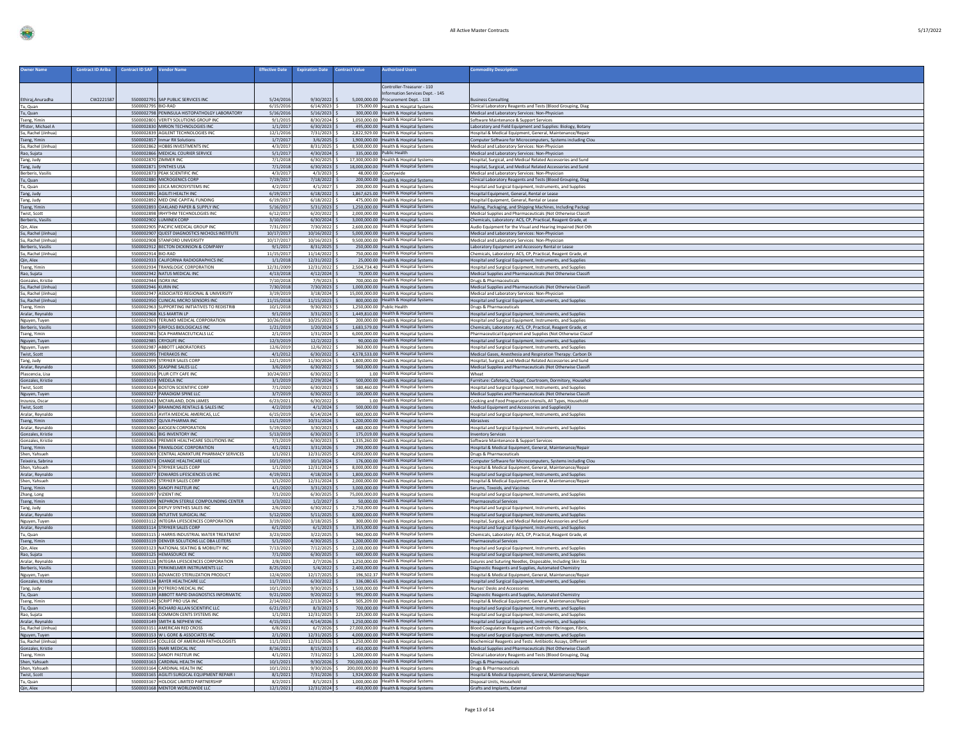| <b>Owner Name</b>                          | <b>Contract ID Ariba</b><br><b>Contract ID SAP</b><br><b>Vendor Name</b>          | <b>Effective Date</b>    | <b>Expiration Date</b>           | <b>Contract Value</b><br><b>Authorized Users</b>                                   | Commodity Description                                                                                                        |
|--------------------------------------------|-----------------------------------------------------------------------------------|--------------------------|----------------------------------|------------------------------------------------------------------------------------|------------------------------------------------------------------------------------------------------------------------------|
|                                            |                                                                                   |                          |                                  |                                                                                    |                                                                                                                              |
|                                            |                                                                                   |                          |                                  | Controller-Treasurer - 110<br><b>Information Services Dept. - 145</b>              |                                                                                                                              |
| Ethiraj, Anuradha                          | 5500002791 SAP PUBLIC SERVICES INC<br>CW2221587                                   | 5/24/2016                | 9/30/2022                        | 5,000,000.00 Procurement Dept. - 118                                               | siness Consulting                                                                                                            |
| Tu, Quan<br>Tu, Quan                       | 5500002795 BIO-RAD<br>5500002798 PENINSULA HISTOPATHOLGY LABORATORY               | 6/15/2016<br>5/16/2016   | $6/14/2023$ \$<br>5/16/2023      | 175,000.00 Health & Hospital Systems<br>300,000.00 Health & Hospital Systems       | Clinical Laboratory Reagents and Tests (Blood Grouping, Diag<br>Medical and Laboratory Services: Non-Physician               |
| Tseng, Yimin                               | 5500002801 VERITY SOLUTIONS GROUP INC                                             | 9/1/2015                 | 8/30/2024                        | 1,050,000.00 Health & Hospital Systems                                             | Software Maintenance & Support Services                                                                                      |
| Pfister, Michael A                         | 5500002830 MIRION TECHNOLOGIES INC                                                | 1/1/2017                 | $6/30/2023$ :                    | 495,000.00 Health & Hospital Systems                                               | Laboratory and Field Equipment and Supplies: Biology, Botany                                                                 |
| Su. Rachel (Jinhua)<br>Tseng, Yimin        | 5500002839 AGILENT TECHNOLOGIES INC<br>5500002857 Inmar RX Solutions              | 12/1/2016<br>1/7/2017    | 7/31/2023<br>3/6/2025            | 2,822,929.00 Health & Hospital Systems<br>1,900,000.00 Health & Hospital Systems   | Hospital & Medical Equipment, General, Maintenance/Repair<br>Computer Software for Microcomputers, Systems including Clou    |
| Su. Rachel (Jinhua)                        | 5500002862 HOBBS INVESTMENTS INC                                                  | 4/3/2017                 | $8/31/2025$ \$                   | 8.500.000.00 Health & Hospital Systems                                             | Medical and Laboratory Services: Non-Physician                                                                               |
| Rao, Suiata                                | 5500002866 MEDICAL COURIER SERVICE                                                | 5/1/201                  | 4/30/2024                        | 335,000.00 Public Health<br>17,300,000.00 Health & Hospital Systems                | Medical and Laboratory Services: Non-Physician                                                                               |
| Tang, Judy<br>Tang, Judy                   | 5500002870 ZIMMER INC<br>5500002871 SYNTHES USA                                   | 7/1/2018<br>7/1/2018     | 6/30/2025<br>$6/30/2023$ \$      | 18,000,000.00 Health & Hospital Systems                                            | lospital, Surgical, and Medical Related Accessories and Sund<br>Hospital, Surgical, and Medical Related Accessories and Sund |
| Berberis, Vasilis                          | 5500002873 PEAK SCIENTIFIC INC                                                    | 4/3/201                  | 4/3/2023                         | 48,000.00 Countywide                                                               | Medical and Laboratory Services: Non-Physician                                                                               |
| Tu, Quan<br>Tu, Quan                       | 5500002880 MICROGENICS CORP<br>5500002890 LEICA MICROSYSTEMS INC                  | 7/19/2017<br>4/2/2017    | 7/18/2022 \$<br>4/1/2027         | 200,000.00 Health & Hospital Systems<br>200.000.00 Health & Hospital Systems       | Clinical Laboratory Reagents and Tests (Blood Grouping, Diag                                                                 |
| Tang, Judy                                 | 5500002891 AGILITI HEALTH INC                                                     | 6/19/2017                | 6/18/2022                        | 1,867,625.00 Health & Hospital Systems                                             | lospital and Surgical Equipment, Instruments, and Supplies<br>Hospital Equipment, General, Rental or Lease                   |
| Tang, Judy                                 | 5500002892 MED ONE CAPITAL FUNDING                                                | 6/19/2017                | $6/18/2022$ \$                   | 475,000.00 Health & Hospital Systems                                               | Hospital Equipment, General, Rental or Lease                                                                                 |
| Tseng, Yimin<br>Twist, Scott               | 5500002893 OAKLAND PAPER & SUPPLY INC<br>5500002898 IRHVTHM TECHNOLOGIES INC      | 5/16/2017<br>6/12/2017   | 5/31/2023<br>$6/20/2022$ \$      | 1,250,000.00 Health & Hospital Systems<br>2.000.000.00 Health & Hospital Systems   | Mailing, Packaging, and Shipping Machines, Including Packagi<br>Medical Supplies and Pharmaceuticals (Not Otherwise Classifi |
| <b>Berberis, Vasilis</b>                   | 5500002902 LUMINEX CORP                                                           | 3/10/2016                | 6/30/2024                        | 3,000,000.00 Health & Hospital Systems                                             | Chemicals, Laboratory: ACS, CP, Practical, Reagent Grade, et                                                                 |
| Qin, Alex                                  | 5500002905 PACIFIC MEDICAL GROUP INC                                              | 7/31/2017                | 7/30/2022                        | 2,600,000.00 Health & Hospital Systems                                             | Audio Equipment for the Visual and Hearing Impaired (Not Oth                                                                 |
| Su, Rachel (Jinhua)<br>Su. Rachel (Jinhua  | 5500002907 QUEST DIAGNOSTICS NICHOLS INSTITUTE<br>5500002908 STANFORD UNIVERSITY  | 10/17/2017<br>10/17/2017 | 10/16/2022<br>10/16/2023         | 5,000,000.00 Health & Hospital Systems<br>9,500,000.00 Health & Hospital Systems   | Medical and Laboratory Services: Non-Physician<br>Medical and Laboratory Services: Non-Physician                             |
| Berberis, Vasilis                          | 5500002912 BECTON DICKINSON & COMPANY                                             | 9/1/2017                 | 8/31/2025                        | 250,000.00 Health & Hospital Systems                                               | Laboratory Equipment and Accessory Rental or Lease                                                                           |
| Su, Rachel (Jinhua)                        | 5500002914 BIO-RAD<br>5500002933 CALIFORNIA RADIOGRAPHICS INC                     | 11/15/2017<br>1/1/2018   | 11/14/2022<br>12/31/2022         | 750,000,00 Health & Hospital Systems<br>25,000.00 Health & Hospital Systems        | Chemicals, Laboratory: ACS, CP, Practical, Reagent Grade, et                                                                 |
| Qin, Alex<br>Tseng, Yimin                  | 5500002934 TRANSLOGIC CORPORATION                                                 | 12/31/2009               | 12/31/2022                       | 2,504,734.40 Health & Hospital Systems                                             | Hospital and Surgical Equipment, Instruments, and Supplies<br>lospital and Surgical Equipment, Instruments, and Supplies     |
| Rao, Sujata                                | 5500002942 NATUS MEDICAL INC                                                      | 4/13/2018                | $4/12/2024$ :                    | 70,000.00 Health & Hospital Systems                                                | Medical Supplies and Pharmaceuticals (Not Otherwise Classifi                                                                 |
| Gonzales, Kristie                          | 5500002944 ISORX INC<br>5500002946 KURIN INC                                      | 7/10/2018<br>7/30/2018   | 7/9/2023<br>7/30/2023 \$         | 700,000.00 Health & Hospital Systems<br>1,000,000.00 Health & Hospital Systems     | Drugs & Pharmaceuticals<br>Medical Supplies and Pharmaceuticals (Not Otherwise Classifi                                      |
| Su, Rachel (Jinhua)<br>Su, Rachel (Jinhua) | 5500002947 ASSOCIATED REGIONAL & UNIVERSITY                                       | 3/19/2019                | $3/18/2024$ :                    | 15,000,000,00 Health & Hospital Systems                                            | Medical and Laboratory Services: Non-Physician                                                                               |
| Su, Rachel (Jinhua)                        | 5500002950 CLINICAL MICRO SENSORS INC                                             | 11/15/2018               | 11/15/2023                       | 800,000.00 Health & Hospital Systems                                               | Hospital and Surgical Equipment, Instruments, and Supplies                                                                   |
| Tseng, Yimin<br>Aralar, Reynaldo           | 5500002963 SUPPORTING INITIATIVES TO REDISTRIB<br>5500002968 KLS-MARTIN LP        | 10/1/2018<br>9/1/2019    | 9/30/2023<br>$3/31/2023$ \$      | 1,250,000.00 Public Health<br>1.449.810.00 Health & Hospital Systems               | Orugs & Pharmaceuticals<br>Hospital and Surgical Equipment, Instruments, and Supplies                                        |
| Nguyen, Tuyen                              | 5500002969 TERUMO MEDICAL CORPORATION                                             | 10/26/2018               | 10/25/2023                       | 200,000.00 Health & Hospital Systems                                               | Hospital and Surgical Equipment, Instruments, and Supplies                                                                   |
| Berberis, Vasilis                          | 5500002979 GRIFOLS BIOLOGICALS INC                                                | 1/21/2019                | $1/20/2024$ \$                   | 1,683,579.00 Health & Hospital Systems                                             | Chemicals, Laboratory: ACS, CP, Practical, Reagent Grade, et                                                                 |
| Tseng, Yimin<br>Nguyen, Tuyen              | 5500002981 SCA PHARMACEUTICALS LLC<br>5500002985 CRYOLIFE INC                     | 2/1/2019<br>12/3/2019    | $1/31/2024$ \$<br>12/2/2022      | 6,000,000.00 Health & Hospital Systems<br>90,000,00 Health & Hospital Systems      | Pharmaceutical Equipment and Supplies (Not Otherwise Classif<br>Hospital and Surgical Equipment, Instruments, and Supplies   |
| Nguyen, Tuyen                              | 5500002987 ABBOTT LABORATORIES                                                    | 12/6/2019                | 12/6/2022                        | 360,000.00 Health & Hospital Systems                                               | lospital and Surgical Equipment, Instruments, and Supplies                                                                   |
| Twist, Scott                               | 5500002995 THERAKOS INC                                                           | 4/1/2012                 | 6/30/2022                        | 4,578,533.00 Health & Hospital Systems                                             | Medical Gases, Anesthesia and Respiration Therapy: Carbon D                                                                  |
| Tang, Judy<br>Aralar, Reynaldo             | 5500002999 STRYKER SALES CORE<br>5500003005 SEASPINE SALES LLC                    | 12/1/2019<br>3/6/2019    | 11/30/2024<br>$6/30/2022$ \$     | 1,800,000.00 Health & Hospital Systems<br>560,000.00 Health & Hospital Systems     | Hospital, Surgical, and Medical Related Accessories and Sund<br>Medical Supplies and Pharmaceuticals (Not Otherwise Classifi |
| Plascencia, Lisa                           | 5500003016 PLUR CITY CAFE INC                                                     | 10/24/2017               | $6/30/2022$ \$                   | 1.00 Health & Hospital Systems                                                     | Wheat                                                                                                                        |
| Gonzales, Kristie<br>Twist, Scott          | 5500003019 MEDELA INC<br>5500003024 BOSTON SCIENTIFIC CORP                        | 3/1/2019<br>7/1/2020     | $2/29/2024$ \$<br>6/30/2023      | 500,000,00 Health & Hospital Systems<br>580,460.00 Health & Hospital Systems       | Furniture: Cafeteria, Chapel, Courtroom, Dormitory, Househol                                                                 |
| Nguyen, Tuyen                              | 5500003027 PARADIGM SPINE LLC                                                     | 3/7/2019                 | 6/30/2022                        | 100,000.00 Health & Hospital Systems                                               | Hospital and Surgical Equipment, Instruments, and Supplies<br>Medical Supplies and Pharmaceuticals (Not Otherwise Classifi   |
| Inzunza, Oscar                             | 5500003043 MCFARLAND, DON JAMES                                                   | 6/23/2021                | 6/30/2022                        | 1.00 Health & Hospital Systems                                                     | Cooking and Food Preparation Utensils, All Types, Household                                                                  |
| Twist, Scott<br>Aralar, Reynaldo           | 5500003047 BRANNONS RENTALS & SALES INC<br>5500003053 AVITA MEDICAL AMERICAS, LLC | 4/2/2019<br>6/15/2019    | 4/1/2024<br>$6/14/2024$ \$       | 500,000.00 Health & Hospital Systems<br>600,000.00 Health & Hospital Systems       | Medical Equipment and Accessories and Supplies(A)<br>Hospital and Surgical Equipment, Instruments, and Supplies              |
| Tseng, Yimin                               | 5500003057 QUVA PHARMA INC                                                        | 11/1/2019                | 10/31/2024 \$                    | 1,200,000.00 Health & Hospital Systems                                             | Abrasives                                                                                                                    |
| Aralar, Revnaldo                           | 5500003060 AXOGEN CORPORATION                                                     | 5/19/2020                | 3/30/2023                        | 680,000.00 Health & Hospital Systems                                               | Hospital and Surgical Equipment, Instruments, and Supplies                                                                   |
| Gonzales, Kristie<br>Gonzales, Kristie     | 5500003061 BIG INVENTORY INC<br>5500003063 PREMIER HEALTHCARE SOLUTIONS INC       | 5/13/2019<br>7/1/2019    | 6/30/2023<br>$6/30/2023$ \$      | 175,019.00 Health & Hospital Systems<br>1.335.260.00 Health & Hospital Systems     | nventory Services<br>Software Maintenance & Support Services                                                                 |
| Tseng, Yimin                               | 5500003064 TRANSLOGIC CORPORATION                                                 | 4/1/2021                 | 3/31/2026                        | 290,000.00 Health & Hospital Systems                                               | Hospital & Medical Equipment, General, Maintenance/Repair                                                                    |
| Shen, Yahsueh                              | 5500003069 CENTRAL ADMIXTURE PHARMACY SERVICES                                    | 1/1/2021                 | 12/31/2025                       | 4,050,000.00 Health & Hospital Systems<br>176,000.00 Health & Hospital Systems     | Drugs & Pharmaceuticals                                                                                                      |
| Teixeira, Sabrina<br>Shen, Yahsueh         | 5500003073 CHANGE HEALTHCARE LLC<br>5500003074 STRYKER SALES CORP                 | 10/1/2019<br>1/1/2020    | $10/1/2024$ :<br>12/31/2024 :    | 8.000.000.00 Health & Hospital Systems                                             | Computer Software for Microcomputers, Systems including Clou<br>Hospital & Medical Equipment, General, Maintenance/Repair    |
| Aralar, Reynaldo                           | 5500003077 EDWARDS LIFESCIENCES US INC                                            | 4/19/2021                | $4/18/2024$ \$                   | 1,800,000.00 Health & Hospital Systems                                             | lospital and Surgical Equipment, Instruments, and Supplies                                                                   |
| Shen, Yahsueh<br>Tseng, Yimin              | 5500003092 STRYKER SALES CORP<br>5500003093 SANOFI PASTEUR INC                    | 1/1/2020<br>4/1/2020     | 12/31/2024 \$<br>$3/31/2023$ \$  | 2.000.000.00 Health & Hospital Systems<br>3.000.000.00 Health & Hospital Systems   | Hospital & Medical Equipment, General, Maintenance/Repair<br>Serums, Toxoids, and Vaccines                                   |
| Zhang, Long                                | 5500003097 VIZIENT INC                                                            | 7/1/2020                 | 6/30/2025                        | 75,000,000.00 Health & Hospital Systems                                            | Hospital and Surgical Equipment, Instruments, and Supplies                                                                   |
| Tseng, Yimin                               | 5500003099 NEPHRON STERILE COMPOUNDING CENTER                                     | 1/3/2022                 | 1/2/2027                         | 50,000.00 Health & Hospital Systems                                                | <b>Pharmaceutical Services</b>                                                                                               |
| Tang, Judy<br>Aralar, Reynaldo             | 5500003104 DEPUY SYNTHES SALES INC<br>5500003108 INTUITIVE SURGICAL INC           | 2/6/2020<br>5/12/2020    | 6/30/2022<br>$5/11/2025$ \$      | 2,750,000.00 Health & Hospital Systems<br>8,000,000.00 Health & Hospital Systems   | Hospital and Surgical Equipment, Instruments, and Supplies<br>lospital and Surgical Equipment, Instruments, and Supplies     |
| Nguyen, Tuyen                              | 5500003112 INTEGRA LIFESCIENCES CORPORATION                                       | 3/19/2020                | 3/18/2025                        | 300,000,00 Health & Hospital Systems                                               | lospital, Surgical, and Medical Related Accessories and Sund                                                                 |
| Aralar, Reynaldo                           | 5500003114 STRYKER SALES CORP<br>5500003115 J HARRIS INDUSTRIAL WATER TREATMENT   | 6/1/2020                 | 6/1/2023                         | 3,355,000.00 Health & Hospital Systems                                             | Hospital and Surgical Equipment, Instruments, and Supplie                                                                    |
| Tu, Quan<br>Tseng, Yimin                   | 5500003119 DENVER SOLUTIONS LLC DBA LEITERS                                       | 3/23/2020<br>5/1/2020    | 3/22/2025<br>$4/30/2025$ \$      | 940,000.00 Health & Hospital Systems<br>1,200,000.00 Health & Hospital Systems     | Chemicals, Laboratory: ACS, CP, Practical, Reagent Grade, et<br><b>Pharmaceutical Services</b>                               |
| Qin, Alex                                  | 5500003123 NATIONAL SEATING & MOBILITY INC                                        | 7/13/2020                | 7/12/2025                        | 2.100.000.00 Health & Hospital Systems                                             | Hospital and Surgical Equipment, Instruments, and Supplies                                                                   |
| Rao, Suiata<br>Aralar, Revnaldo            | 5500003125 HEMASOURCE INC<br>5500003128 INTEGRA LIFESCIENCES CORPORATION          | 7/1/2020<br>2/8/2021     | 6/30/2025<br>2/7/2026            | 600,000.00 Health & Hospital Systems<br>1,250,000.00 Health & Hospital Systems     | Hospital and Surgical Equipment, Instruments, and Supplies<br>Sutures and Suturing Needles, Disposable, Including Skin Sta   |
| Berberis, Vasilis                          | 5500003131 PERKINELMER INSTRUMENTS LLC                                            | 8/25/2020                | 5/4/2022                         | 2,400,000.00 Health & Hospital Systems                                             | Diagnostic Reagents and Supplies, Automated Chemistry                                                                        |
| Nguyen, Tuyen                              | 5500003133 ADVANCED STERILIZATION PRODUCT                                         | 12/4/2020                | 12/17/2025                       | 196,502.37 Health & Hospital Systems                                               | Hospital & Medical Equipment, General, Maintenance/Repai                                                                     |
| Gonzales, Kristie<br>Tang, Judy            | 5500003134 BAYER HEALTHCARE LLC<br>5500003138 POTRERO MEDICAL INC                 | 11/7/2011<br>10/1/2020   | 6/30/2022<br>9/30/2025           | 336,080.65 Health & Hospital Systems<br>1,500,000.00 Health & Hospital Systems     | Hospital and Surgical Equipment, Instruments, and Supplies<br>Nurses' Desks and Accessories                                  |
| Tu, Quan                                   | 5500003139 ABBOTT RAPID DIAGNOSTICS INFORMATIC                                    | 9/21/2020                | 9/20/2022                        | 991,000.00 Health & Hospital Systems                                               | Diagnostic Reagents and Supplies, Automated Chemistry                                                                        |
| Tseng, Yımın                               | 5500003140 ISCRIPT PRO USA IN                                                     | 1/14/202                 | 2/13/2024                        | 505.209.00  <br>ealth & Hospital Syste<br>700,000,00 Health & Hospital Systems     | -lospital & Medical Equipment, General, Maintenance/Repa                                                                     |
| Tu, Quan<br>Rao, Sujata                    | 5500003145 RICHARD ALLAN SCIENTIFIC LLC<br>5500003148 COMMON CENTS SYSTEMS INC    | 6/21/2017<br>1/1/2021    | $8/3/2023$ \$<br>12/31/2025 \$   | 225,000.00 Health & Hospital Systems                                               | Hospital and Surgical Equipment, Instruments, and Supplies<br>Hospital and Surgical Equipment, Instruments, and Supplies     |
| Aralar, Reynaldo                           | 5500003149 SMITH & NEPHEW INC                                                     | 4/15/2021                | $4/14/2026$ \$                   | 1,250,000.00 Health & Hospital Systems                                             | Hospital and Surgical Equipment, Instruments, and Supplies                                                                   |
| Su, Rachel (Jinhua)                        | 5500003151 AMERICAN RED CROSS<br>5500003153 W LGORE & ASSOCIATES INC.             | 6/8/2021<br>2/1/2021     | $6/7/2026$ \$<br>12/31/2025 \$   | 27,000,000.00 Health & Hospital Systems<br>4,000,000.00 Health & Hospital Systems  | Blood Coagulation Reagents and Controls: Fibrinogen, Fibrin,                                                                 |
| Nguyen, Tuyen<br>Su, Rachel (Jinhua)       | 5500003154 COLLEGE OF AMERICAN PATHOLOGISTS                                       | 11/1/2021                | 12/31/2026 \$                    | 1.250.000.00 Health & Hospital Systems                                             | Hospital and Surgical Equipment, Instruments, and Supplies<br>Biochemical Reagents and Tests: Antibiotic Assays, Different   |
| Gonzales, Kristie                          | 5500003155 INARI MEDICAL INC                                                      | 8/16/2021                | $8/15/2023$ \$                   | 450,000.00 Health & Hospital Systems                                               | Medical Supplies and Pharmaceuticals (Not Otherwise Classifi                                                                 |
| Tseng, Yimin<br>Shen, Yahsueh              | 5500003162 SANOFI PASTEUR INC<br>5500003163 CARDINAL HEALTH INC                   | 4/1/2021<br>10/1/2021    | $7/31/2022$ \$<br>$9/30/2026$ \$ | 1.200.000.00 Health & Hospital Systems<br>700,000,000.00 Health & Hospital Systems | Clinical Laboratory Reagents and Tests (Blood Grouping, Diag<br>Drugs & Pharmaceuticals                                      |
| Shen, Yahsueh                              | 5500003164 CARDINAL HEALTH INC                                                    | 10/1/2021                | $9/30/2026$ \$                   | 200,000,000.00 Health & Hospital Systems                                           | Drugs & Pharmaceuticals                                                                                                      |
| Twist, Scott                               | 5500003165 AGILITI SURGICAL FOUIPMENT REPAIR L                                    | 8/1/2021                 | $7/31/2026$ \$                   | 1,924,000.00 Health & Hospital Systems                                             | Hospital & Medical Equipment, General, Maintenance/Repair                                                                    |
| Tu, Quan<br>Qin, Alex                      | 5500003167 HOLOGIC LIMITED PARTNERSHIP<br>5500003168 MENTOR WORLDWIDE LLC         | 8/2/2021<br>12/1/2021    | $8/1/2023$ \$<br>12/31/2024 \$   | 1,000,000.00 Health & Hospital Systems<br>450,000.00 Health & Hospital Systems     | Disposal Units, Household<br>Grafts and Implants, External                                                                   |
|                                            |                                                                                   |                          |                                  |                                                                                    |                                                                                                                              |